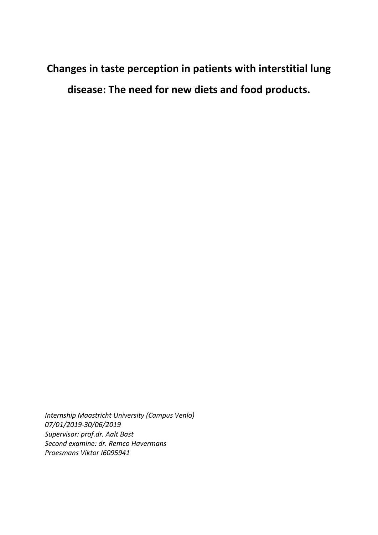Changes in taste perception in patients with interstitial lung disease: The need for new diets and food products.

*Internship Maastricht University (Campus Venlo) 07/01/2019-30/06/2019 Supervisor: prof.dr. Aalt Bast Second examine: dr. Remco Havermans Proesmans Viktor I6095941*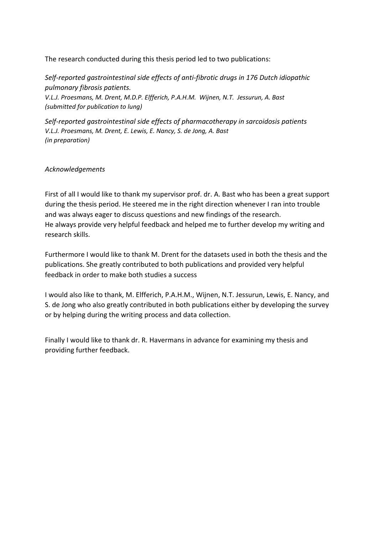The research conducted during this thesis period led to two publications:

*Self-reported gastrointestinal side effects of anti-fibrotic drugs in 176 Dutch idiopathic pulmonary fibrosis patients. V.L.J. Proesmans, M. Drent, M.D.P. Elfferich, P.A.H.M. Wijnen, N.T. Jessurun, A. Bast (submitted for publication to lung)*

*Self-reported gastrointestinal side effects of pharmacotherapy in sarcoidosis patients V.L.J. Proesmans, M. Drent, E. Lewis, E. Nancy, S. de Jong, A. Bast (in preparation)*

# *Acknowledgements*

First of all I would like to thank my supervisor prof. dr. A. Bast who has been a great support during the thesis period. He steered me in the right direction whenever I ran into trouble and was always eager to discuss questions and new findings of the research. He always provide very helpful feedback and helped me to further develop my writing and research skills.

Furthermore I would like to thank M. Drent for the datasets used in both the thesis and the publications. She greatly contributed to both publications and provided very helpful feedback in order to make both studies a success

I would also like to thank, M. Elfferich, P.A.H.M., Wijnen, N.T. Jessurun, Lewis, E. Nancy, and S. de Jong who also greatly contributed in both publications either by developing the survey or by helping during the writing process and data collection.

Finally I would like to thank dr. R. Havermans in advance for examining my thesis and providing further feedback.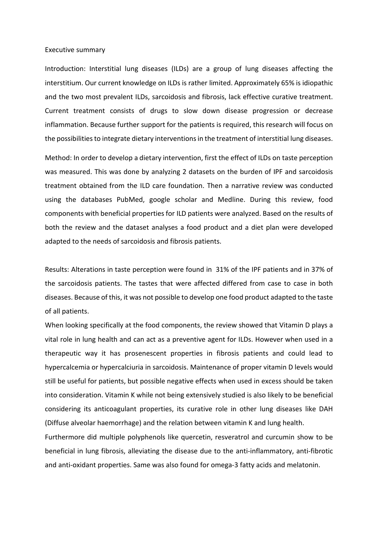#### Executive summary

Introduction: Interstitial lung diseases (ILDs) are a group of lung diseases affecting the interstitium. Our current knowledge on ILDs is rather limited. Approximately 65% is idiopathic and the two most prevalent ILDs, sarcoidosis and fibrosis, lack effective curative treatment. Current treatment consists of drugs to slow down disease progression or decrease inflammation. Because further support for the patients is required, this research will focus on the possibilitiesto integrate dietary interventionsin the treatment of interstitial lung diseases.

Method: In order to develop a dietary intervention, first the effect of ILDs on taste perception was measured. This was done by analyzing 2 datasets on the burden of IPF and sarcoidosis treatment obtained from the ILD care foundation. Then a narrative review was conducted using the databases PubMed, google scholar and Medline. During this review, food components with beneficial properties for ILD patients were analyzed. Based on the results of both the review and the dataset analyses a food product and a diet plan were developed adapted to the needs of sarcoidosis and fibrosis patients.

Results: Alterations in taste perception were found in 31% of the IPF patients and in 37% of the sarcoidosis patients. The tastes that were affected differed from case to case in both diseases. Because of this, it was not possible to develop one food product adapted to the taste of all patients.

When looking specifically at the food components, the review showed that Vitamin D plays a vital role in lung health and can act as a preventive agent for ILDs. However when used in a therapeutic way it has prosenescent properties in fibrosis patients and could lead to hypercalcemia or hypercalciuria in sarcoidosis. Maintenance of proper vitamin D levels would still be useful for patients, but possible negative effects when used in excess should be taken into consideration. Vitamin K while not being extensively studied is also likely to be beneficial considering its anticoagulant properties, its curative role in other lung diseases like DAH (Diffuse alveolar haemorrhage) and the relation between vitamin K and lung health.

Furthermore did multiple polyphenols like quercetin, resveratrol and curcumin show to be beneficial in lung fibrosis, alleviating the disease due to the anti-inflammatory, anti-fibrotic and anti-oxidant properties. Same was also found for omega-3 fatty acids and melatonin.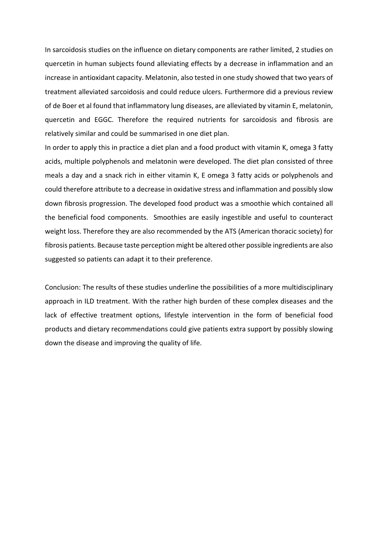In sarcoidosis studies on the influence on dietary components are rather limited, 2 studies on quercetin in human subjects found alleviating effects by a decrease in inflammation and an increase in antioxidant capacity. Melatonin, also tested in one study showed that two years of treatment alleviated sarcoidosis and could reduce ulcers. Furthermore did a previous review of de Boer et al found that inflammatory lung diseases, are alleviated by vitamin E, melatonin, quercetin and EGGC. Therefore the required nutrients for sarcoidosis and fibrosis are relatively similar and could be summarised in one diet plan.

In order to apply this in practice a diet plan and a food product with vitamin K, omega 3 fatty acids, multiple polyphenols and melatonin were developed. The diet plan consisted of three meals a day and a snack rich in either vitamin K, E omega 3 fatty acids or polyphenols and could therefore attribute to a decrease in oxidative stress and inflammation and possibly slow down fibrosis progression. The developed food product was a smoothie which contained all the beneficial food components. Smoothies are easily ingestible and useful to counteract weight loss. Therefore they are also recommended by the ATS (American thoracic society) for fibrosis patients. Because taste perception might be altered other possible ingredients are also suggested so patients can adapt it to their preference.

Conclusion: The results of these studies underline the possibilities of a more multidisciplinary approach in ILD treatment. With the rather high burden of these complex diseases and the lack of effective treatment options, lifestyle intervention in the form of beneficial food products and dietary recommendations could give patients extra support by possibly slowing down the disease and improving the quality of life.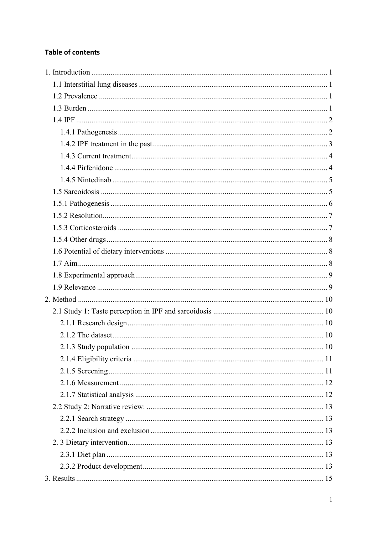# **Table of contents**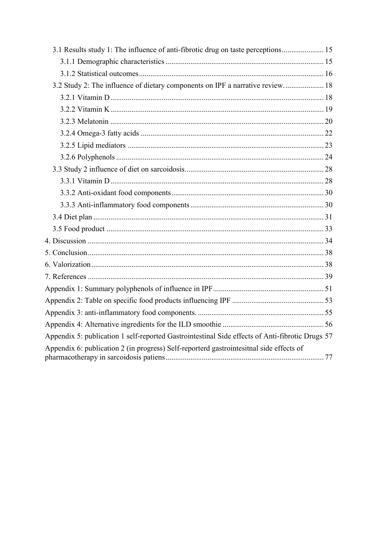| 3.1 Results study 1: The influence of anti-fibrotic drug on taste perceptions 15<br>3.2 Study 2: The influence of dietary components on IPF a narrative review 18<br>Appendix 5: publication 1 self-reported Gastrointestinal Side effects of Anti-fibrotic Drugs 57<br>Appendix 6: publication 2 (in progress) Self-reporterd gastrointesitnal side effects of |  |
|-----------------------------------------------------------------------------------------------------------------------------------------------------------------------------------------------------------------------------------------------------------------------------------------------------------------------------------------------------------------|--|
|                                                                                                                                                                                                                                                                                                                                                                 |  |
|                                                                                                                                                                                                                                                                                                                                                                 |  |
|                                                                                                                                                                                                                                                                                                                                                                 |  |
|                                                                                                                                                                                                                                                                                                                                                                 |  |
|                                                                                                                                                                                                                                                                                                                                                                 |  |
|                                                                                                                                                                                                                                                                                                                                                                 |  |
|                                                                                                                                                                                                                                                                                                                                                                 |  |
|                                                                                                                                                                                                                                                                                                                                                                 |  |
|                                                                                                                                                                                                                                                                                                                                                                 |  |
|                                                                                                                                                                                                                                                                                                                                                                 |  |
|                                                                                                                                                                                                                                                                                                                                                                 |  |
|                                                                                                                                                                                                                                                                                                                                                                 |  |
|                                                                                                                                                                                                                                                                                                                                                                 |  |
|                                                                                                                                                                                                                                                                                                                                                                 |  |
|                                                                                                                                                                                                                                                                                                                                                                 |  |
|                                                                                                                                                                                                                                                                                                                                                                 |  |
|                                                                                                                                                                                                                                                                                                                                                                 |  |
|                                                                                                                                                                                                                                                                                                                                                                 |  |
|                                                                                                                                                                                                                                                                                                                                                                 |  |
|                                                                                                                                                                                                                                                                                                                                                                 |  |
|                                                                                                                                                                                                                                                                                                                                                                 |  |
|                                                                                                                                                                                                                                                                                                                                                                 |  |
|                                                                                                                                                                                                                                                                                                                                                                 |  |
|                                                                                                                                                                                                                                                                                                                                                                 |  |
|                                                                                                                                                                                                                                                                                                                                                                 |  |
|                                                                                                                                                                                                                                                                                                                                                                 |  |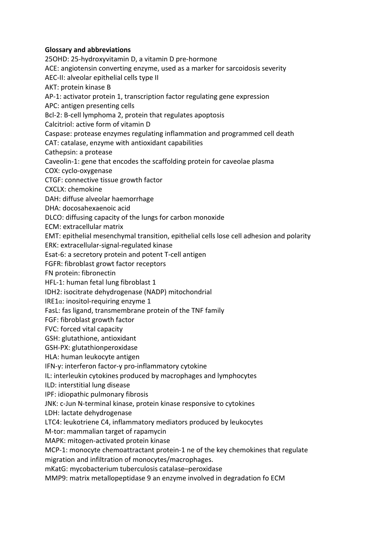# Glossary and abbreviations

25OHD: 25-hydroxyvitamin D, a vitamin D pre-hormone ACE: angiotensin converting enzyme, used as a marker for sarcoidosis severity AEC-II: alveolar epithelial cells type II AKT: protein kinase B AP-1: activator protein 1, transcription factor regulating gene expression APC: antigen presenting cells Bcl-2: B-cell lymphoma 2, protein that regulates apoptosis Calcitriol: active form of vitamin D Caspase: protease enzymes regulating inflammation and programmed cell death CAT: catalase, enzyme with antioxidant capabilities Cathepsin: a protease Caveolin-1: gene that encodes the scaffolding protein for caveolae plasma COX: cyclo-oxygenase CTGF: connective tissue growth factor CXCLX: chemokine DAH: diffuse alveolar haemorrhage DHA: docosahexaenoic acid DLCO: diffusing capacity of the lungs for carbon monoxide ECM: extracellular matrix EMT: epithelial mesenchymal transition, epithelial cells lose cell adhesion and polarity ERK: extracellular-signal-regulated kinase Esat-6: a secretory protein and potent T-cell antigen FGFR: fibroblast growt factor receptors FN protein: fibronectin HFL-1: human fetal lung fibroblast 1 IDH2: isocitrate dehydrogenase (NADP) mitochondrial IRE1 $α$ : inositol-requiring enzyme 1 FasL: fas ligand, transmembrane protein of the TNF family FGF: fibroblast growth factor FVC: forced vital capacity GSH: glutathione, antioxidant GSH-PX: glutathionperoxidase HLA: human leukocyte antigen IFN-y: interferon factor-y pro-inflammatory cytokine IL: interleukin cytokines produced by macrophages and lymphocytes ILD: interstitial lung disease IPF: idiopathic pulmonary fibrosis JNK: c-Jun N-terminal kinase, protein kinase responsive to cytokines LDH: lactate dehydrogenase LTC4: leukotriene C4, inflammatory mediators produced by leukocytes M-tor: mammalian target of rapamycin MAPK: mitogen-activated protein kinase MCP-1: monocyte chemoattractant protein-1 ne of the key chemokines that regulate migration and infiltration of monocytes/macrophages.

mKatG: mycobacterium tuberculosis catalase–peroxidase

MMP9: matrix metallopeptidase 9 an enzyme involved in degradation fo ECM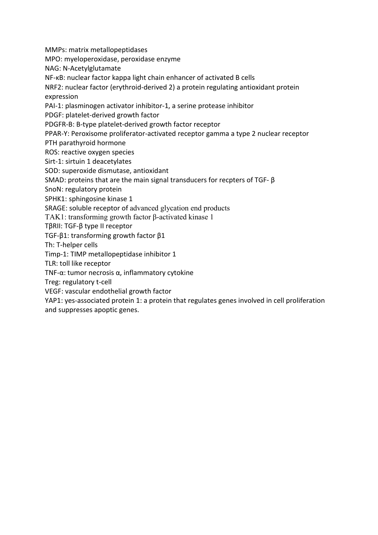MMPs: matrix metallopeptidases

MPO: myeloperoxidase, peroxidase enzyme

NAG: N-Acetylglutamate

NF-κB: nuclear factor kappa light chain enhancer of activated B cells

NRF2: nuclear factor (erythroid-derived 2) a protein regulating antioxidant protein expression

PAI-1: plasminogen activator inhibitor-1, a serine protease inhibitor

PDGF: platelet-derived growth factor

PDGFR-B: Β-type platelet-derived growth factor receptor

PPAR-Y: Peroxisome proliferator-activated receptor gamma a type 2 nuclear receptor

PTH parathyroid hormone

ROS: reactive oxygen species

Sirt-1: sirtuin 1 deacetylates

SOD: superoxide dismutase, antioxidant

SMAD: proteins that are the main signal transducers for recpters of TGF- β

SnoN: regulatory protein

SPHK1: sphingosine kinase 1

SRAGE: soluble receptor of advanced glycation end products

TAK1: transforming growth factor β-activated kinase 1

TβRII: TGF-β type II receptor

TGF-β1: transforming growth factor β1

Th: T-helper cells

Timp-1: TIMP metallopeptidase inhibitor 1

TLR: toll like receptor

TNF-α: tumor necrosis α, inflammatory cytokine

Treg: regulatory t-cell

VEGF: vascular endothelial growth factor

YAP1: yes-associated protein 1: a protein that regulates genes involved in cell proliferation and suppresses apoptic genes.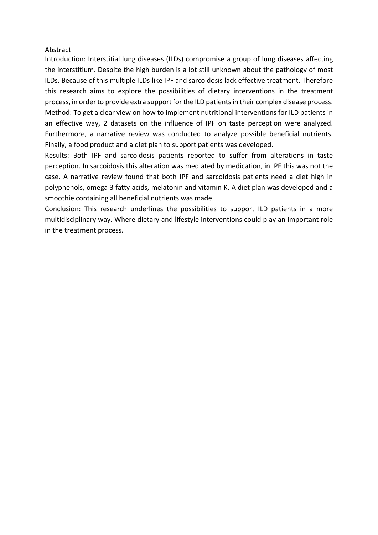## Abstract

Introduction: Interstitial lung diseases (ILDs) compromise a group of lung diseases affecting the interstitium. Despite the high burden is a lot still unknown about the pathology of most ILDs. Because of this multiple ILDs like IPF and sarcoidosis lack effective treatment. Therefore this research aims to explore the possibilities of dietary interventions in the treatment process, in order to provide extra support for the ILD patients in their complex disease process. Method: To get a clear view on how to implement nutritional interventions for ILD patients in an effective way, 2 datasets on the influence of IPF on taste perception were analyzed. Furthermore, a narrative review was conducted to analyze possible beneficial nutrients. Finally, a food product and a diet plan to support patients was developed.

Results: Both IPF and sarcoidosis patients reported to suffer from alterations in taste perception. In sarcoidosis this alteration was mediated by medication, in IPF this was not the case. A narrative review found that both IPF and sarcoidosis patients need a diet high in polyphenols, omega 3 fatty acids, melatonin and vitamin K. A diet plan was developed and a smoothie containing all beneficial nutrients was made.

Conclusion: This research underlines the possibilities to support ILD patients in a more multidisciplinary way. Where dietary and lifestyle interventions could play an important role in the treatment process.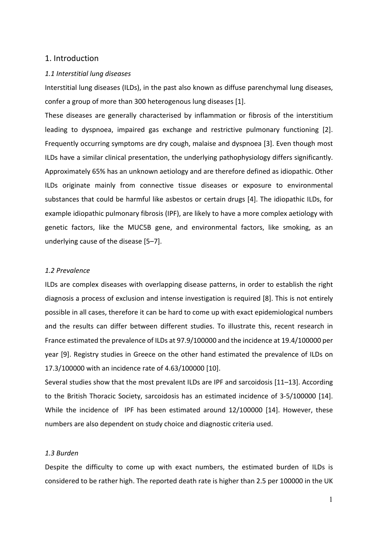# <span id="page-9-0"></span>1. Introduction

#### <span id="page-9-1"></span>*1.1 Interstitial lung diseases*

Interstitial lung diseases (ILDs), in the past also known as diffuse parenchymal lung diseases, confer a group of more than 300 heterogenous lung diseases [1].

These diseases are generally characterised by inflammation or fibrosis of the interstitium leading to dyspnoea, impaired gas exchange and restrictive pulmonary functioning [2]. Frequently occurring symptoms are dry cough, malaise and dyspnoea [3]. Even though most ILDs have a similar clinical presentation, the underlying pathophysiology differs significantly. Approximately 65% has an unknown aetiology and are therefore defined as idiopathic. Other ILDs originate mainly from connective tissue diseases or exposure to environmental substances that could be harmful like asbestos or certain drugs [4]. The idiopathic ILDs, for example idiopathic pulmonary fibrosis (IPF), are likely to have a more complex aetiology with genetic factors, like the MUC5B gene, and environmental factors, like smoking, as an underlying cause of the disease [5–7].

## <span id="page-9-2"></span>*1.2 Prevalence*

ILDs are complex diseases with overlapping disease patterns, in order to establish the right diagnosis a process of exclusion and intense investigation is required [8]. This is not entirely possible in all cases, therefore it can be hard to come up with exact epidemiological numbers and the results can differ between different studies. To illustrate this, recent research in France estimated the prevalence of ILDs at 97.9/100000 and the incidence at 19.4/100000 per year [9]. Registry studies in Greece on the other hand estimated the prevalence of ILDs on 17.3/100000 with an incidence rate of 4.63/100000 [10].

Several studies show that the most prevalent ILDs are IPF and sarcoidosis [11–13]. According to the British Thoracic Society, sarcoidosis has an estimated incidence of 3-5/100000 [14]. While the incidence of IPF has been estimated around 12/100000 [14]. However, these numbers are also dependent on study choice and diagnostic criteria used.

#### <span id="page-9-3"></span>*1.3 Burden*

Despite the difficulty to come up with exact numbers, the estimated burden of ILDs is considered to be rather high. The reported death rate is higher than 2.5 per 100000 in the UK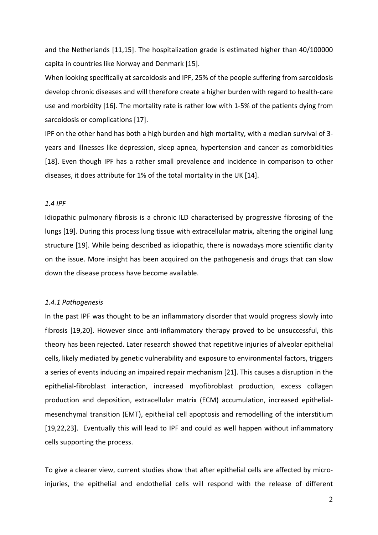and the Netherlands [11,15]. The hospitalization grade is estimated higher than 40/100000 capita in countries like Norway and Denmark [15].

When looking specifically at sarcoidosis and IPF, 25% of the people suffering from sarcoidosis develop chronic diseases and will therefore create a higher burden with regard to health-care use and morbidity [16]. The mortality rate is rather low with 1-5% of the patients dying from sarcoidosis or complications [17].

IPF on the other hand has both a high burden and high mortality, with a median survival of 3 years and illnesses like depression, sleep apnea, hypertension and cancer as comorbidities [18]. Even though IPF has a rather small prevalence and incidence in comparison to other diseases, it does attribute for 1% of the total mortality in the UK [14].

#### <span id="page-10-0"></span>*1.4 IPF*

Idiopathic pulmonary fibrosis is a chronic ILD characterised by progressive fibrosing of the lungs [19]. During this process lung tissue with extracellular matrix, altering the original lung structure [19]. While being described as idiopathic, there is nowadays more scientific clarity on the issue. More insight has been acquired on the pathogenesis and drugs that can slow down the disease process have become available.

#### <span id="page-10-1"></span>*1.4.1 Pathogenesis*

In the past IPF was thought to be an inflammatory disorder that would progress slowly into fibrosis [19,20]. However since anti-inflammatory therapy proved to be unsuccessful, this theory has been rejected. Later research showed that repetitive injuries of alveolar epithelial cells, likely mediated by genetic vulnerability and exposure to environmental factors, triggers a series of events inducing an impaired repair mechanism [21]. This causes a disruption in the epithelial-fibroblast interaction, increased myofibroblast production, excess collagen production and deposition, extracellular matrix (ECM) accumulation, increased epithelialmesenchymal transition (EMT), epithelial cell apoptosis and remodelling of the interstitium [19,22,23]. Eventually this will lead to IPF and could as well happen without inflammatory cells supporting the process.

To give a clearer view, current studies show that after epithelial cells are affected by microinjuries, the epithelial and endothelial cells will respond with the release of different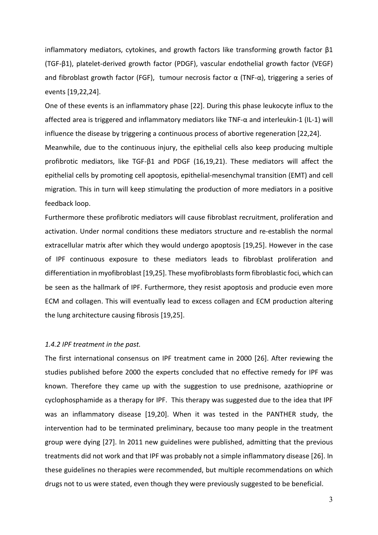inflammatory mediators, cytokines, and growth factors like transforming growth factor  $\beta1$ (TGF-β1), platelet-derived growth factor (PDGF), vascular endothelial growth factor (VEGF) and fibroblast growth factor (FGF), tumour necrosis factor  $\alpha$  (TNF- $\alpha$ ), triggering a series of events [19,22,24].

One of these events is an inflammatory phase [22]. During this phase leukocyte influx to the affected area is triggered and inflammatory mediators like TNF-α and interleukin-1 (IL-1) will influence the disease by triggering a continuous process of abortive regeneration [22,24]. Meanwhile, due to the continuous injury, the epithelial cells also keep producing multiple profibrotic mediators, like TGF-β1 and PDGF (16,19,21). These mediators will affect the epithelial cells by promoting cell apoptosis, epithelial-mesenchymal transition (EMT) and cell migration. This in turn will keep stimulating the production of more mediators in a positive feedback loop.

Furthermore these profibrotic mediators will cause fibroblast recruitment, proliferation and activation. Under normal conditions these mediators structure and re-establish the normal extracellular matrix after which they would undergo apoptosis [19,25]. However in the case of IPF continuous exposure to these mediators leads to fibroblast proliferation and differentiation in myofibroblast [19,25]. These myofibroblastsform fibroblastic foci, which can be seen as the hallmark of IPF. Furthermore, they resist apoptosis and producie even more ECM and collagen. This will eventually lead to excess collagen and ECM production altering the lung architecture causing fibrosis [19,25].

# <span id="page-11-0"></span>*1.4.2 IPF treatment in the past.*

The first international consensus on IPF treatment came in 2000 [26]. After reviewing the studies published before 2000 the experts concluded that no effective remedy for IPF was known. Therefore they came up with the suggestion to use prednisone, azathioprine or cyclophosphamide as a therapy for IPF. This therapy was suggested due to the idea that IPF was an inflammatory disease [19,20]. When it was tested in the PANTHER study, the intervention had to be terminated preliminary, because too many people in the treatment group were dying [27]. In 2011 new guidelines were published, admitting that the previous treatments did not work and that IPF was probably not a simple inflammatory disease [26]. In these guidelines no therapies were recommended, but multiple recommendations on which drugs not to us were stated, even though they were previously suggested to be beneficial.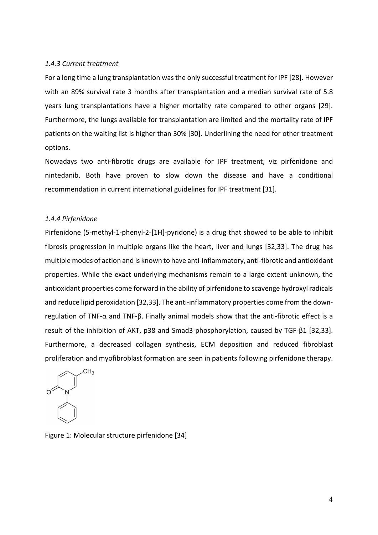#### <span id="page-12-0"></span>*1.4.3 Current treatment*

For a long time a lung transplantation wasthe only successful treatment for IPF [28]. However with an 89% survival rate 3 months after transplantation and a median survival rate of 5.8 years lung transplantations have a higher mortality rate compared to other organs [29]. Furthermore, the lungs available for transplantation are limited and the mortality rate of IPF patients on the waiting list is higher than 30% [30]. Underlining the need for other treatment options.

Nowadays two anti-fibrotic drugs are available for IPF treatment, viz pirfenidone and nintedanib. Both have proven to slow down the disease and have a conditional recommendation in current international guidelines for IPF treatment [31].

## <span id="page-12-1"></span>*1.4.4 Pirfenidone*

Pirfenidone (5-methyl-1-phenyl-2-[1H]-pyridone) is a drug that showed to be able to inhibit fibrosis progression in multiple organs like the heart, liver and lungs [32,33]. The drug has multiple modes of action and is known to have anti-inflammatory, anti-fibrotic and antioxidant properties. While the exact underlying mechanisms remain to a large extent unknown, the antioxidant properties come forward in the ability of pirfenidone to scavenge hydroxyl radicals and reduce lipid peroxidation [32,33]. The anti-inflammatory properties come from the downregulation of TNF-α and TNF-β. Finally animal models show that the anti-fibrotic effect is a result of the inhibition of AKT, p38 and Smad3 phosphorylation, caused by TGF-β1 [32,33]. Furthermore, a decreased collagen synthesis, ECM deposition and reduced fibroblast proliferation and myofibroblast formation are seen in patients following pirfenidone therapy.



Figure 1: Molecular structure pirfenidone [34]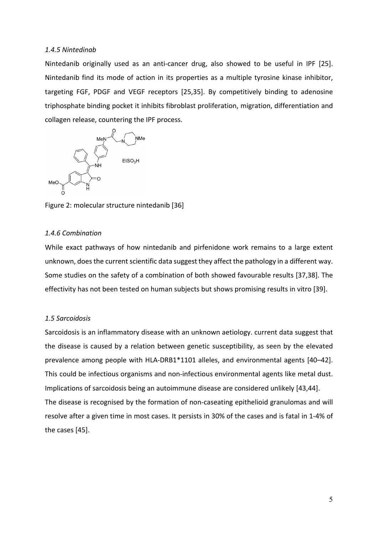#### <span id="page-13-0"></span>*1.4.5 Nintedinab*

Nintedanib originally used as an anti-cancer drug, also showed to be useful in IPF [25]. Nintedanib find its mode of action in its properties as a multiple tyrosine kinase inhibitor, targeting FGF, PDGF and VEGF receptors [25,35]. By competitively binding to adenosine triphosphate binding pocket it inhibits fibroblast proliferation, migration, differentiation and collagen release, countering the IPF process.



Figure 2: molecular structure nintedanib [36]

## *1.4.6 Combination*

While exact pathways of how nintedanib and pirfenidone work remains to a large extent unknown, does the current scientific data suggest they affect the pathology in a different way. Some studies on the safety of a combination of both showed favourable results [37,38]. The effectivity has not been tested on human subjects but shows promising results in vitro [39].

## <span id="page-13-1"></span>*1.5 Sarcoidosis*

Sarcoidosis is an inflammatory disease with an unknown aetiology. current data suggest that the disease is caused by a relation between genetic susceptibility, as seen by the elevated prevalence among people with HLA-DRB1\*1101 alleles, and environmental agents [40–42]. This could be infectious organisms and non-infectious environmental agents like metal dust. Implications of sarcoidosis being an autoimmune disease are considered unlikely [43,44]. The disease is recognised by the formation of non-caseating epithelioid granulomas and will resolve after a given time in most cases. It persists in 30% of the cases and is fatal in 1-4% of the cases [45].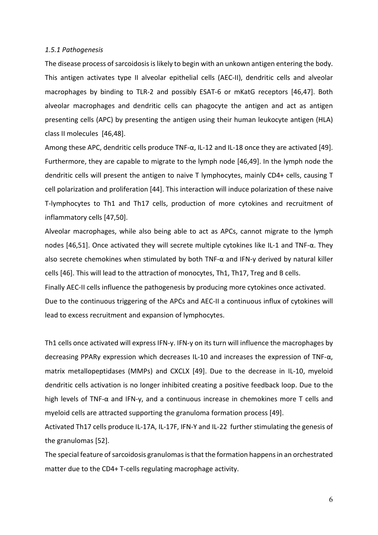#### <span id="page-14-0"></span>*1.5.1 Pathogenesis*

The disease process of sarcoidosis is likely to begin with an unkown antigen entering the body. This antigen activates type II alveolar epithelial cells (AEC-II), dendritic cells and alveolar macrophages by binding to TLR-2 and possibly ESAT-6 or mKatG receptors [46,47]. Both alveolar macrophages and dendritic cells can phagocyte the antigen and act as antigen presenting cells (APC) by presenting the antigen using their human leukocyte antigen (HLA) class II molecules [46,48].

Among these APC, dendritic cells produce TNF- $\alpha$ , IL-12 and IL-18 once they are activated [49]. Furthermore, they are capable to migrate to the lymph node [46,49]. In the lymph node the dendritic cells will present the antigen to naive T lymphocytes, mainly CD4+ cells, causing T cell polarization and proliferation [44]. This interaction will induce polarization of these naive T-lymphocytes to Th1 and Th17 cells, production of more cytokines and recruitment of inflammatory cells [47,50].

Alveolar macrophages, while also being able to act as APCs, cannot migrate to the lymph nodes [46,51]. Once activated they will secrete multiple cytokines like IL-1 and TNF-α. They also secrete chemokines when stimulated by both TNF-α and IFN-y derived by natural killer cells [46]. This will lead to the attraction of monocytes, Th1, Th17, Treg and B cells.

Finally AEC-II cells influence the pathogenesis by producing more cytokines once activated. Due to the continuous triggering of the APCs and AEC-II a continuous influx of cytokines will lead to excess recruitment and expansion of lymphocytes.

Th1 cells once activated will express IFN-y. IFN-y on its turn will influence the macrophages by decreasing PPARy expression which decreases IL-10 and increases the expression of TNF-α, matrix metallopeptidases (MMPs) and CXCLX [49]. Due to the decrease in IL-10, myeloid dendritic cells activation is no longer inhibited creating a positive feedback loop. Due to the high levels of TNF-α and IFN-y, and a continuous increase in chemokines more T cells and myeloid cells are attracted supporting the granuloma formation process [49].

Activated Th17 cells produce IL-17A, IL-17F, IFN-Y and IL-22 further stimulating the genesis of the granulomas [52].

The special feature of sarcoidosis granulomas is that the formation happens in an orchestrated matter due to the CD4+ T-cells regulating macrophage activity.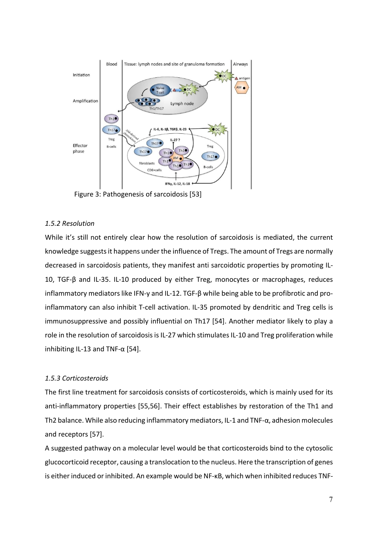

Figure 3: Pathogenesis of sarcoidosis [53]

# <span id="page-15-0"></span>*1.5.2 Resolution*

While it's still not entirely clear how the resolution of sarcoidosis is mediated, the current knowledge suggestsit happens under the influence of Tregs. The amount of Tregs are normally decreased in sarcoidosis patients, they manifest anti sarcoidotic properties by promoting IL-10, TGF-β and IL-35. IL-10 produced by either Treg, monocytes or macrophages, reduces inflammatory mediators like IFN-y and IL-12. TGF-β while being able to be profibrotic and proinflammatory can also inhibit T-cell activation. IL-35 promoted by dendritic and Treg cells is immunosuppressive and possibly influential on Th17 [54]. Another mediator likely to play a role in the resolution of sarcoidosis is IL-27 which stimulates IL-10 and Treg proliferation while inhibiting IL-13 and TNF- $\alpha$  [54].

# <span id="page-15-1"></span>*1.5.3 Corticosteroids*

The first line treatment for sarcoidosis consists of corticosteroids, which is mainly used for its anti-inflammatory properties [55,56]. Their effect establishes by restoration of the Th1 and Th2 balance. While also reducing inflammatory mediators, IL-1 and TNF-α, adhesion molecules and receptors [57].

A suggested pathway on a molecular level would be that corticosteroids bind to the cytosolic glucocorticoid receptor, causing a translocation to the nucleus. Here the transcription of genes is either induced or inhibited. An example would be NF-κB, which when inhibited reduces TNF-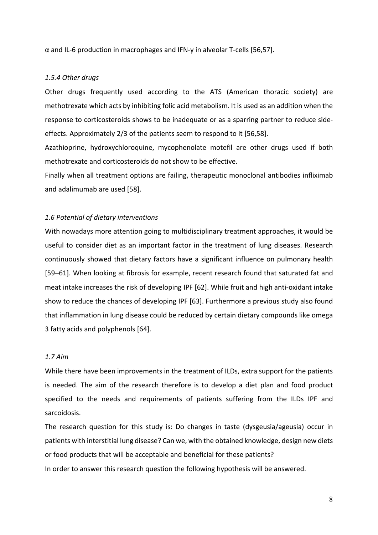α and IL-6 production in macrophages and IFN-y in alveolar T-cells [56,57].

#### <span id="page-16-0"></span>*1.5.4 Other drugs*

Other drugs frequently used according to the ATS (American thoracic society) are methotrexate which acts by inhibiting folic acid metabolism. It is used as an addition when the response to corticosteroids shows to be inadequate or as a sparring partner to reduce sideeffects. Approximately 2/3 of the patients seem to respond to it [56,58].

Azathioprine, hydroxychloroquine, mycophenolate motefil are other drugs used if both methotrexate and corticosteroids do not show to be effective.

Finally when all treatment options are failing, therapeutic monoclonal antibodies infliximab and adalimumab are used [58].

#### <span id="page-16-1"></span>*1.6 Potential of dietary interventions*

With nowadays more attention going to multidisciplinary treatment approaches, it would be useful to consider diet as an important factor in the treatment of lung diseases. Research continuously showed that dietary factors have a significant influence on pulmonary health [59–61]. When looking at fibrosis for example, recent research found that saturated fat and meat intake increases the risk of developing IPF [62]. While fruit and high anti-oxidant intake show to reduce the chances of developing IPF [63]. Furthermore a previous study also found that inflammation in lung disease could be reduced by certain dietary compounds like omega 3 fatty acids and polyphenols [64].

# <span id="page-16-2"></span>*1.7 Aim*

While there have been improvements in the treatment of ILDs, extra support for the patients is needed. The aim of the research therefore is to develop a diet plan and food product specified to the needs and requirements of patients suffering from the ILDs IPF and sarcoidosis.

The research question for this study is: Do changes in taste (dysgeusia/ageusia) occur in patients with interstitial lung disease? Can we, with the obtained knowledge, design new diets or food products that will be acceptable and beneficial for these patients? In order to answer this research question the following hypothesis will be answered.

8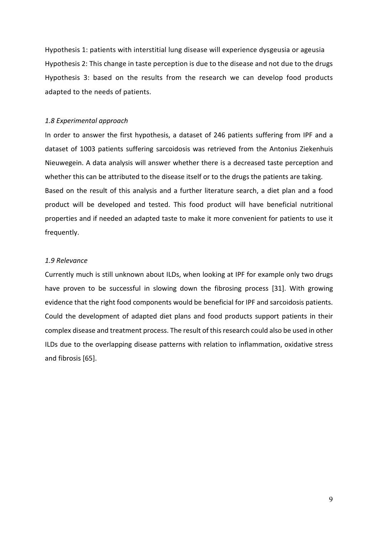Hypothesis 1: patients with interstitial lung disease will experience dysgeusia or ageusia Hypothesis 2: This change in taste perception is due to the disease and not due to the drugs Hypothesis 3: based on the results from the research we can develop food products adapted to the needs of patients.

## <span id="page-17-0"></span>*1.8 Experimental approach*

In order to answer the first hypothesis, a dataset of 246 patients suffering from IPF and a dataset of 1003 patients suffering sarcoidosis was retrieved from the Antonius Ziekenhuis Nieuwegein. A data analysis will answer whether there is a decreased taste perception and whether this can be attributed to the disease itself or to the drugs the patients are taking. Based on the result of this analysis and a further literature search, a diet plan and a food product will be developed and tested. This food product will have beneficial nutritional properties and if needed an adapted taste to make it more convenient for patients to use it frequently.

# <span id="page-17-1"></span>*1.9 Relevance*

Currently much is still unknown about ILDs, when looking at IPF for example only two drugs have proven to be successful in slowing down the fibrosing process [31]. With growing evidence that the right food components would be beneficial for IPF and sarcoidosis patients. Could the development of adapted diet plans and food products support patients in their complex disease and treatment process. The result of this research could also be used in other ILDs due to the overlapping disease patterns with relation to inflammation, oxidative stress and fibrosis [65].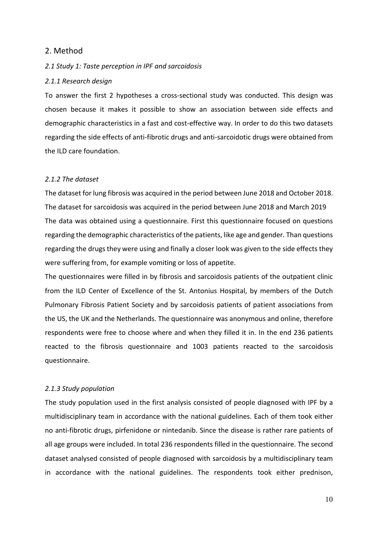# <span id="page-18-0"></span>2. Method

## <span id="page-18-1"></span>*2.1 Study 1: Taste perception in IPF and sarcoidosis*

## <span id="page-18-2"></span>*2.1.1 Research design*

To answer the first 2 hypotheses a cross-sectional study was conducted. This design was chosen because it makes it possible to show an association between side effects and demographic characteristics in a fast and cost-effective way. In order to do this two datasets regarding the side effects of anti-fibrotic drugs and anti-sarcoidotic drugs were obtained from the ILD care foundation.

## <span id="page-18-3"></span>*2.1.2 The dataset*

The dataset for lung fibrosis was acquired in the period between June 2018 and October 2018. The dataset for sarcoidosis was acquired in the period between June 2018 and March 2019 The data was obtained using a questionnaire. First this questionnaire focused on questions regarding the demographic characteristics of the patients, like age and gender. Than questions regarding the drugs they were using and finally a closer look was given to the side effects they were suffering from, for example vomiting or loss of appetite.

The questionnaires were filled in by fibrosis and sarcoidosis patients of the outpatient clinic from the ILD Center of Excellence of the St. Antonius Hospital, by members of the Dutch Pulmonary Fibrosis Patient Society and by sarcoidosis patients of patient associations from the US, the UK and the Netherlands. The questionnaire was anonymous and online, therefore respondents were free to choose where and when they filled it in. In the end 236 patients reacted to the fibrosis questionnaire and 1003 patients reacted to the sarcoidosis questionnaire.

#### <span id="page-18-4"></span>*2.1.3 Study population*

The study population used in the first analysis consisted of people diagnosed with IPF by a multidisciplinary team in accordance with the national guidelines. Each of them took either no anti-fibrotic drugs, pirfenidone or nintedanib. Since the disease is rather rare patients of all age groups were included. In total 236 respondents filled in the questionnaire. The second dataset analysed consisted of people diagnosed with sarcoidosis by a multidisciplinary team in accordance with the national guidelines. The respondents took either prednison,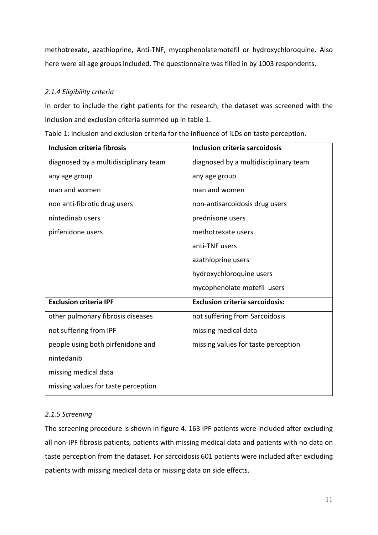methotrexate, azathioprine, Anti-TNF, mycophenolatemotefil or hydroxychloroquine. Also here were all age groups included. The questionnaire was filled in by 1003 respondents.

# <span id="page-19-0"></span>*2.1.4 Eligibility criteria*

In order to include the right patients for the research, the dataset was screened with the inclusion and exclusion criteria summed up in table 1.

| <b>Inclusion criteria fibrosis</b>    | <b>Inclusion criteria sarcoidosis</b>  |
|---------------------------------------|----------------------------------------|
| diagnosed by a multidisciplinary team | diagnosed by a multidisciplinary team  |
| any age group                         | any age group                          |
| man and women                         | man and women                          |
| non anti-fibrotic drug users          | non-antisarcoidosis drug users         |
| nintedinab users                      | prednisone users                       |
| pirfenidone users                     | methotrexate users                     |
|                                       | anti-TNF users                         |
|                                       | azathioprine users                     |
|                                       | hydroxychloroquine users               |
|                                       | mycophenolate motefil users            |
| <b>Exclusion criteria IPF</b>         | <b>Exclusion criteria sarcoidosis:</b> |
| other pulmonary fibrosis diseases     | not suffering from Sarcoidosis         |
| not suffering from IPF                | missing medical data                   |
| people using both pirfenidone and     | missing values for taste perception    |
| nintedanib                            |                                        |
| missing medical data                  |                                        |
| missing values for taste perception   |                                        |

Table 1: inclusion and exclusion criteria for the influence of ILDs on taste perception.

# <span id="page-19-1"></span>*2.1.5 Screening*

The screening procedure is shown in figure 4. 163 IPF patients were included after excluding all non-IPF fibrosis patients, patients with missing medical data and patients with no data on taste perception from the dataset. For sarcoidosis 601 patients were included after excluding patients with missing medical data or missing data on side effects.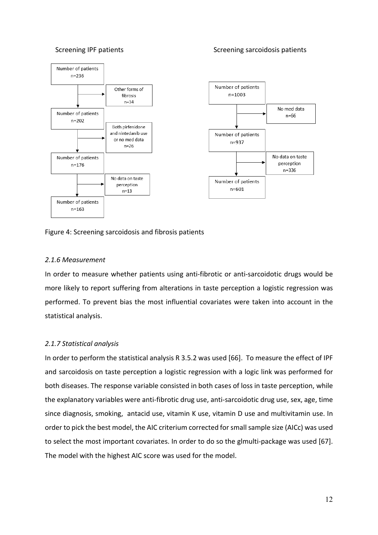#### Screening IPF patients Screening sarcoidosis patients Screening sarcoidosis patients



## Figure 4: Screening sarcoidosis and fibrosis patients

# <span id="page-20-0"></span>*2.1.6 Measurement*

In order to measure whether patients using anti-fibrotic or anti-sarcoidotic drugs would be more likely to report suffering from alterations in taste perception a logistic regression was performed. To prevent bias the most influential covariates were taken into account in the statistical analysis.

## <span id="page-20-1"></span>*2.1.7 Statistical analysis*

In order to perform the statistical analysis R 3.5.2 was used [66]. To measure the effect of IPF and sarcoidosis on taste perception a logistic regression with a logic link was performed for both diseases. The response variable consisted in both cases of loss in taste perception, while the explanatory variables were anti-fibrotic drug use, anti-sarcoidotic drug use, sex, age, time since diagnosis, smoking, antacid use, vitamin K use, vitamin D use and multivitamin use. In order to pick the best model, the AIC criterium corrected for small sample size (AICc) was used to select the most important covariates. In order to do so the glmulti-package was used [67]. The model with the highest AIC score was used for the model.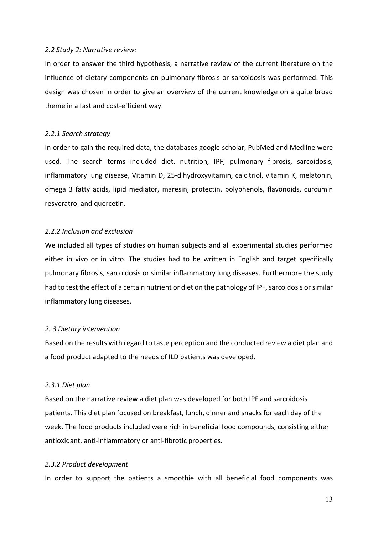#### <span id="page-21-0"></span>*2.2 Study 2: Narrative review:*

In order to answer the third hypothesis, a narrative review of the current literature on the influence of dietary components on pulmonary fibrosis or sarcoidosis was performed. This design was chosen in order to give an overview of the current knowledge on a quite broad theme in a fast and cost-efficient way.

#### <span id="page-21-1"></span>*2.2.1 Search strategy*

In order to gain the required data, the databases google scholar, PubMed and Medline were used. The search terms included diet, nutrition, IPF, pulmonary fibrosis, sarcoidosis, inflammatory lung disease, Vitamin D, 25-dihydroxyvitamin, calcitriol, vitamin K, melatonin, omega 3 fatty acids, lipid mediator, maresin, protectin, polyphenols, flavonoids, curcumin resveratrol and quercetin.

#### <span id="page-21-2"></span>*2.2.2 Inclusion and exclusion*

We included all types of studies on human subjects and all experimental studies performed either in vivo or in vitro. The studies had to be written in English and target specifically pulmonary fibrosis, sarcoidosis or similar inflammatory lung diseases. Furthermore the study had to test the effect of a certain nutrient or diet on the pathology of IPF, sarcoidosis or similar inflammatory lung diseases.

#### <span id="page-21-3"></span>*2. 3 Dietary intervention*

Based on the results with regard to taste perception and the conducted review a diet plan and a food product adapted to the needs of ILD patients was developed.

#### <span id="page-21-4"></span>*2.3.1 Diet plan*

Based on the narrative review a diet plan was developed for both IPF and sarcoidosis patients. This diet plan focused on breakfast, lunch, dinner and snacks for each day of the week. The food products included were rich in beneficial food compounds, consisting either antioxidant, anti-inflammatory or anti-fibrotic properties.

## *2.3.2 Product development*

In order to support the patients a smoothie with all beneficial food components was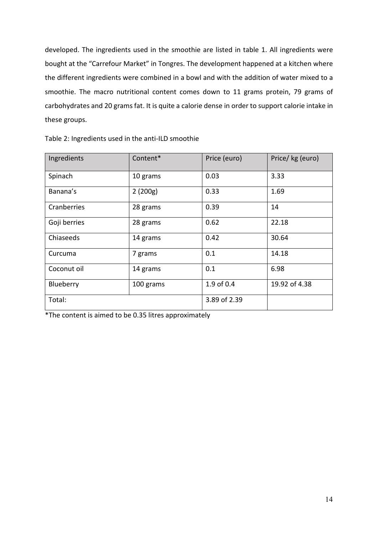developed. The ingredients used in the smoothie are listed in table 1. All ingredients were bought at the "Carrefour Market" in Tongres. The development happened at a kitchen where the different ingredients were combined in a bowl and with the addition of water mixed to a smoothie. The macro nutritional content comes down to 11 grams protein, 79 grams of carbohydrates and 20 grams fat. It is quite a calorie dense in order to support calorie intake in these groups.

| Ingredients  | Content*  | Price (euro) | Price/kg (euro) |
|--------------|-----------|--------------|-----------------|
| Spinach      | 10 grams  | 0.03         | 3.33            |
| Banana's     | 2(200g)   | 0.33         | 1.69            |
| Cranberries  | 28 grams  | 0.39         | 14              |
| Goji berries | 28 grams  | 0.62         | 22.18           |
| Chiaseeds    | 14 grams  | 0.42         | 30.64           |
| Curcuma      | 7 grams   | 0.1          | 14.18           |
| Coconut oil  | 14 grams  | 0.1          | 6.98            |
| Blueberry    | 100 grams | 1.9 of 0.4   | 19.92 of 4.38   |
| Total:       |           | 3.89 of 2.39 |                 |

Table 2: Ingredients used in the anti-ILD smoothie

<span id="page-22-0"></span>\*The content is aimed to be 0.35 litres approximately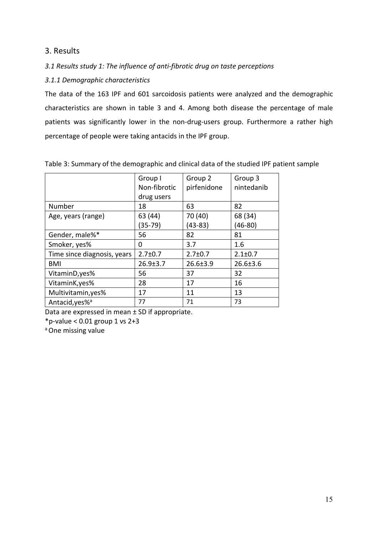<span id="page-23-0"></span>3. Results

<span id="page-23-1"></span>*3.1 Results study 1: The influence of anti-fibrotic drug on taste perceptions*

<span id="page-23-2"></span>*3.1.1 Demographic characteristics*

The data of the 163 IPF and 601 sarcoidosis patients were analyzed and the demographic characteristics are shown in table 3 and 4. Among both disease the percentage of male patients was significantly lower in the non-drug-users group. Furthermore a rather high percentage of people were taking antacids in the IPF group.

|                             | Group I        | Group 2        | Group 3        |
|-----------------------------|----------------|----------------|----------------|
|                             | Non-fibrotic   | pirfenidone    | nintedanib     |
|                             | drug users     |                |                |
| Number                      | 18             | 63             | 82             |
| Age, years (range)          | 63 (44)        | 70 (40)        | 68 (34)        |
|                             | $(35-79)$      | $(43-83)$      | (46-80)        |
| Gender, male%*              | 56             | 82             | 81             |
| Smoker, yes%                | 0              | 3.7            | 1.6            |
| Time since diagnosis, years | $2.7 \pm 0.7$  | $2.7 \pm 0.7$  | $2.1 \pm 0.7$  |
| <b>BMI</b>                  | $26.9 \pm 3.7$ | $26.6 \pm 3.9$ | $26.6 \pm 3.6$ |
| VitaminD, yes%              | 56             | 37             | 32             |
| VitaminK, yes%              | 28             | 17             | 16             |
| Multivitamin, yes%          | 17             | 11             | 13             |
| Antacid, yes% <sup>a</sup>  | 77             | 71             | 73             |

Table 3: Summary of the demographic and clinical data of the studied IPF patient sample

Data are expressed in mean ± SD if appropriate.

 $*p$ -value < 0.01 group 1 vs 2+3

<sup>a</sup> One missing value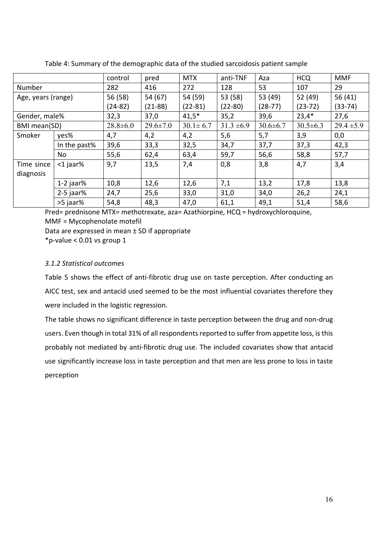|                    |              | control        | pred           | <b>MTX</b>     | anti-TNF       | Aza            | <b>HCQ</b>     | <b>MMF</b>     |
|--------------------|--------------|----------------|----------------|----------------|----------------|----------------|----------------|----------------|
| Number             |              | 282            | 416            | 272            | 128            | 53             | 107            | 29             |
| Age, years (range) |              | 56 (58)        | 54 (67)        | 54 (59)        | 53 (58)        | 53 (49)        | 52 (49)        | 56 (41)        |
|                    |              | $(24-82)$      | $(21-88)$      | $(22-81)$      | $(22 - 80)$    | $(28-77)$      | $(23-72)$      | $(33 - 74)$    |
| Gender, male%      |              | 32,3           | 37,0           | $41,5*$        | 35,2           | 39,6           | $23,4*$        | 27,6           |
| BMI mean(SD)       |              | $28.8 \pm 6.0$ | $29.6 \pm 7.0$ | $30.1 \pm 6.7$ | $31.3 \pm 6.9$ | $30.6 \pm 6.7$ | $30.5 \pm 6.3$ | $29.4 \pm 5.9$ |
| Smoker             | yes%         | 4,7            | 4,2            | 4,2            | 5,6            | 5,7            | 3,9            | 0,0            |
|                    | In the past% | 39,6           | 33,3           | 32,5           | 34,7           | 37,7           | 37,3           | 42,3           |
|                    | No           | 55,6           | 62,4           | 63,4           | 59,7           | 56,6           | 58,8           | 57,7           |
| Time since         | $<$ 1 jaar%  | 9,7            | 13,5           | 7,4            | 0,8            | 3,8            | 4,7            | 3,4            |
| diagnosis          |              |                |                |                |                |                |                |                |
|                    | $1-2$ jaar%  | 10,8           | 12,6           | 12,6           | 7,1            | 13,2           | 17,8           | 13,8           |
|                    | $2-5$ jaar%  | 24,7           | 25,6           | 33,0           | 31,0           | 34,0           | 26,2           | 24,1           |
|                    | >5 jaar%     | 54,8           | 48,3           | 47,0           | 61,1           | 49,1           | 51,4           | 58,6           |

Table 4: Summary of the demographic data of the studied sarcoidosis patient sample

Pred= prednisone MTX= methotrexate, aza= Azathiorpine, HCQ = hydroxychloroquine, MMF = Mycophenolate motefil

Data are expressed in mean ± SD if appropriate

\*p-value < 0.01 vs group 1

# <span id="page-24-0"></span>*3.1.2 Statistical outcomes*

Table 5 shows the effect of anti-fibrotic drug use on taste perception. After conducting an AICC test, sex and antacid used seemed to be the most influential covariates therefore they were included in the logistic regression.

The table shows no significant difference in taste perception between the drug and non-drug users. Even though in total 31% of all respondents reported to suffer from appetite loss, is this probably not mediated by anti-fibrotic drug use. The included covariates show that antacid use significantly increase loss in taste perception and that men are less prone to loss in taste perception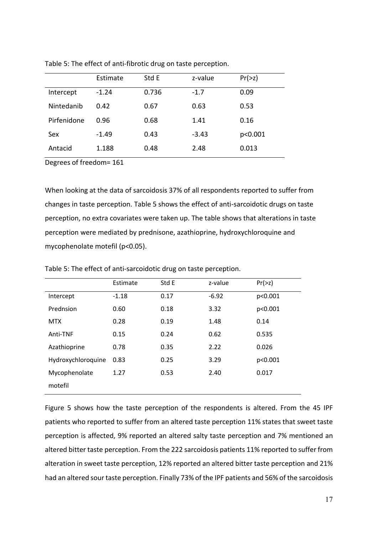|             | Estimate | Std E | z-value | Pr(>z)  |
|-------------|----------|-------|---------|---------|
| Intercept   | $-1.24$  | 0.736 | $-1.7$  | 0.09    |
| Nintedanib  | 0.42     | 0.67  | 0.63    | 0.53    |
| Pirfenidone | 0.96     | 0.68  | 1.41    | 0.16    |
| Sex         | $-1.49$  | 0.43  | $-3.43$ | p<0.001 |
| Antacid     | 1.188    | 0.48  | 2.48    | 0.013   |

Table 5: The effect of anti-fibrotic drug on taste perception.

Degrees of freedom= 161

When looking at the data of sarcoidosis 37% of all respondents reported to suffer from changes in taste perception. Table 5 shows the effect of anti-sarcoidotic drugs on taste perception, no extra covariates were taken up. The table shows that alterations in taste perception were mediated by prednisone, azathioprine, hydroxychloroquine and mycophenolate motefil (p<0.05).

|                    | Estimate | Std E | z-value | Pr(>z)  |
|--------------------|----------|-------|---------|---------|
| Intercept          | $-1.18$  | 0.17  | $-6.92$ | p<0.001 |
| Prednsion          | 0.60     | 0.18  | 3.32    | p<0.001 |
| <b>MTX</b>         | 0.28     | 0.19  | 1.48    | 0.14    |
| Anti-TNF           | 0.15     | 0.24  | 0.62    | 0.535   |
| Azathioprine       | 0.78     | 0.35  | 2.22    | 0.026   |
| Hydroxychloroquine | 0.83     | 0.25  | 3.29    | p<0.001 |
| Mycophenolate      | 1.27     | 0.53  | 2.40    | 0.017   |
| motefil            |          |       |         |         |

Table 5: The effect of anti-sarcoidotic drug on taste perception.

Figure 5 shows how the taste perception of the respondents is altered. From the 45 IPF patients who reported to suffer from an altered taste perception 11% states that sweet taste perception is affected, 9% reported an altered salty taste perception and 7% mentioned an altered bitter taste perception. From the 222 sarcoidosis patients 11% reported to suffer from alteration in sweet taste perception, 12% reported an altered bitter taste perception and 21% had an altered sour taste perception. Finally 73% of the IPF patients and 56% of the sarcoidosis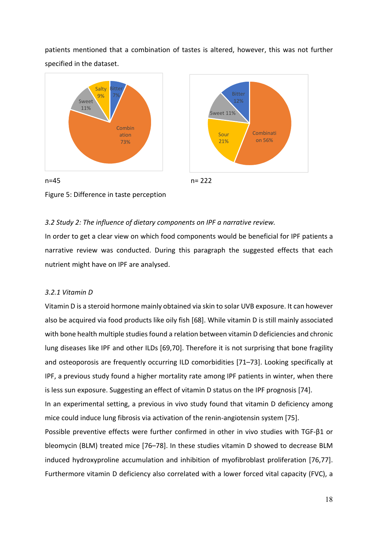patients mentioned that a combination of tastes is altered, however, this was not further specified in the dataset.



Figure 5: Difference in taste perception

## <span id="page-26-0"></span>*3.2 Study 2: The influence of dietary components on IPF a narrative review.*

In order to get a clear view on which food components would be beneficial for IPF patients a narrative review was conducted. During this paragraph the suggested effects that each nutrient might have on IPF are analysed.

## <span id="page-26-1"></span>*3.2.1 Vitamin D*

Vitamin D is a steroid hormone mainly obtained via skin to solar UVB exposure. It can however also be acquired via food products like oily fish [68]. While vitamin D is still mainly associated with bone health multiple studies found a relation between vitamin D deficiencies and chronic lung diseases like IPF and other ILDs [69,70]. Therefore it is not surprising that bone fragility and osteoporosis are frequently occurring ILD comorbidities [71–73]. Looking specifically at IPF, a previous study found a higher mortality rate among IPF patients in winter, when there is less sun exposure. Suggesting an effect of vitamin D status on the IPF prognosis [74]. In an experimental setting, a previous in vivo study found that vitamin D deficiency among

mice could induce lung fibrosis via activation of the renin-angiotensin system [75].

Possible preventive effects were further confirmed in other in vivo studies with TGF-β1 or bleomycin (BLM) treated mice [76–78]. In these studies vitamin D showed to decrease BLM induced hydroxyproline accumulation and inhibition of myofibroblast proliferation [76,77]. Furthermore vitamin D deficiency also correlated with a lower forced vital capacity (FVC), a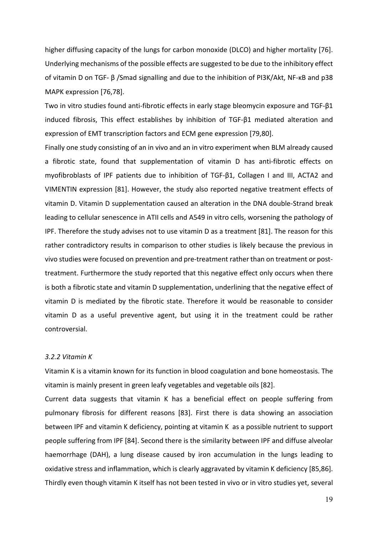higher diffusing capacity of the lungs for carbon monoxide (DLCO) and higher mortality [76]. Underlying mechanisms of the possible effects are suggested to be due to the inhibitory effect of vitamin D on TGF- β /Smad signalling and due to the inhibition of PI3K/Akt, NF-κB and p38 MAPK expression [76,78].

Two in vitro studies found anti-fibrotic effects in early stage bleomycin exposure and TGF-β1 induced fibrosis, This effect establishes by inhibition of TGF-β1 mediated alteration and expression of EMT transcription factors and ECM gene expression [79,80].

Finally one study consisting of an in vivo and an in vitro experiment when BLM already caused a fibrotic state, found that supplementation of vitamin D has anti-fibrotic effects on myofibroblasts of IPF patients due to inhibition of TGF-β1, Collagen I and III, ACTA2 and VIMENTIN expression [81]. However, the study also reported negative treatment effects of vitamin D. Vitamin D supplementation caused an alteration in the DNA double-Strand break leading to cellular senescence in ATII cells and A549 in vitro cells, worsening the pathology of IPF. Therefore the study advises not to use vitamin D as a treatment [81]. The reason for this rather contradictory results in comparison to other studies is likely because the previous in vivo studies were focused on prevention and pre-treatment rather than on treatment or posttreatment. Furthermore the study reported that this negative effect only occurs when there is both a fibrotic state and vitamin D supplementation, underlining that the negative effect of vitamin D is mediated by the fibrotic state. Therefore it would be reasonable to consider vitamin D as a useful preventive agent, but using it in the treatment could be rather controversial.

#### <span id="page-27-0"></span>*3.2.2 Vitamin K*

Vitamin K is a vitamin known for its function in blood coagulation and bone homeostasis. The vitamin is mainly present in green leafy vegetables and vegetable oils [82].

Current data suggests that vitamin K has a beneficial effect on people suffering from pulmonary fibrosis for different reasons [83]. First there is data showing an association between IPF and vitamin K deficiency, pointing at vitamin K as a possible nutrient to support people suffering from IPF [84]. Second there is the similarity between IPF and diffuse alveolar haemorrhage (DAH), a lung disease caused by iron accumulation in the lungs leading to oxidative stress and inflammation, which is clearly aggravated by vitamin K deficiency [85,86]. Thirdly even though vitamin K itself has not been tested in vivo or in vitro studies yet, several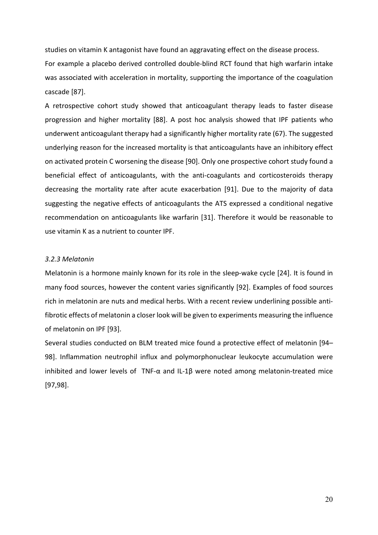studies on vitamin K antagonist have found an aggravating effect on the disease process.

For example a placebo derived controlled double-blind RCT found that high warfarin intake was associated with acceleration in mortality, supporting the importance of the coagulation cascade [87].

A retrospective cohort study showed that anticoagulant therapy leads to faster disease progression and higher mortality [88]. A post hoc analysis showed that IPF patients who underwent anticoagulant therapy had a significantly higher mortality rate (67). The suggested underlying reason for the increased mortality is that anticoagulants have an inhibitory effect on activated protein C worsening the disease [90]. Only one prospective cohort study found a beneficial effect of anticoagulants, with the anti-coagulants and corticosteroids therapy decreasing the mortality rate after acute exacerbation [91]. Due to the majority of data suggesting the negative effects of anticoagulants the ATS expressed a conditional negative recommendation on anticoagulants like warfarin [31]. Therefore it would be reasonable to use vitamin K as a nutrient to counter IPF.

## <span id="page-28-0"></span>*3.2.3 Melatonin*

Melatonin is a hormone mainly known for its role in the sleep-wake cycle [24]. It is found in many food sources, however the content varies significantly [92]. Examples of food sources rich in melatonin are nuts and medical herbs. With a recent review underlining possible antifibrotic effects of melatonin a closer look will be given to experiments measuring the influence of melatonin on IPF [93].

Several studies conducted on BLM treated mice found a protective effect of melatonin [94– 98]. Inflammation neutrophil influx and polymorphonuclear leukocyte accumulation were inhibited and lower levels of TNF- $\alpha$  and IL-1 $\beta$  were noted among melatonin-treated mice [97,98].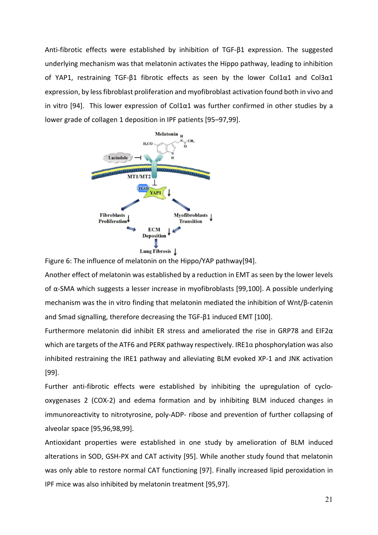Anti-fibrotic effects were established by inhibition of TGF-β1 expression. The suggested underlying mechanism was that melatonin activates the Hippo pathway, leading to inhibition of YAP1, restraining TGF-β1 fibrotic effects as seen by the lower Col1α1 and Col3α1 expression, by less fibroblast proliferation and myofibroblast activation found both in vivo and in vitro [94]. This lower expression of Col1 $\alpha$ 1 was further confirmed in other studies by a lower grade of collagen 1 deposition in IPF patients [95–97,99].



Figure 6: The influence of melatonin on the Hippo/YAP pathway[94].

Another effect of melatonin was established by a reduction in EMT as seen by the lower levels of α-SMA which suggests a lesser increase in myofibroblasts [99,100]. A possible underlying mechanism was the in vitro finding that melatonin mediated the inhibition of Wnt/β-catenin and Smad signalling, therefore decreasing the TGF-β1 induced EMT [100].

Furthermore melatonin did inhibit ER stress and ameliorated the rise in GRP78 and EIF2 $\alpha$ which are targets of the ATF6 and PERK pathway respectively. IRE1α phosphorylation was also inhibited restraining the IRE1 pathway and alleviating BLM evoked XP-1 and JNK activation [99].

Further anti-fibrotic effects were established by inhibiting the upregulation of cyclooxygenases 2 (COX-2) and edema formation and by inhibiting BLM induced changes in immunoreactivity to nitrotyrosine, poly-ADP- ribose and prevention of further collapsing of alveolar space [95,96,98,99].

Antioxidant properties were established in one study by amelioration of BLM induced alterations in SOD, GSH-PX and CAT activity [95]. While another study found that melatonin was only able to restore normal CAT functioning [97]. Finally increased lipid peroxidation in IPF mice was also inhibited by melatonin treatment [95,97].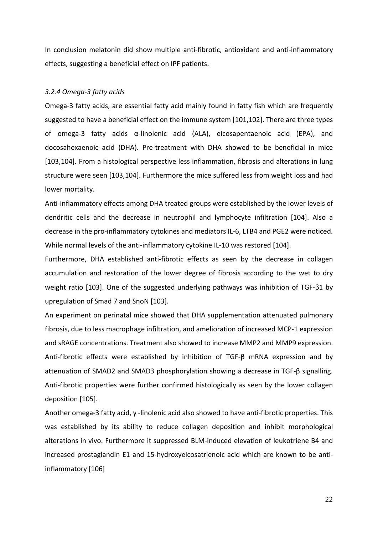In conclusion melatonin did show multiple anti-fibrotic, antioxidant and anti-inflammatory effects, suggesting a beneficial effect on IPF patients.

# <span id="page-30-0"></span>*3.2.4 Omega-3 fatty acids*

Omega-3 fatty acids, are essential fatty acid mainly found in fatty fish which are frequently suggested to have a beneficial effect on the immune system [101,102]. There are three types of omega-3 fatty acids α-linolenic acid (ALA), eicosapentaenoic acid (EPA), and docosahexaenoic acid (DHA). Pre-treatment with DHA showed to be beneficial in mice [103,104]. From a histological perspective less inflammation, fibrosis and alterations in lung structure were seen [103,104]. Furthermore the mice suffered less from weight loss and had lower mortality.

Anti-inflammatory effects among DHA treated groups were established by the lower levels of dendritic cells and the decrease in neutrophil and lymphocyte infiltration [104]. Also a decrease in the pro-inflammatory cytokines and mediators IL-6, LTB4 and PGE2 were noticed. While normal levels of the anti-inflammatory cytokine IL-10 was restored [104].

Furthermore, DHA established anti-fibrotic effects as seen by the decrease in collagen accumulation and restoration of the lower degree of fibrosis according to the wet to dry weight ratio [103]. One of the suggested underlying pathways was inhibition of TGF-β1 by upregulation of Smad 7 and SnoN [103].

An experiment on perinatal mice showed that DHA supplementation attenuated pulmonary fibrosis, due to less macrophage infiltration, and amelioration of increased MCP-1 expression and sRAGE concentrations. Treatment also showed to increase MMP2 and MMP9 expression. Anti-fibrotic effects were established by inhibition of TGF-β mRNA expression and by attenuation of SMAD2 and SMAD3 phosphorylation showing a decrease in TGF-β signalling. Anti-fibrotic properties were further confirmed histologically as seen by the lower collagen deposition [105].

Another omega-3 fatty acid, γ -linolenic acid also showed to have anti-fibrotic properties. This was established by its ability to reduce collagen deposition and inhibit morphological alterations in vivo. Furthermore it suppressed BLM-induced elevation of leukotriene B4 and increased prostaglandin E1 and 15-hydroxyeicosatrienoic acid which are known to be antiinflammatory [106]

22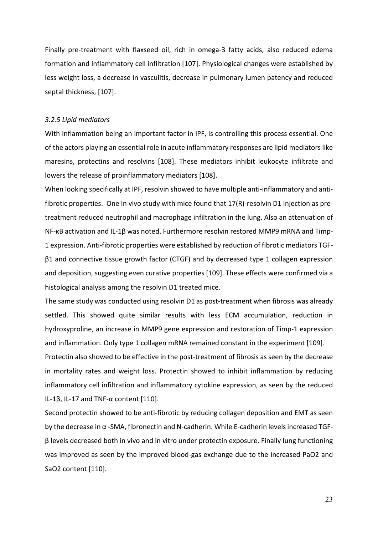Finally pre-treatment with flaxseed oil, rich in omega-3 fatty acids, also reduced edema formation and inflammatory cell infiltration [107]. Physiological changes were established by less weight loss, a decrease in vasculitis, decrease in pulmonary lumen patency and reduced septal thickness, [107].

#### <span id="page-31-0"></span>*3.2.5 Lipid mediators*

With inflammation being an important factor in IPF, is controlling this process essential. One of the actors playing an essential role in acute inflammatory responses are lipid mediators like maresins, protectins and resolvins [108]. These mediators inhibit leukocyte infiltrate and lowers the release of proinflammatory mediators [108].

When looking specifically at IPF, resolvin showed to have multiple anti-inflammatory and antifibrotic properties. One In vivo study with mice found that 17(R)-resolvin D1 injection as pretreatment reduced neutrophil and macrophage infiltration in the lung. Also an attenuation of NF-κB activation and IL-1β was noted. Furthermore resolvin restored MMP9 mRNA and Timp-1 expression. Anti-fibrotic properties were established by reduction of fibrotic mediators TGFβ1 and connective tissue growth factor (CTGF) and by decreased type 1 collagen expression and deposition, suggesting even curative properties [109]. These effects were confirmed via a histological analysis among the resolvin D1 treated mice.

The same study was conducted using resolvin D1 as post-treatment when fibrosis was already settled. This showed quite similar results with less ECM accumulation, reduction in hydroxyproline, an increase in MMP9 gene expression and restoration of Timp-1 expression and inflammation. Only type 1 collagen mRNA remained constant in the experiment [109].

Protectin also showed to be effective in the post-treatment of fibrosis as seen by the decrease in mortality rates and weight loss. Protectin showed to inhibit inflammation by reducing inflammatory cell infiltration and inflammatory cytokine expression, as seen by the reduced IL-1β, IL-17 and TNF-α content [110].

Second protectin showed to be anti-fibrotic by reducing collagen deposition and EMT as seen by the decrease in α -SMA, fibronectin and N-cadherin. While E-cadherin levels increased TGFβ levels decreased both in vivo and in vitro under protectin exposure. Finally lung functioning was improved as seen by the improved blood-gas exchange due to the increased PaO2 and SaO2 content [110].

23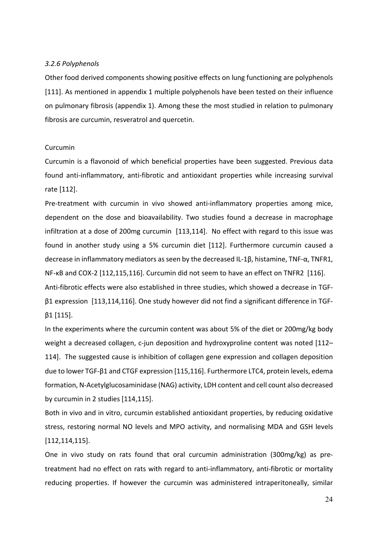#### <span id="page-32-0"></span>*3.2.6 Polyphenols*

Other food derived components showing positive effects on lung functioning are polyphenols [111]. As mentioned in appendix 1 multiple polyphenols have been tested on their influence on pulmonary fibrosis (appendix 1). Among these the most studied in relation to pulmonary fibrosis are curcumin, resveratrol and quercetin.

#### Curcumin

Curcumin is a flavonoid of which beneficial properties have been suggested. Previous data found anti-inflammatory, anti-fibrotic and antioxidant properties while increasing survival rate [112].

Pre-treatment with curcumin in vivo showed anti-inflammatory properties among mice, dependent on the dose and bioavailability. Two studies found a decrease in macrophage infiltration at a dose of 200mg curcumin [113,114]. No effect with regard to this issue was found in another study using a 5% curcumin diet [112]. Furthermore curcumin caused a decrease in inflammatory mediators as seen by the decreased IL-1β, histamine, TNF-α, TNFR1, NF-κB and COX-2 [112,115,116]. Curcumin did not seem to have an effect on TNFR2 [116].

Anti-fibrotic effects were also established in three studies, which showed a decrease in TGFβ1 expression [113,114,116]. One study however did not find a significant difference in TGF $β1$  [115].

In the experiments where the curcumin content was about 5% of the diet or 200mg/kg body weight a decreased collagen, c-jun deposition and hydroxyproline content was noted [112– 114]. The suggested cause is inhibition of collagen gene expression and collagen deposition due to lower TGF-β1 and CTGF expression [115,116]. Furthermore LTC4, protein levels, edema formation, N-Acetylglucosaminidase (NAG) activity, LDH content and cell count also decreased by curcumin in 2 studies [114,115].

Both in vivo and in vitro, curcumin established antioxidant properties, by reducing oxidative stress, restoring normal NO levels and MPO activity, and normalising MDA and GSH levels [112,114,115].

One in vivo study on rats found that oral curcumin administration (300mg/kg) as pretreatment had no effect on rats with regard to anti-inflammatory, anti-fibrotic or mortality reducing properties. If however the curcumin was administered intraperitoneally, similar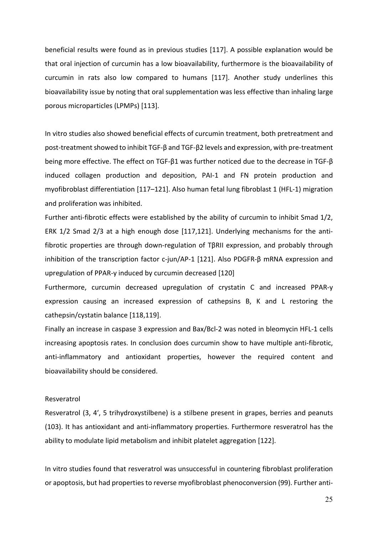beneficial results were found as in previous studies [117]. A possible explanation would be that oral injection of curcumin has a low bioavailability, furthermore is the bioavailability of curcumin in rats also low compared to humans [117]. Another study underlines this bioavailability issue by noting that oral supplementation was less effective than inhaling large porous microparticles (LPMPs) [113].

In vitro studies also showed beneficial effects of curcumin treatment, both pretreatment and post-treatment showed to inhibit TGF- $\beta$  and TGF- $\beta$ 2 levels and expression, with pre-treatment being more effective. The effect on TGF-β1 was further noticed due to the decrease in TGF-β induced collagen production and deposition, PAI-1 and FN protein production and myofibroblast differentiation [117–121]. Also human fetal lung fibroblast 1 (HFL-1) migration and proliferation was inhibited.

Further anti-fibrotic effects were established by the ability of curcumin to inhibit Smad 1/2, ERK 1/2 Smad 2/3 at a high enough dose [117,121]. Underlying mechanisms for the antifibrotic properties are through down-regulation of TβRII expression, and probably through inhibition of the transcription factor c-jun/AP-1 [121]. Also PDGFR-β mRNA expression and upregulation of PPAR-y induced by curcumin decreased [120]

Furthermore, curcumin decreased upregulation of crystatin C and increased PPAR-y expression causing an increased expression of cathepsins B, K and L restoring the cathepsin/cystatin balance [118,119].

Finally an increase in caspase 3 expression and Bax/Bcl-2 was noted in bleomycin HFL-1 cells increasing apoptosis rates. In conclusion does curcumin show to have multiple anti-fibrotic, anti-inflammatory and antioxidant properties, however the required content and bioavailability should be considered.

#### Resveratrol

Resveratrol (3, 4′, 5 trihydroxystilbene) is a stilbene present in grapes, berries and peanuts (103). It has antioxidant and anti-inflammatory properties. Furthermore resveratrol has the ability to modulate lipid metabolism and inhibit platelet aggregation [122].

In vitro studies found that resveratrol was unsuccessful in countering fibroblast proliferation or apoptosis, but had properties to reverse myofibroblast phenoconversion (99). Further anti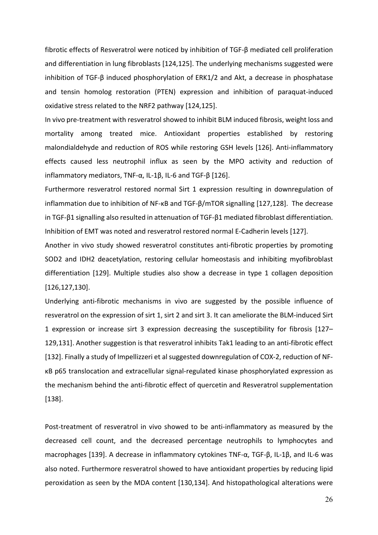fibrotic effects of Resveratrol were noticed by inhibition of TGF-β mediated cell proliferation and differentiation in lung fibroblasts [124,125]. The underlying mechanisms suggested were inhibition of TGF-β induced phosphorylation of ERK1/2 and Akt, a decrease in phosphatase and tensin homolog restoration (PTEN) expression and inhibition of paraquat-induced oxidative stress related to the NRF2 pathway [124,125].

In vivo pre-treatment with resveratrol showed to inhibit BLM induced fibrosis, weight loss and mortality among treated mice. Antioxidant properties established by restoring malondialdehyde and reduction of ROS while restoring GSH levels [126]. Anti-inflammatory effects caused less neutrophil influx as seen by the MPO activity and reduction of inflammatory mediators, TNF-α, IL-1β, IL-6 and TGF-β [126].

Furthermore resveratrol restored normal Sirt 1 expression resulting in downregulation of inflammation due to inhibition of NF-κB and TGF-β/mTOR signalling [127,128]. The decrease in TGF-β1 signalling also resulted in attenuation of TGF-β1 mediated fibroblast differentiation. Inhibition of EMT was noted and resveratrol restored normal E-Cadherin levels [127].

Another in vivo study showed resveratrol constitutes anti-fibrotic properties by promoting SOD2 and IDH2 deacetylation, restoring cellular homeostasis and inhibiting myofibroblast differentiation [129]. Multiple studies also show a decrease in type 1 collagen deposition [126,127,130].

Underlying anti-fibrotic mechanisms in vivo are suggested by the possible influence of resveratrol on the expression of sirt 1, sirt 2 and sirt 3. It can ameliorate the BLM-induced Sirt 1 expression or increase sirt 3 expression decreasing the susceptibility for fibrosis [127– 129,131]. Another suggestion is that resveratrol inhibits Tak1 leading to an anti-fibrotic effect [132]. Finally a study of Impellizzeri et al suggested downregulation of COX-2, reduction of NFκB p65 translocation and extracellular signal-regulated kinase phosphorylated expression as the mechanism behind the anti-fibrotic effect of quercetin and Resveratrol supplementation [138].

Post-treatment of resveratrol in vivo showed to be anti-inflammatory as measured by the decreased cell count, and the decreased percentage neutrophils to lymphocytes and macrophages [139]. A decrease in inflammatory cytokines TNF-α, TGF-β, IL-1β, and IL-6 was also noted. Furthermore resveratrol showed to have antioxidant properties by reducing lipid peroxidation as seen by the MDA content [130,134]. And histopathological alterations were

26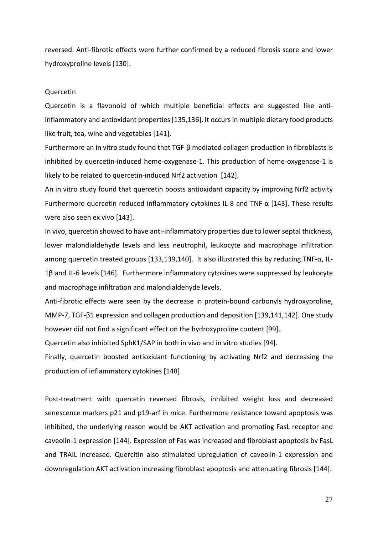reversed. Anti-fibrotic effects were further confirmed by a reduced fibrosis score and lower hydroxyproline levels [130].

#### Quercetin

Quercetin is a flavonoid of which multiple beneficial effects are suggested like antiinflammatory and antioxidant properties [135,136]. It occurs in multiple dietary food products like fruit, tea, wine and vegetables [141].

Furthermore an in vitro study found that TGF-β mediated collagen production in fibroblasts is inhibited by quercetin-induced heme-oxygenase-1. This production of heme-oxygenase-1 is likely to be related to quercetin-induced Nrf2 activation [142].

An in vitro study found that quercetin boosts antioxidant capacity by improving Nrf2 activity Furthermore quercetin reduced inflammatory cytokines IL-8 and TNF-α [143]. These results were also seen ex vivo [143].

In vivo, quercetin showed to have anti-inflammatory properties due to lower septal thickness, lower malondialdehyde levels and less neutrophil, leukocyte and macrophage infiltration among quercetin treated groups [133,139,140]. It also illustrated this by reducing TNF-α, IL-1β and IL-6 levels [146]. Furthermore inflammatory cytokines were suppressed by leukocyte and macrophage infiltration and malondialdehyde levels.

Anti-fibrotic effects were seen by the decrease in protein-bound carbonyls hydroxyproline, MMP-7, TGF-β1 expression and collagen production and deposition [139,141,142]. One study however did not find a significant effect on the hydroxyproline content [99].

Quercetin also inhibited SphK1/SAP in both in vivo and in vitro studies [94].

Finally, quercetin boosted antioxidant functioning by activating Nrf2 and decreasing the production of inflammatory cytokines [148].

Post-treatment with quercetin reversed fibrosis, inhibited weight loss and decreased senescence markers p21 and p19-arf in mice. Furthermore resistance toward apoptosis was inhibited, the underlying reason would be AKT activation and promoting FasL receptor and caveolin-1 expression [144]. Expression of Fas was increased and fibroblast apoptosis by FasL and TRAIL increased. Quercitin also stimulated upregulation of caveolin-1 expression and downregulation AKT activation increasing fibroblast apoptosis and attenuating fibrosis [144].

27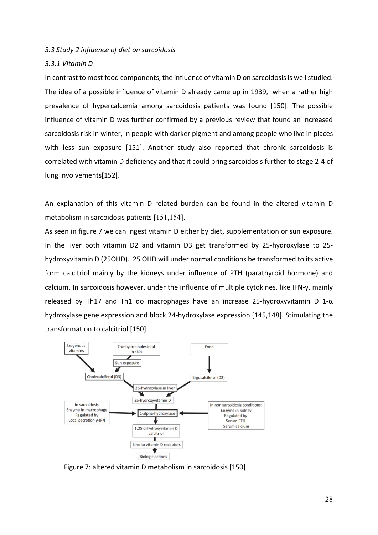### *3.3 Study 2 influence of diet on sarcoidosis*

### *3.3.1 Vitamin D*

In contrast to most food components, the influence of vitamin D on sarcoidosis is well studied. The idea of a possible influence of vitamin D already came up in 1939, when a rather high prevalence of hypercalcemia among sarcoidosis patients was found [150]. The possible influence of vitamin D was further confirmed by a previous review that found an increased sarcoidosis risk in winter, in people with darker pigment and among people who live in places with less sun exposure [151]. Another study also reported that chronic sarcoidosis is correlated with vitamin D deficiency and that it could bring sarcoidosis further to stage 2-4 of lung involvements[152].

An explanation of this vitamin D related burden can be found in the altered vitamin D metabolism in sarcoidosis patients [151,154].

As seen in figure 7 we can ingest vitamin D either by diet, supplementation or sun exposure. In the liver both vitamin D2 and vitamin D3 get transformed by 25-hydroxylase to 25 hydroxyvitamin D (25OHD). 25 OHD will under normal conditions be transformed to its active form calcitriol mainly by the kidneys under influence of PTH (parathyroid hormone) and calcium. In sarcoidosis however, under the influence of multiple cytokines, like IFN-y, mainly released by Th17 and Th1 do macrophages have an increase 25-hydroxyvitamin D 1- $\alpha$ hydroxylase gene expression and block 24-hydroxylase expression [145,148]. Stimulating the transformation to calcitriol [150].



Figure 7: altered vitamin D metabolism in sarcoidosis [150]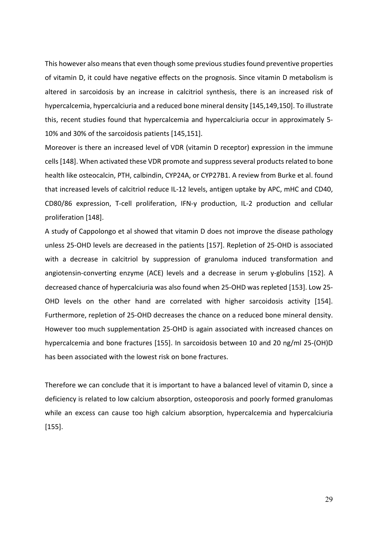This however also means that even though some previous studies found preventive properties of vitamin D, it could have negative effects on the prognosis. Since vitamin D metabolism is altered in sarcoidosis by an increase in calcitriol synthesis, there is an increased risk of hypercalcemia, hypercalciuria and a reduced bone mineral density [145,149,150]. To illustrate this, recent studies found that hypercalcemia and hypercalciuria occur in approximately 5- 10% and 30% of the sarcoidosis patients [145,151].

Moreover is there an increased level of VDR (vitamin D receptor) expression in the immune cells[148]. When activated these VDR promote and suppress several products related to bone health like osteocalcin, PTH, calbindin, CYP24A, or CYP27B1. A review from Burke et al. found that increased levels of calcitriol reduce IL-12 levels, antigen uptake by APC, mHC and CD40, CD80/86 expression, T-cell proliferation, IFN-y production, IL-2 production and cellular proliferation [148].

A study of Cappolongo et al showed that vitamin D does not improve the disease pathology unless 25-OHD levels are decreased in the patients [157]. Repletion of 25-OHD is associated with a decrease in calcitriol by suppression of granuloma induced transformation and angiotensin-converting enzyme (ACE) levels and a decrease in serum y-globulins [152]. A decreased chance of hypercalciuria was also found when 25-OHD was repleted [153]. Low 25- OHD levels on the other hand are correlated with higher sarcoidosis activity [154]. Furthermore, repletion of 25-OHD decreases the chance on a reduced bone mineral density. However too much supplementation 25-OHD is again associated with increased chances on hypercalcemia and bone fractures [155]. In sarcoidosis between 10 and 20 ng/ml 25-(OH)D has been associated with the lowest risk on bone fractures.

Therefore we can conclude that it is important to have a balanced level of vitamin D, since a deficiency is related to low calcium absorption, osteoporosis and poorly formed granulomas while an excess can cause too high calcium absorption, hypercalcemia and hypercalciuria [155].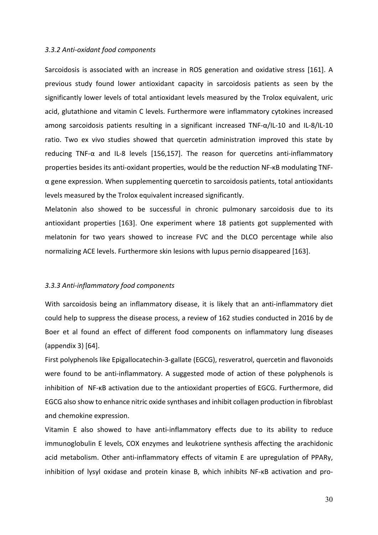#### *3.3.2 Anti-oxidant food components*

Sarcoidosis is associated with an increase in ROS generation and oxidative stress [161]. A previous study found lower antioxidant capacity in sarcoidosis patients as seen by the significantly lower levels of total antioxidant levels measured by the Trolox equivalent, uric acid, glutathione and vitamin C levels. Furthermore were inflammatory cytokines increased among sarcoidosis patients resulting in a significant increased TNF-α/IL-10 and IL-8/IL-10 ratio. Two ex vivo studies showed that quercetin administration improved this state by reducing TNF- $\alpha$  and IL-8 levels [156,157]. The reason for quercetins anti-inflammatory properties besides its anti-oxidant properties, would be the reduction NF-κB modulating TNFα gene expression. When supplementing quercetin to sarcoidosis patients, total antioxidants levels measured by the Trolox equivalent increased significantly.

Melatonin also showed to be successful in chronic pulmonary sarcoidosis due to its antioxidant properties [163]. One experiment where 18 patients got supplemented with melatonin for two years showed to increase FVC and the DLCO percentage while also normalizing ACE levels. Furthermore skin lesions with lupus pernio disappeared [163].

### *3.3.3 Anti-inflammatory food components*

With sarcoidosis being an inflammatory disease, it is likely that an anti-inflammatory diet could help to suppress the disease process, a review of 162 studies conducted in 2016 by de Boer et al found an effect of different food components on inflammatory lung diseases (appendix 3) [64].

First polyphenols like Epigallocatechin-3-gallate (EGCG), resveratrol, quercetin and flavonoids were found to be anti-inflammatory. A suggested mode of action of these polyphenols is inhibition of NF-κB activation due to the antioxidant properties of EGCG. Furthermore, did EGCG also show to enhance nitric oxide synthases and inhibit collagen production in fibroblast and chemokine expression.

Vitamin E also showed to have anti-inflammatory effects due to its ability to reduce immunoglobulin E levels, COX enzymes and leukotriene synthesis affecting the arachidonic acid metabolism. Other anti-inflammatory effects of vitamin E are upregulation of PPARy, inhibition of lysyl oxidase and protein kinase B, which inhibits NF-κB activation and pro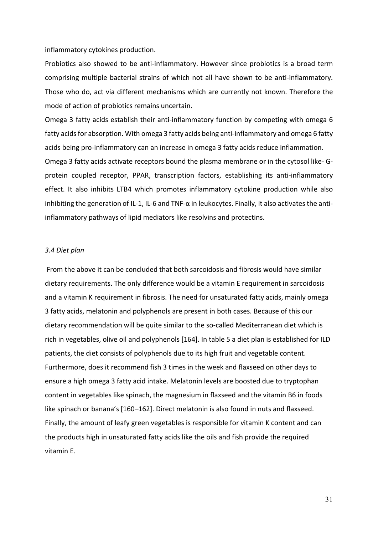inflammatory cytokines production.

Probiotics also showed to be anti-inflammatory. However since probiotics is a broad term comprising multiple bacterial strains of which not all have shown to be anti-inflammatory. Those who do, act via different mechanisms which are currently not known. Therefore the mode of action of probiotics remains uncertain.

Omega 3 fatty acids establish their anti-inflammatory function by competing with omega 6 fatty acids for absorption. With omega 3 fatty acids being anti-inflammatory and omega 6 fatty acids being pro-inflammatory can an increase in omega 3 fatty acids reduce inflammation. Omega 3 fatty acids activate receptors bound the plasma membrane or in the cytosol like- Gprotein coupled receptor, PPAR, transcription factors, establishing its anti-inflammatory effect. It also inhibits LTB4 which promotes inflammatory cytokine production while also inhibiting the generation of IL-1, IL-6 and TNF-α in leukocytes. Finally, it also activates the antiinflammatory pathways of lipid mediators like resolvins and protectins.

### *3.4 Diet plan*

From the above it can be concluded that both sarcoidosis and fibrosis would have similar dietary requirements. The only difference would be a vitamin E requirement in sarcoidosis and a vitamin K requirement in fibrosis. The need for unsaturated fatty acids, mainly omega 3 fatty acids, melatonin and polyphenols are present in both cases. Because of this our dietary recommendation will be quite similar to the so-called Mediterranean diet which is rich in vegetables, olive oil and polyphenols [164]. In table 5 a diet plan is established for ILD patients, the diet consists of polyphenols due to its high fruit and vegetable content. Furthermore, does it recommend fish 3 times in the week and flaxseed on other days to ensure a high omega 3 fatty acid intake. Melatonin levels are boosted due to tryptophan content in vegetables like spinach, the magnesium in flaxseed and the vitamin B6 in foods like spinach or banana's [160–162]. Direct melatonin is also found in nuts and flaxseed. Finally, the amount of leafy green vegetables is responsible for vitamin K content and can the products high in unsaturated fatty acids like the oils and fish provide the required vitamin E.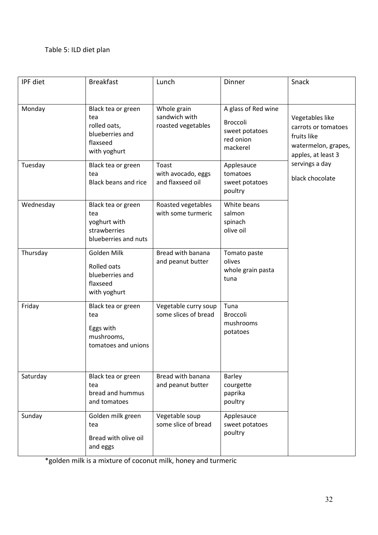# Table 5: ILD diet plan

| IPF diet  | <b>Breakfast</b>                                                                         | Lunch                                              | Dinner                                                                            | Snack                                                                                              |
|-----------|------------------------------------------------------------------------------------------|----------------------------------------------------|-----------------------------------------------------------------------------------|----------------------------------------------------------------------------------------------------|
| Monday    | Black tea or green<br>tea<br>rolled oats,<br>blueberries and<br>flaxseed<br>with yoghurt | Whole grain<br>sandwich with<br>roasted vegetables | A glass of Red wine<br><b>Broccoli</b><br>sweet potatoes<br>red onion<br>mackerel | Vegetables like<br>carrots or tomatoes<br>fruits like<br>watermelon, grapes,<br>apples, at least 3 |
| Tuesday   | Black tea or green<br>tea<br><b>Black beans and rice</b>                                 | Toast<br>with avocado, eggs<br>and flaxseed oil    | Applesauce<br>tomatoes<br>sweet potatoes<br>poultry                               | servings a day<br>black chocolate                                                                  |
| Wednesday | Black tea or green<br>tea<br>yoghurt with<br>strawberries<br>blueberries and nuts        | Roasted vegetables<br>with some turmeric           | White beans<br>salmon<br>spinach<br>olive oil                                     |                                                                                                    |
| Thursday  | Golden Milk<br>Rolled oats<br>blueberries and<br>flaxseed<br>with yoghurt                | Bread with banana<br>and peanut butter             | Tomato paste<br>olives<br>whole grain pasta<br>tuna                               |                                                                                                    |
| Friday    | Black tea or green<br>tea<br>Eggs with<br>mushrooms,<br>tomatoes and unions              | Vegetable curry soup<br>some slices of bread       | Tuna<br><b>Broccoli</b><br>mushrooms<br>potatoes                                  |                                                                                                    |
| Saturday  | Black tea or green<br>tea<br>bread and hummus<br>and tomatoes                            | Bread with banana<br>and peanut butter             | <b>Barley</b><br>courgette<br>paprika<br>poultry                                  |                                                                                                    |
| Sunday    | Golden milk green<br>tea<br>Bread with olive oil<br>and eggs                             | Vegetable soup<br>some slice of bread              | Applesauce<br>sweet potatoes<br>poultry                                           |                                                                                                    |

\*golden milk is a mixture of coconut milk, honey and turmeric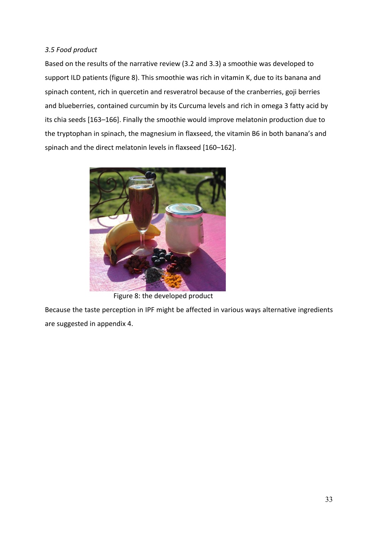### *3.5 Food product*

Based on the results of the narrative review (3.2 and 3.3) a smoothie was developed to support ILD patients (figure 8). This smoothie was rich in vitamin K, due to its banana and spinach content, rich in quercetin and resveratrol because of the cranberries, goji berries and blueberries, contained curcumin by its Curcuma levels and rich in omega 3 fatty acid by its chia seeds [163–166]. Finally the smoothie would improve melatonin production due to the tryptophan in spinach, the magnesium in flaxseed, the vitamin B6 in both banana's and spinach and the direct melatonin levels in flaxseed [160–162].



Figure 8: the developed product

Because the taste perception in IPF might be affected in various ways alternative ingredients are suggested in appendix 4.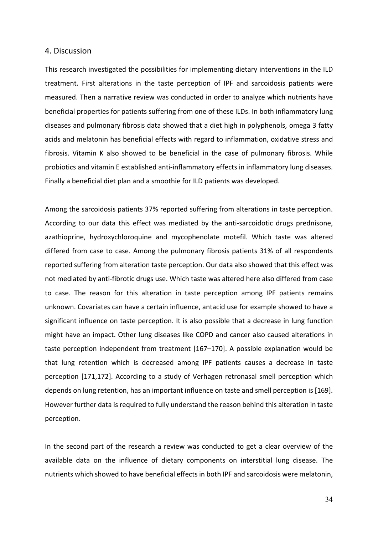### 4. Discussion

This research investigated the possibilities for implementing dietary interventions in the ILD treatment. First alterations in the taste perception of IPF and sarcoidosis patients were measured. Then a narrative review was conducted in order to analyze which nutrients have beneficial properties for patients suffering from one of these ILDs. In both inflammatory lung diseases and pulmonary fibrosis data showed that a diet high in polyphenols, omega 3 fatty acids and melatonin has beneficial effects with regard to inflammation, oxidative stress and fibrosis. Vitamin K also showed to be beneficial in the case of pulmonary fibrosis. While probiotics and vitamin E established anti-inflammatory effects in inflammatory lung diseases. Finally a beneficial diet plan and a smoothie for ILD patients was developed.

Among the sarcoidosis patients 37% reported suffering from alterations in taste perception. According to our data this effect was mediated by the anti-sarcoidotic drugs prednisone, azathioprine, hydroxychloroquine and mycophenolate motefil. Which taste was altered differed from case to case. Among the pulmonary fibrosis patients 31% of all respondents reported suffering from alteration taste perception. Our data also showed that this effect was not mediated by anti-fibrotic drugs use. Which taste was altered here also differed from case to case. The reason for this alteration in taste perception among IPF patients remains unknown. Covariates can have a certain influence, antacid use for example showed to have a significant influence on taste perception. It is also possible that a decrease in lung function might have an impact. Other lung diseases like COPD and cancer also caused alterations in taste perception independent from treatment [167–170]. A possible explanation would be that lung retention which is decreased among IPF patients causes a decrease in taste perception [171,172]. According to a study of Verhagen retronasal smell perception which depends on lung retention, has an important influence on taste and smell perception is [169]. However further data is required to fully understand the reason behind this alteration in taste perception.

In the second part of the research a review was conducted to get a clear overview of the available data on the influence of dietary components on interstitial lung disease. The nutrients which showed to have beneficial effects in both IPF and sarcoidosis were melatonin,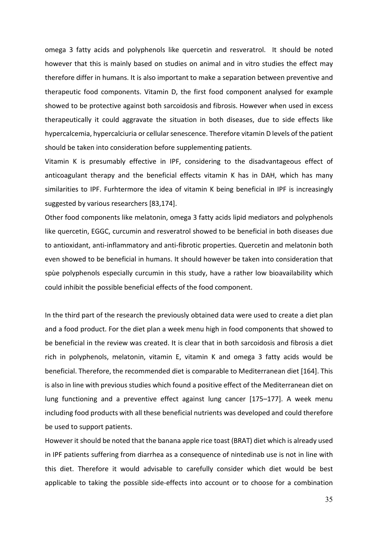omega 3 fatty acids and polyphenols like quercetin and resveratrol. It should be noted however that this is mainly based on studies on animal and in vitro studies the effect may therefore differ in humans. It is also important to make a separation between preventive and therapeutic food components. Vitamin D, the first food component analysed for example showed to be protective against both sarcoidosis and fibrosis. However when used in excess therapeutically it could aggravate the situation in both diseases, due to side effects like hypercalcemia, hypercalciuria or cellular senescence. Therefore vitamin D levels of the patient should be taken into consideration before supplementing patients.

Vitamin K is presumably effective in IPF, considering to the disadvantageous effect of anticoagulant therapy and the beneficial effects vitamin K has in DAH, which has many similarities to IPF. Furhtermore the idea of vitamin K being beneficial in IPF is increasingly suggested by various researchers [83,174].

Other food components like melatonin, omega 3 fatty acids lipid mediators and polyphenols like quercetin, EGGC, curcumin and resveratrol showed to be beneficial in both diseases due to antioxidant, anti-inflammatory and anti-fibrotic properties. Quercetin and melatonin both even showed to be beneficial in humans. It should however be taken into consideration that spùe polyphenols especially curcumin in this study, have a rather low bioavailability which could inhibit the possible beneficial effects of the food component.

In the third part of the research the previously obtained data were used to create a diet plan and a food product. For the diet plan a week menu high in food components that showed to be beneficial in the review was created. It is clear that in both sarcoidosis and fibrosis a diet rich in polyphenols, melatonin, vitamin E, vitamin K and omega 3 fatty acids would be beneficial. Therefore, the recommended diet is comparable to Mediterranean diet [164]. This is also in line with previous studies which found a positive effect of the Mediterranean diet on lung functioning and a preventive effect against lung cancer [175–177]. A week menu including food products with all these beneficial nutrients was developed and could therefore be used to support patients.

However it should be noted that the banana apple rice toast (BRAT) diet which is already used in IPF patients suffering from diarrhea as a consequence of nintedinab use is not in line with this diet. Therefore it would advisable to carefully consider which diet would be best applicable to taking the possible side-effects into account or to choose for a combination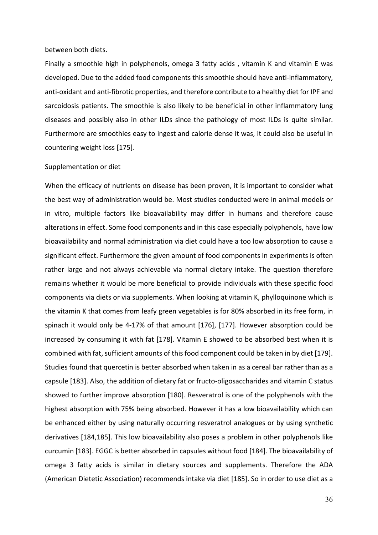#### between both diets.

Finally a smoothie high in polyphenols, omega 3 fatty acids , vitamin K and vitamin E was developed. Due to the added food components this smoothie should have anti-inflammatory, anti-oxidant and anti-fibrotic properties, and therefore contribute to a healthy diet for IPF and sarcoidosis patients. The smoothie is also likely to be beneficial in other inflammatory lung diseases and possibly also in other ILDs since the pathology of most ILDs is quite similar. Furthermore are smoothies easy to ingest and calorie dense it was, it could also be useful in countering weight loss [175].

#### Supplementation or diet

When the efficacy of nutrients on disease has been proven, it is important to consider what the best way of administration would be. Most studies conducted were in animal models or in vitro, multiple factors like bioavailability may differ in humans and therefore cause alterations in effect. Some food components and in this case especially polyphenols, have low bioavailability and normal administration via diet could have a too low absorption to cause a significant effect. Furthermore the given amount of food components in experiments is often rather large and not always achievable via normal dietary intake. The question therefore remains whether it would be more beneficial to provide individuals with these specific food components via diets or via supplements. When looking at vitamin K, phylloquinone which is the vitamin K that comes from leafy green vegetables is for 80% absorbed in its free form, in spinach it would only be 4-17% of that amount [176], [177]. However absorption could be increased by consuming it with fat [178]. Vitamin E showed to be absorbed best when it is combined with fat, sufficient amounts of this food component could be taken in by diet [179]. Studies found that quercetin is better absorbed when taken in as a cereal bar rather than as a capsule [183]. Also, the addition of dietary fat or fructo-oligosaccharides and vitamin C status showed to further improve absorption [180]. Resveratrol is one of the polyphenols with the highest absorption with 75% being absorbed. However it has a low bioavailability which can be enhanced either by using naturally occurring resveratrol analogues or by using synthetic derivatives [184,185]. This low bioavailability also poses a problem in other polyphenols like curcumin [183]. EGGC is better absorbed in capsules without food [184]. The bioavailability of omega 3 fatty acids is similar in dietary sources and supplements. Therefore the ADA (American Dietetic Association) recommends intake via diet [185]. So in order to use diet as a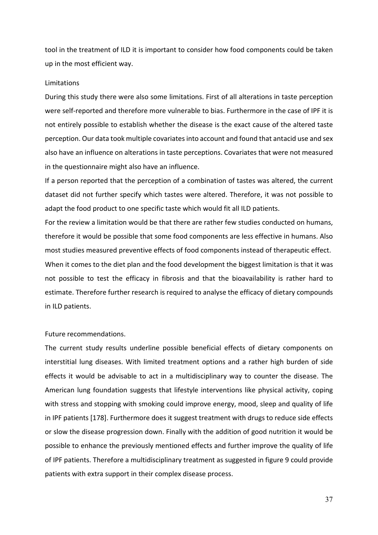tool in the treatment of ILD it is important to consider how food components could be taken up in the most efficient way.

### Limitations

During this study there were also some limitations. First of all alterations in taste perception were self-reported and therefore more vulnerable to bias. Furthermore in the case of IPF it is not entirely possible to establish whether the disease is the exact cause of the altered taste perception. Our data took multiple covariates into account and found that antacid use and sex also have an influence on alterations in taste perceptions. Covariates that were not measured in the questionnaire might also have an influence.

If a person reported that the perception of a combination of tastes was altered, the current dataset did not further specify which tastes were altered. Therefore, it was not possible to adapt the food product to one specific taste which would fit all ILD patients.

For the review a limitation would be that there are rather few studies conducted on humans, therefore it would be possible that some food components are less effective in humans. Also most studies measured preventive effects of food components instead of therapeutic effect. When it comes to the diet plan and the food development the biggest limitation is that it was not possible to test the efficacy in fibrosis and that the bioavailability is rather hard to estimate. Therefore further research is required to analyse the efficacy of dietary compounds in ILD patients.

### Future recommendations.

The current study results underline possible beneficial effects of dietary components on interstitial lung diseases. With limited treatment options and a rather high burden of side effects it would be advisable to act in a multidisciplinary way to counter the disease. The American lung foundation suggests that lifestyle interventions like physical activity, coping with stress and stopping with smoking could improve energy, mood, sleep and quality of life in IPF patients [178]. Furthermore does it suggest treatment with drugs to reduce side effects or slow the disease progression down. Finally with the addition of good nutrition it would be possible to enhance the previously mentioned effects and further improve the quality of life of IPF patients. Therefore a multidisciplinary treatment as suggested in figure 9 could provide patients with extra support in their complex disease process.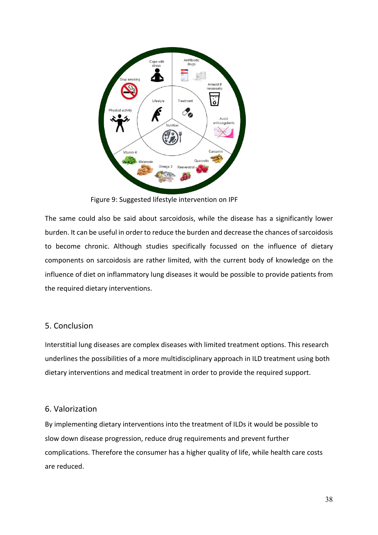

Figure 9: Suggested lifestyle intervention on IPF

The same could also be said about sarcoidosis, while the disease has a significantly lower burden. It can be useful in order to reduce the burden and decrease the chances of sarcoidosis to become chronic. Although studies specifically focussed on the influence of dietary components on sarcoidosis are rather limited, with the current body of knowledge on the influence of diet on inflammatory lung diseases it would be possible to provide patients from the required dietary interventions.

## 5. Conclusion

Interstitial lung diseases are complex diseases with limited treatment options. This research underlines the possibilities of a more multidisciplinary approach in ILD treatment using both dietary interventions and medical treatment in order to provide the required support.

### 6. Valorization

By implementing dietary interventions into the treatment of ILDs it would be possible to slow down disease progression, reduce drug requirements and prevent further complications. Therefore the consumer has a higher quality of life, while health care costs are reduced.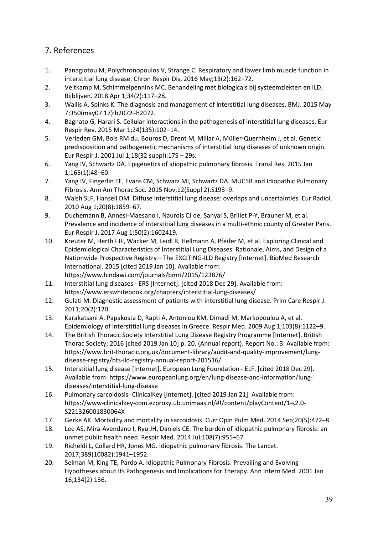## 7. References

- 1. Panagiotou M, Polychronopoulos V, Strange C. Respiratory and lower limb muscle function in interstitial lung disease. Chron Respir Dis. 2016 May;13(2):162–72.
- 2. Veltkamp M, Schimmelpennink MC. Behandeling met biologicals bij systeemziekten en ILD. Bijblijven. 2018 Apr 1;34(2):117–28.
- 3. Wallis A, Spinks K. The diagnosis and management of interstitial lung diseases. BMJ. 2015 May 7;350(may07 17):h2072–h2072.
- 4. Bagnato G, Harari S. Cellular interactions in the pathogenesis of interstitial lung diseases. Eur Respir Rev. 2015 Mar 1;24(135):102–14.
- 5. Verleden GM, Bois RM du, Bouros D, Drent M, Millar A, Müller-Quernheim J, et al. Genetic predisposition and pathogenetic mechanisms of interstitial lung diseases of unknown origin. Eur Respir J. 2001 Jul 1;18(32 suppl):17S – 29s.
- 6. Yang IV, Schwartz DA. Epigenetics of idiopathic pulmonary fibrosis. Transl Res. 2015 Jan 1;165(1):48–60.
- 7. Yang IV, Fingerlin TE, Evans CM, Schwarz MI, Schwartz DA. MUC5B and Idiopathic Pulmonary Fibrosis. Ann Am Thorac Soc. 2015 Nov;12(Suppl 2):S193–9.
- 8. Walsh SLF, Hansell DM. Diffuse interstitial lung disease: overlaps and uncertainties. Eur Radiol. 2010 Aug 1;20(8):1859–67.
- 9. Duchemann B, Annesi-Maesano I, Naurois CJ de, Sanyal S, Brillet P-Y, Brauner M, et al. Prevalence and incidence of interstitial lung diseases in a multi-ethnic county of Greater Paris. Eur Respir J. 2017 Aug 1;50(2):1602419.
- 10. Kreuter M, Herth FJF, Wacker M, Leidl R, Hellmann A, Pfeifer M, et al. Exploring Clinical and Epidemiological Characteristics of Interstitial Lung Diseases: Rationale, Aims, and Design of a Nationwide Prospective Registry—The EXCITING-ILD Registry [Internet]. BioMed Research International. 2015 [cited 2019 Jan 10]. Available from: https://www.hindawi.com/journals/bmri/2015/123876/
- 11. Interstitial lung diseases ERS [Internet]. [cited 2018 Dec 29]. Available from: https://www.erswhitebook.org/chapters/interstitial-lung-diseases/
- 12. Gulati M. Diagnostic assessment of patients with interstitial lung disease. Prim Care Respir J. 2011;20(2):120.
- 13. Karakatsani A, Papakosta D, Rapti A, Antoniou KM, Dimadi M, Markopoulou A, et al. Epidemiology of interstitial lung diseases in Greece. Respir Med. 2009 Aug 1;103(8):1122–9.
- 14. The British Thoracic Society Interstitial Lung Disease Registry Programme [Internet]. British Thorac Society; 2016 [cited 2019 Jan 10] p. 20. (Annual report). Report No.: 3. Available from: https://www.brit-thoracic.org.uk/document-library/audit-and-quality-improvement/lungdisease-registry/bts-ild-registry-annual-report-201516/
- 15. Interstitial lung disease [Internet]. European Lung Foundation ELF. [cited 2018 Dec 29]. Available from: https://www.europeanlung.org/en/lung-disease-and-information/lungdiseases/interstitial-lung-disease
- 16. Pulmonary sarcoidosis- ClinicalKey [Internet]. [cited 2019 Jan 21]. Available from: https://www-clinicalkey-com.ezproxy.ub.unimaas.nl/#!/content/playContent/1-s2.0- S221326001830064X
- 17. Gerke AK. Morbidity and mortality in sarcoidosis. Curr Opin Pulm Med. 2014 Sep;20(5):472–8.
- 18. Lee AS, Mira-Avendano I, Ryu JH, Daniels CE. The burden of idiopathic pulmonary fibrosis: an unmet public health need. Respir Med. 2014 Jul;108(7):955–67.
- 19. Richeldi L, Collard HR, Jones MG. Idiopathic pulmonary fibrosis. The Lancet. 2017;389(10082):1941–1952.
- 20. Selman M, King TE, Pardo A. Idiopathic Pulmonary Fibrosis: Prevailing and Evolving Hypotheses about Its Pathogenesis and Implications for Therapy. Ann Intern Med. 2001 Jan 16;134(2):136.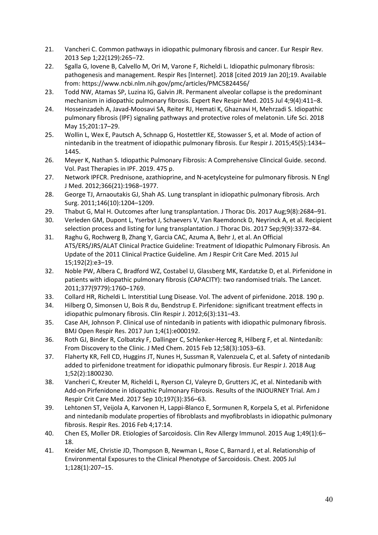- 21. Vancheri C. Common pathways in idiopathic pulmonary fibrosis and cancer. Eur Respir Rev. 2013 Sep 1;22(129):265–72.
- 22. Sgalla G, Iovene B, Calvello M, Ori M, Varone F, Richeldi L. Idiopathic pulmonary fibrosis: pathogenesis and management. Respir Res [Internet]. 2018 [cited 2019 Jan 20];19. Available from: https://www.ncbi.nlm.nih.gov/pmc/articles/PMC5824456/
- 23. Todd NW, Atamas SP, Luzina IG, Galvin JR. Permanent alveolar collapse is the predominant mechanism in idiopathic pulmonary fibrosis. Expert Rev Respir Med. 2015 Jul 4;9(4):411–8.
- 24. Hosseinzadeh A, Javad-Moosavi SA, Reiter RJ, Hemati K, Ghaznavi H, Mehrzadi S. Idiopathic pulmonary fibrosis (IPF) signaling pathways and protective roles of melatonin. Life Sci. 2018 May 15;201:17–29.
- 25. Wollin L, Wex E, Pautsch A, Schnapp G, Hostettler KE, Stowasser S, et al. Mode of action of nintedanib in the treatment of idiopathic pulmonary fibrosis. Eur Respir J. 2015;45(5):1434– 1445.
- 26. Meyer K, Nathan S. Idiopathic Pulmonary Fibrosis: A Comprehensive Clincical Guide. second. Vol. Past Therapies in IPF. 2019. 475 p.
- 27. Network IPFCR. Prednisone, azathioprine, and N-acetylcysteine for pulmonary fibrosis. N Engl J Med. 2012;366(21):1968–1977.
- 28. George TJ, Arnaoutakis GJ, Shah AS. Lung transplant in idiopathic pulmonary fibrosis. Arch Surg. 2011;146(10):1204–1209.
- 29. Thabut G, Mal H. Outcomes after lung transplantation. J Thorac Dis. 2017 Aug;9(8):2684–91.
- 30. Verleden GM, Dupont L, Yserbyt J, Schaevers V, Van Raemdonck D, Neyrinck A, et al. Recipient selection process and listing for lung transplantation. J Thorac Dis. 2017 Sep;9(9):3372–84.
- 31. Raghu G, Rochwerg B, Zhang Y, Garcia CAC, Azuma A, Behr J, et al. An Official ATS/ERS/JRS/ALAT Clinical Practice Guideline: Treatment of Idiopathic Pulmonary Fibrosis. An Update of the 2011 Clinical Practice Guideline. Am J Respir Crit Care Med. 2015 Jul 15;192(2):e3–19.
- 32. Noble PW, Albera C, Bradford WZ, Costabel U, Glassberg MK, Kardatzke D, et al. Pirfenidone in patients with idiopathic pulmonary fibrosis (CAPACITY): two randomised trials. The Lancet. 2011;377(9779):1760–1769.
- 33. Collard HR, Richeldi L. Interstitial Lung Disease. Vol. The advent of pirfenidone. 2018. 190 p.
- 34. Hilberg O, Simonsen U, Bois R du, Bendstrup E. Pirfenidone: significant treatment effects in idiopathic pulmonary fibrosis. Clin Respir J. 2012;6(3):131–43.
- 35. Case AH, Johnson P. Clinical use of nintedanib in patients with idiopathic pulmonary fibrosis. BMJ Open Respir Res. 2017 Jun 1;4(1):e000192.
- 36. Roth GJ, Binder R, Colbatzky F, Dallinger C, Schlenker-Herceg R, Hilberg F, et al. Nintedanib: From Discovery to the Clinic. J Med Chem. 2015 Feb 12;58(3):1053–63.
- 37. Flaherty KR, Fell CD, Huggins JT, Nunes H, Sussman R, Valenzuela C, et al. Safety of nintedanib added to pirfenidone treatment for idiopathic pulmonary fibrosis. Eur Respir J. 2018 Aug 1;52(2):1800230.
- 38. Vancheri C, Kreuter M, Richeldi L, Ryerson CJ, Valeyre D, Grutters JC, et al. Nintedanib with Add-on Pirfenidone in Idiopathic Pulmonary Fibrosis. Results of the INJOURNEY Trial. Am J Respir Crit Care Med. 2017 Sep 10;197(3):356–63.
- 39. Lehtonen ST, Veijola A, Karvonen H, Lappi-Blanco E, Sormunen R, Korpela S, et al. Pirfenidone and nintedanib modulate properties of fibroblasts and myofibroblasts in idiopathic pulmonary fibrosis. Respir Res. 2016 Feb 4;17:14.
- 40. Chen ES, Moller DR. Etiologies of Sarcoidosis. Clin Rev Allergy Immunol. 2015 Aug 1;49(1):6– 18.
- 41. Kreider ME, Christie JD, Thompson B, Newman L, Rose C, Barnard J, et al. Relationship of Environmental Exposures to the Clinical Phenotype of Sarcoidosis. Chest. 2005 Jul 1;128(1):207–15.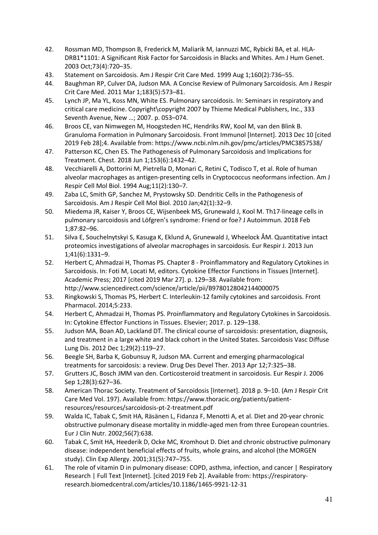- 42. Rossman MD, Thompson B, Frederick M, Maliarik M, Iannuzzi MC, Rybicki BA, et al. HLA-DRB1\*1101: A Significant Risk Factor for Sarcoidosis in Blacks and Whites. Am J Hum Genet. 2003 Oct;73(4):720–35.
- 43. Statement on Sarcoidosis. Am J Respir Crit Care Med. 1999 Aug 1;160(2):736–55.
- 44. Baughman RP, Culver DA, Judson MA. A Concise Review of Pulmonary Sarcoidosis. Am J Respir Crit Care Med. 2011 Mar 1;183(5):573–81.
- 45. Lynch JP, Ma YL, Koss MN, White ES. Pulmonary sarcoidosis. In: Seminars in respiratory and critical care medicine. Copyright\copyright 2007 by Thieme Medical Publishers, Inc., 333 Seventh Avenue, New …; 2007. p. 053–074.
- 46. Broos CE, van Nimwegen M, Hoogsteden HC, Hendriks RW, Kool M, van den Blink B. Granuloma Formation in Pulmonary Sarcoidosis. Front Immunol [Internet]. 2013 Dec 10 [cited 2019 Feb 28];4. Available from: https://www.ncbi.nlm.nih.gov/pmc/articles/PMC3857538/
- 47. Patterson KC, Chen ES. The Pathogenesis of Pulmonary Sarcoidosis and Implications for Treatment. Chest. 2018 Jun 1;153(6):1432–42.
- 48. Vecchiarelli A, Dottorini M, Pietrella D, Monari C, Retini C, Todisco T, et al. Role of human alveolar macrophages as antigen-presenting cells in Cryptococcus neoformans infection. Am J Respir Cell Mol Biol. 1994 Aug;11(2):130–7.
- 49. Zaba LC, Smith GP, Sanchez M, Prystowsky SD. Dendritic Cells in the Pathogenesis of Sarcoidosis. Am J Respir Cell Mol Biol. 2010 Jan;42(1):32–9.
- 50. Miedema JR, Kaiser Y, Broos CE, Wijsenbeek MS, Grunewald J, Kool M. Th17-lineage cells in pulmonary sarcoidosis and Löfgren's syndrome: Friend or foe? J Autoimmun. 2018 Feb 1;87:82–96.
- 51. Silva E, Souchelnytskyi S, Kasuga K, Eklund A, Grunewald J, Wheelock ÅM. Quantitative intact proteomics investigations of alveolar macrophages in sarcoidosis. Eur Respir J. 2013 Jun 1;41(6):1331–9.
- 52. Herbert C, Ahmadzai H, Thomas PS. Chapter 8 Proinflammatory and Regulatory Cytokines in Sarcoidosis. In: Foti M, Locati M, editors. Cytokine Effector Functions in Tissues [Internet]. Academic Press; 2017 [cited 2019 Mar 27]. p. 129–38. Available from: http://www.sciencedirect.com/science/article/pii/B9780128042144000075
- 53. Ringkowski S, Thomas PS, Herbert C. Interleukin-12 family cytokines and sarcoidosis. Front Pharmacol. 2014;5:233.
- 54. Herbert C, Ahmadzai H, Thomas PS. Proinflammatory and Regulatory Cytokines in Sarcoidosis. In: Cytokine Effector Functions in Tissues. Elsevier; 2017. p. 129–138.
- 55. Judson MA, Boan AD, Lackland DT. The clinical course of sarcoidosis: presentation, diagnosis, and treatment in a large white and black cohort in the United States. Sarcoidosis Vasc Diffuse Lung Dis. 2012 Dec 1;29(2):119–27.
- 56. Beegle SH, Barba K, Gobunsuy R, Judson MA. Current and emerging pharmacological treatments for sarcoidosis: a review. Drug Des Devel Ther. 2013 Apr 12;7:325–38.
- 57. Grutters JC, Bosch JMM van den. Corticosteroid treatment in sarcoidosis. Eur Respir J. 2006 Sep 1;28(3):627–36.
- 58. American Thorac Society. Treatment of Sarcoidosis [Internet]. 2018 p. 9–10. (Am J Respir Crit Care Med Vol. 197). Available from: https://www.thoracic.org/patients/patientresources/resources/sarcoidosis-pt-2-treatment.pdf
- 59. Walda IC, Tabak C, Smit HA, Räsänen L, Fidanza F, Menotti A, et al. Diet and 20-year chronic obstructive pulmonary disease mortality in middle-aged men from three European countries. Eur J Clin Nutr. 2002;56(7):638.
- 60. Tabak C, Smit HA, Heederik D, Ocke MC, Kromhout D. Diet and chronic obstructive pulmonary disease: independent beneficial effects of fruits, whole grains, and alcohol (the MORGEN study). Clin Exp Allergy. 2001;31(5):747–755.
- 61. The role of vitamin D in pulmonary disease: COPD, asthma, infection, and cancer | Respiratory Research | Full Text [Internet]. [cited 2019 Feb 2]. Available from: https://respiratoryresearch.biomedcentral.com/articles/10.1186/1465-9921-12-31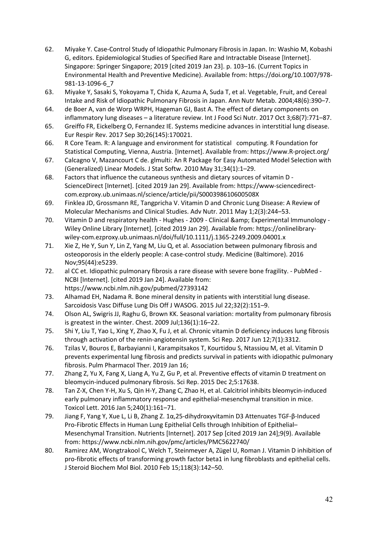- 62. Miyake Y. Case-Control Study of Idiopathic Pulmonary Fibrosis in Japan. In: Washio M, Kobashi G, editors. Epidemiological Studies of Specified Rare and Intractable Disease [Internet]. Singapore: Springer Singapore; 2019 [cited 2019 Jan 23]. p. 103–16. (Current Topics in Environmental Health and Preventive Medicine). Available from: https://doi.org/10.1007/978- 981-13-1096-6\_7
- 63. Miyake Y, Sasaki S, Yokoyama T, Chida K, Azuma A, Suda T, et al. Vegetable, Fruit, and Cereal Intake and Risk of Idiopathic Pulmonary Fibrosis in Japan. Ann Nutr Metab. 2004;48(6):390–7.
- 64. de Boer A, van de Worp WRPH, Hageman GJ, Bast A. The effect of dietary components on inflammatory lung diseases – a literature review. Int J Food Sci Nutr. 2017 Oct 3;68(7):771–87.
- 65. Greiffo FR, Eickelberg O, Fernandez IE. Systems medicine advances in interstitial lung disease. Eur Respir Rev. 2017 Sep 30;26(145):170021.
- 66. R Core Team. R: A language and environment for statistical computing. R Foundation for Statistical Computing, Vienna, Austria. [Internet]. Available from: https://www.R-project.org/
- 67. Calcagno V, Mazancourt C de. glmulti: An R Package for Easy Automated Model Selection with (Generalized) Linear Models. J Stat Softw. 2010 May 31;34(1):1–29.
- 68. Factors that influence the cutaneous synthesis and dietary sources of vitamin D ScienceDirect [Internet]. [cited 2019 Jan 29]. Available from: https://www-sciencedirectcom.ezproxy.ub.unimaas.nl/science/article/pii/S000398610600508X
- 69. Finklea JD, Grossmann RE, Tangpricha V. Vitamin D and Chronic Lung Disease: A Review of Molecular Mechanisms and Clinical Studies. Adv Nutr. 2011 May 1;2(3):244–53.
- 70. Vitamin D and respiratory health Hughes 2009 Clinical & amp; Experimental Immunology -Wiley Online Library [Internet]. [cited 2019 Jan 29]. Available from: https://onlinelibrarywiley-com.ezproxy.ub.unimaas.nl/doi/full/10.1111/j.1365-2249.2009.04001.x
- 71. Xie Z, He Y, Sun Y, Lin Z, Yang M, Liu Q, et al. Association between pulmonary fibrosis and osteoporosis in the elderly people: A case-control study. Medicine (Baltimore). 2016 Nov;95(44):e5239.
- 72. al CC et. Idiopathic pulmonary fibrosis a rare disease with severe bone fragility. PubMed NCBI [Internet]. [cited 2019 Jan 24]. Available from: https://www.ncbi.nlm.nih.gov/pubmed/27393142
- 73. Alhamad EH, Nadama R. Bone mineral density in patients with interstitial lung disease. Sarcoidosis Vasc Diffuse Lung Dis Off J WASOG. 2015 Jul 22;32(2):151–9.
- 74. Olson AL, Swigris JJ, Raghu G, Brown KK. Seasonal variation: mortality from pulmonary fibrosis is greatest in the winter. Chest. 2009 Jul;136(1):16–22.
- 75. Shi Y, Liu T, Yao L, Xing Y, Zhao X, Fu J, et al. Chronic vitamin D deficiency induces lung fibrosis through activation of the renin-angiotensin system. Sci Rep. 2017 Jun 12;7(1):3312.
- 76. Tzilas V, Bouros E, Barbayianni I, Karampitsakos T, Kourtidou S, Ntassiou M, et al. Vitamin D prevents experimental lung fibrosis and predicts survival in patients with idiopathic pulmonary fibrosis. Pulm Pharmacol Ther. 2019 Jan 16;
- 77. Zhang Z, Yu X, Fang X, Liang A, Yu Z, Gu P, et al. Preventive effects of vitamin D treatment on bleomycin-induced pulmonary fibrosis. Sci Rep. 2015 Dec 2;5:17638.
- 78. Tan Z-X, Chen Y-H, Xu S, Qin H-Y, Zhang C, Zhao H, et al. Calcitriol inhibits bleomycin-induced early pulmonary inflammatory response and epithelial-mesenchymal transition in mice. Toxicol Lett. 2016 Jan 5;240(1):161–71.
- 79. Jiang F, Yang Y, Xue L, Li B, Zhang Z. 1α,25-dihydroxyvitamin D3 Attenuates TGF-β-Induced Pro-Fibrotic Effects in Human Lung Epithelial Cells through Inhibition of Epithelial– Mesenchymal Transition. Nutrients [Internet]. 2017 Sep [cited 2019 Jan 24];9(9). Available from: https://www.ncbi.nlm.nih.gov/pmc/articles/PMC5622740/
- 80. Ramirez AM, Wongtrakool C, Welch T, Steinmeyer A, Zügel U, Roman J. Vitamin D inhibition of pro-fibrotic effects of transforming growth factor beta1 in lung fibroblasts and epithelial cells. J Steroid Biochem Mol Biol. 2010 Feb 15;118(3):142–50.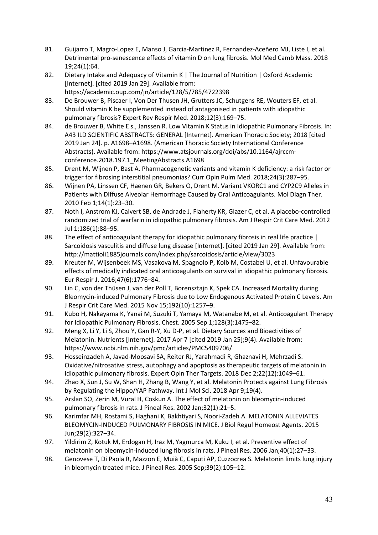- 81. Guijarro T, Magro-Lopez E, Manso J, Garcia-Martinez R, Fernandez-Aceñero MJ, Liste I, et al. Detrimental pro-senescence effects of vitamin D on lung fibrosis. Mol Med Camb Mass. 2018 19;24(1):64.
- 82. Dietary Intake and Adequacy of Vitamin K | The Journal of Nutrition | Oxford Academic [Internet]. [cited 2019 Jan 29]. Available from: https://academic.oup.com/jn/article/128/5/785/4722398
- 83. De Brouwer B, Piscaer I, Von Der Thusen JH, Grutters JC, Schutgens RE, Wouters EF, et al. Should vitamin K be supplemented instead of antagonised in patients with idiopathic pulmonary fibrosis? Expert Rev Respir Med. 2018;12(3):169–75.
- 84. de Brouwer B, White E s., Janssen R. Low Vitamin K Status in Idiopathic Pulmonary Fibrosis. In: A43 ILD SCIENTIFIC ABSTRACTS: GENERAL [Internet]. American Thoracic Society; 2018 [cited 2019 Jan 24]. p. A1698–A1698. (American Thoracic Society International Conference Abstracts). Available from: https://www.atsjournals.org/doi/abs/10.1164/ajrccmconference.2018.197.1\_MeetingAbstracts.A1698
- 85. Drent M, Wijnen P, Bast A. Pharmacogenetic variants and vitamin K deficiency: a risk factor or trigger for fibrosing interstitial pneumonias? Curr Opin Pulm Med. 2018;24(3):287–95.
- 86. Wijnen PA, Linssen CF, Haenen GR, Bekers O, Drent M. Variant VKORC1 and CYP2C9 Alleles in Patients with Diffuse Alveolar Hemorrhage Caused by Oral Anticoagulants. Mol Diagn Ther. 2010 Feb 1;14(1):23–30.
- 87. Noth I, Anstrom KJ, Calvert SB, de Andrade J, Flaherty KR, Glazer C, et al. A placebo-controlled randomized trial of warfarin in idiopathic pulmonary fibrosis. Am J Respir Crit Care Med. 2012 Jul 1;186(1):88–95.
- 88. The effect of anticoagulant therapy for idiopathic pulmonary fibrosis in real life practice | Sarcoidosis vasculitis and diffuse lung disease [Internet]. [cited 2019 Jan 29]. Available from: http://mattioli1885journals.com/index.php/sarcoidosis/article/view/3023
- 89. Kreuter M, Wijsenbeek MS, Vasakova M, Spagnolo P, Kolb M, Costabel U, et al. Unfavourable effects of medically indicated oral anticoagulants on survival in idiopathic pulmonary fibrosis. Eur Respir J. 2016;47(6):1776–84.
- 90. Lin C, von der Thüsen J, van der Poll T, Borensztajn K, Spek CA. Increased Mortality during Bleomycin-induced Pulmonary Fibrosis due to Low Endogenous Activated Protein C Levels. Am J Respir Crit Care Med. 2015 Nov 15;192(10):1257–9.
- 91. Kubo H, Nakayama K, Yanai M, Suzuki T, Yamaya M, Watanabe M, et al. Anticoagulant Therapy for Idiopathic Pulmonary Fibrosis. Chest. 2005 Sep 1;128(3):1475–82.
- 92. Meng X, Li Y, Li S, Zhou Y, Gan R-Y, Xu D-P, et al. Dietary Sources and Bioactivities of Melatonin. Nutrients [Internet]. 2017 Apr 7 [cited 2019 Jan 25];9(4). Available from: https://www.ncbi.nlm.nih.gov/pmc/articles/PMC5409706/
- 93. Hosseinzadeh A, Javad-Moosavi SA, Reiter RJ, Yarahmadi R, Ghaznavi H, Mehrzadi S. Oxidative/nitrosative stress, autophagy and apoptosis as therapeutic targets of melatonin in idiopathic pulmonary fibrosis. Expert Opin Ther Targets. 2018 Dec 2;22(12):1049–61.
- 94. Zhao X, Sun J, Su W, Shan H, Zhang B, Wang Y, et al. Melatonin Protects against Lung Fibrosis by Regulating the Hippo/YAP Pathway. Int J Mol Sci. 2018 Apr 9;19(4).
- 95. Arslan SO, Zerin M, Vural H, Coskun A. The effect of melatonin on bleomycin-induced pulmonary fibrosis in rats. J Pineal Res. 2002 Jan;32(1):21–5.
- 96. Karimfar MH, Rostami S, Haghani K, Bakhtiyari S, Noori-Zadeh A. MELATONIN ALLEVIATES BLEOMYCIN-INDUCED PULMONARY FIBROSIS IN MICE. J Biol Regul Homeost Agents. 2015 Jun;29(2):327–34.
- 97. Yildirim Z, Kotuk M, Erdogan H, Iraz M, Yagmurca M, Kuku I, et al. Preventive effect of melatonin on bleomycin-induced lung fibrosis in rats. J Pineal Res. 2006 Jan;40(1):27–33.
- 98. Genovese T, Di Paola R, Mazzon E, Muià C, Caputi AP, Cuzzocrea S. Melatonin limits lung injury in bleomycin treated mice. J Pineal Res. 2005 Sep;39(2):105–12.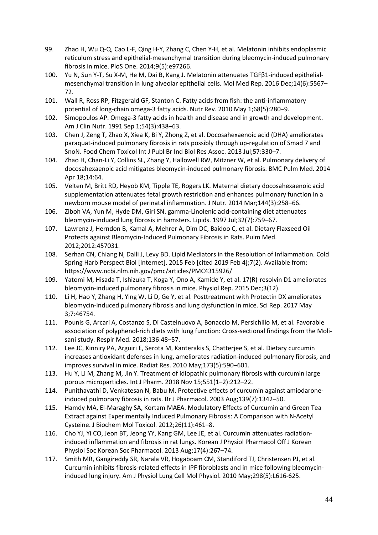- 99. Zhao H, Wu Q-Q, Cao L-F, Qing H-Y, Zhang C, Chen Y-H, et al. Melatonin inhibits endoplasmic reticulum stress and epithelial-mesenchymal transition during bleomycin-induced pulmonary fibrosis in mice. PloS One. 2014;9(5):e97266.
- 100. Yu N, Sun Y-T, Su X-M, He M, Dai B, Kang J. Melatonin attenuates TGFβ1-induced epithelialmesenchymal transition in lung alveolar epithelial cells. Mol Med Rep. 2016 Dec;14(6):5567– 72.
- 101. Wall R, Ross RP, Fitzgerald GF, Stanton C. Fatty acids from fish: the anti-inflammatory potential of long-chain omega-3 fatty acids. Nutr Rev. 2010 May 1;68(5):280–9.
- 102. Simopoulos AP. Omega-3 fatty acids in health and disease and in growth and development. Am J Clin Nutr. 1991 Sep 1;54(3):438–63.
- 103. Chen J, Zeng T, Zhao X, Xiea K, Bi Y, Zhong Z, et al. Docosahexaenoic acid (DHA) ameliorates paraquat-induced pulmonary fibrosis in rats possibly through up-regulation of Smad 7 and SnoN. Food Chem Toxicol Int J Publ Br Ind Biol Res Assoc. 2013 Jul;57:330–7.
- 104. Zhao H, Chan-Li Y, Collins SL, Zhang Y, Hallowell RW, Mitzner W, et al. Pulmonary delivery of docosahexaenoic acid mitigates bleomycin-induced pulmonary fibrosis. BMC Pulm Med. 2014 Apr 18;14:64.
- 105. Velten M, Britt RD, Heyob KM, Tipple TE, Rogers LK. Maternal dietary docosahexaenoic acid supplementation attenuates fetal growth restriction and enhances pulmonary function in a newborn mouse model of perinatal inflammation. J Nutr. 2014 Mar;144(3):258–66.
- 106. Ziboh VA, Yun M, Hyde DM, Giri SN. gamma-Linolenic acid-containing diet attenuates bleomycin-induced lung fibrosis in hamsters. Lipids. 1997 Jul;32(7):759–67.
- 107. Lawrenz J, Herndon B, Kamal A, Mehrer A, Dim DC, Baidoo C, et al. Dietary Flaxseed Oil Protects against Bleomycin-Induced Pulmonary Fibrosis in Rats. Pulm Med. 2012;2012:457031.
- 108. Serhan CN, Chiang N, Dalli J, Levy BD. Lipid Mediators in the Resolution of Inflammation. Cold Spring Harb Perspect Biol [Internet]. 2015 Feb [cited 2019 Feb 4];7(2). Available from: https://www.ncbi.nlm.nih.gov/pmc/articles/PMC4315926/
- 109. Yatomi M, Hisada T, Ishizuka T, Koga Y, Ono A, Kamide Y, et al. 17(R)-resolvin D1 ameliorates bleomycin-induced pulmonary fibrosis in mice. Physiol Rep. 2015 Dec;3(12).
- 110. Li H, Hao Y, Zhang H, Ying W, Li D, Ge Y, et al. Posttreatment with Protectin DX ameliorates bleomycin-induced pulmonary fibrosis and lung dysfunction in mice. Sci Rep. 2017 May 3;7:46754.
- 111. Pounis G, Arcari A, Costanzo S, Di Castelnuovo A, Bonaccio M, Persichillo M, et al. Favorable association of polyphenol-rich diets with lung function: Cross-sectional findings from the Molisani study. Respir Med. 2018;136:48–57.
- 112. Lee JC, Kinniry PA, Arguiri E, Serota M, Kanterakis S, Chatterjee S, et al. Dietary curcumin increases antioxidant defenses in lung, ameliorates radiation-induced pulmonary fibrosis, and improves survival in mice. Radiat Res. 2010 May;173(5):590–601.
- 113. Hu Y, Li M, Zhang M, Jin Y. Treatment of idiopathic pulmonary fibrosis with curcumin large porous microparticles. Int J Pharm. 2018 Nov 15;551(1–2):212–22.
- 114. Punithavathi D, Venkatesan N, Babu M. Protective effects of curcumin against amiodaroneinduced pulmonary fibrosis in rats. Br J Pharmacol. 2003 Aug;139(7):1342–50.
- 115. Hamdy MA, El-Maraghy SA, Kortam MAEA. Modulatory Effects of Curcumin and Green Tea Extract against Experimentally Induced Pulmonary Fibrosis: A Comparison with N-Acetyl Cysteine. J Biochem Mol Toxicol. 2012;26(11):461–8.
- 116. Cho YJ, Yi CO, Jeon BT, Jeong YY, Kang GM, Lee JE, et al. Curcumin attenuates radiationinduced inflammation and fibrosis in rat lungs. Korean J Physiol Pharmacol Off J Korean Physiol Soc Korean Soc Pharmacol. 2013 Aug;17(4):267–74.
- 117. Smith MR, Gangireddy SR, Narala VR, Hogaboam CM, Standiford TJ, Christensen PJ, et al. Curcumin inhibits fibrosis-related effects in IPF fibroblasts and in mice following bleomycininduced lung injury. Am J Physiol Lung Cell Mol Physiol. 2010 May;298(5):L616-625.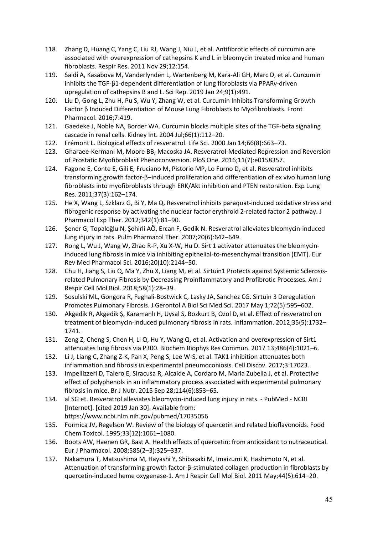- 118. Zhang D, Huang C, Yang C, Liu RJ, Wang J, Niu J, et al. Antifibrotic effects of curcumin are associated with overexpression of cathepsins K and L in bleomycin treated mice and human fibroblasts. Respir Res. 2011 Nov 29;12:154.
- 119. Saidi A, Kasabova M, Vanderlynden L, Wartenberg M, Kara-Ali GH, Marc D, et al. Curcumin inhibits the TGF-β1-dependent differentiation of lung fibroblasts via PPARγ-driven upregulation of cathepsins B and L. Sci Rep. 2019 Jan 24;9(1):491.
- 120. Liu D, Gong L, Zhu H, Pu S, Wu Y, Zhang W, et al. Curcumin Inhibits Transforming Growth Factor β Induced Differentiation of Mouse Lung Fibroblasts to Myofibroblasts. Front Pharmacol. 2016;7:419.
- 121. Gaedeke J, Noble NA, Border WA. Curcumin blocks multiple sites of the TGF-beta signaling cascade in renal cells. Kidney Int. 2004 Jul;66(1):112–20.
- 122. Frémont L. Biological effects of resveratrol. Life Sci. 2000 Jan 14;66(8):663–73.
- 123. Gharaee-Kermani M, Moore BB, Macoska JA. Resveratrol-Mediated Repression and Reversion of Prostatic Myofibroblast Phenoconversion. PloS One. 2016;11(7):e0158357.
- 124. Fagone E, Conte E, Gili E, Fruciano M, Pistorio MP, Lo Furno D, et al. Resveratrol inhibits transforming growth factor-β–induced proliferation and differentiation of ex vivo human lung fibroblasts into myofibroblasts through ERK/Akt inhibition and PTEN restoration. Exp Lung Res. 2011;37(3):162–174.
- 125. He X, Wang L, Szklarz G, Bi Y, Ma Q. Resveratrol inhibits paraquat-induced oxidative stress and fibrogenic response by activating the nuclear factor erythroid 2-related factor 2 pathway. J Pharmacol Exp Ther. 2012;342(1):81–90.
- 126. Şener G, Topaloğlu N, Şehirli AÖ, Ercan F, Gedik N. Resveratrol alleviates bleomycin-induced lung injury in rats. Pulm Pharmacol Ther. 2007;20(6):642–649.
- 127. Rong L, Wu J, Wang W, Zhao R-P, Xu X-W, Hu D. Sirt 1 activator attenuates the bleomycininduced lung fibrosis in mice via inhibiting epithelial-to-mesenchymal transition (EMT). Eur Rev Med Pharmacol Sci. 2016;20(10):2144–50.
- 128. Chu H, Jiang S, Liu Q, Ma Y, Zhu X, Liang M, et al. Sirtuin1 Protects against Systemic Sclerosisrelated Pulmonary Fibrosis by Decreasing Proinflammatory and Profibrotic Processes. Am J Respir Cell Mol Biol. 2018;58(1):28–39.
- 129. Sosulski ML, Gongora R, Feghali-Bostwick C, Lasky JA, Sanchez CG. Sirtuin 3 Deregulation Promotes Pulmonary Fibrosis. J Gerontol A Biol Sci Med Sci. 2017 May 1;72(5):595–602.
- 130. Akgedik R, Akgedik Ş, Karamanlı H, Uysal S, Bozkurt B, Ozol D, et al. Effect of resveratrol on treatment of bleomycin-induced pulmonary fibrosis in rats. Inflammation. 2012;35(5):1732– 1741.
- 131. Zeng Z, Cheng S, Chen H, Li Q, Hu Y, Wang Q, et al. Activation and overexpression of Sirt1 attenuates lung fibrosis via P300. Biochem Biophys Res Commun. 2017 13;486(4):1021–6.
- 132. Li J, Liang C, Zhang Z-K, Pan X, Peng S, Lee W-S, et al. TAK1 inhibition attenuates both inflammation and fibrosis in experimental pneumoconiosis. Cell Discov. 2017;3:17023.
- 133. Impellizzeri D, Talero E, Siracusa R, Alcaide A, Cordaro M, Maria Zubelia J, et al. Protective effect of polyphenols in an inflammatory process associated with experimental pulmonary fibrosis in mice. Br J Nutr. 2015 Sep 28;114(6):853–65.
- 134. al SG et. Resveratrol alleviates bleomycin-induced lung injury in rats. PubMed NCBI [Internet]. [cited 2019 Jan 30]. Available from: https://www.ncbi.nlm.nih.gov/pubmed/17035056
- 135. Formica JV, Regelson W. Review of the biology of quercetin and related bioflavonoids. Food Chem Toxicol. 1995;33(12):1061–1080.
- 136. Boots AW, Haenen GR, Bast A. Health effects of quercetin: from antioxidant to nutraceutical. Eur J Pharmacol. 2008;585(2–3):325–337.
- 137. Nakamura T, Matsushima M, Hayashi Y, Shibasaki M, Imaizumi K, Hashimoto N, et al. Attenuation of transforming growth factor-β-stimulated collagen production in fibroblasts by quercetin-induced heme oxygenase-1. Am J Respir Cell Mol Biol. 2011 May;44(5):614–20.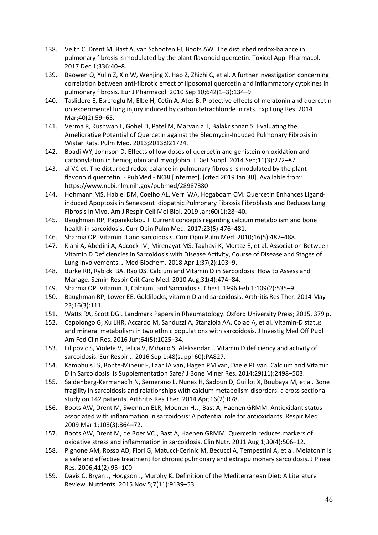- 138. Veith C, Drent M, Bast A, van Schooten FJ, Boots AW. The disturbed redox-balance in pulmonary fibrosis is modulated by the plant flavonoid quercetin. Toxicol Appl Pharmacol. 2017 Dec 1;336:40–8.
- 139. Baowen Q, Yulin Z, Xin W, Wenjing X, Hao Z, Zhizhi C, et al. A further investigation concerning correlation between anti-fibrotic effect of liposomal quercetin and inflammatory cytokines in pulmonary fibrosis. Eur J Pharmacol. 2010 Sep 10;642(1–3):134–9.
- 140. Taslidere E, Esrefoglu M, Elbe H, Cetin A, Ates B. Protective effects of melatonin and quercetin on experimental lung injury induced by carbon tetrachloride in rats. Exp Lung Res. 2014 Mar;40(2):59–65.
- 141. Verma R, Kushwah L, Gohel D, Patel M, Marvania T, Balakrishnan S. Evaluating the Ameliorative Potential of Quercetin against the Bleomycin-Induced Pulmonary Fibrosis in Wistar Rats. Pulm Med. 2013;2013:921724.
- 142. Boadi WY, Johnson D. Effects of low doses of quercetin and genistein on oxidation and carbonylation in hemoglobin and myoglobin. J Diet Suppl. 2014 Sep;11(3):272–87.
- 143. al VC et. The disturbed redox-balance in pulmonary fibrosis is modulated by the plant flavonoid quercetin. - PubMed - NCBI [Internet]. [cited 2019 Jan 30]. Available from: https://www.ncbi.nlm.nih.gov/pubmed/28987380
- 144. Hohmann MS, Habiel DM, Coelho AL, Verri WA, Hogaboam CM. Quercetin Enhances Ligandinduced Apoptosis in Senescent Idiopathic Pulmonary Fibrosis Fibroblasts and Reduces Lung Fibrosis In Vivo. Am J Respir Cell Mol Biol. 2019 Jan;60(1):28–40.
- 145. Baughman RP, Papanikolaou I. Current concepts regarding calcium metabolism and bone health in sarcoidosis. Curr Opin Pulm Med. 2017;23(5):476–481.
- 146. Sharma OP. Vitamin D and sarcoidosis. Curr Opin Pulm Med. 2010;16(5):487–488.
- 147. Kiani A, Abedini A, Adcock IM, Mirenayat MS, Taghavi K, Mortaz E, et al. Association Between Vitamin D Deficiencies in Sarcoidosis with Disease Activity, Course of Disease and Stages of Lung Involvements. J Med Biochem. 2018 Apr 1;37(2):103–9.
- 148. Burke RR, Rybicki BA, Rao DS. Calcium and Vitamin D in Sarcoidosis: How to Assess and Manage. Semin Respir Crit Care Med. 2010 Aug;31(4):474–84.
- 149. Sharma OP. Vitamin D, Calcium, and Sarcoidosis. Chest. 1996 Feb 1;109(2):535–9.
- 150. Baughman RP, Lower EE. Goldilocks, vitamin D and sarcoidosis. Arthritis Res Ther. 2014 May 23;16(3):111.
- 151. Watts RA, Scott DGI. Landmark Papers in Rheumatology. Oxford University Press; 2015. 379 p.
- 152. Capolongo G, Xu LHR, Accardo M, Sanduzzi A, Stanziola AA, Colao A, et al. Vitamin-D status and mineral metabolism in two ethnic populations with sarcoidosis. J Investig Med Off Publ Am Fed Clin Res. 2016 Jun;64(5):1025–34.
- 153. Filipovic S, Violeta V, Jelica V, Mihailo S, Aleksandar J. Vitamin D deficiency and activity of sarcoidosis. Eur Respir J. 2016 Sep 1;48(suppl 60):PA827.
- 154. Kamphuis LS, Bonte-Mineur F, Laar JA van, Hagen PM van, Daele PL van. Calcium and Vitamin D in Sarcoidosis: Is Supplementation Safe? J Bone Miner Res. 2014;29(11):2498–503.
- 155. Saidenberg-Kermanac'h N, Semerano L, Nunes H, Sadoun D, Guillot X, Boubaya M, et al. Bone fragility in sarcoidosis and relationships with calcium metabolism disorders: a cross sectional study on 142 patients. Arthritis Res Ther. 2014 Apr;16(2):R78.
- 156. Boots AW, Drent M, Swennen ELR, Moonen HJJ, Bast A, Haenen GRMM. Antioxidant status associated with inflammation in sarcoidosis: A potential role for antioxidants. Respir Med. 2009 Mar 1;103(3):364–72.
- 157. Boots AW, Drent M, de Boer VCJ, Bast A, Haenen GRMM. Quercetin reduces markers of oxidative stress and inflammation in sarcoidosis. Clin Nutr. 2011 Aug 1;30(4):506–12.
- 158. Pignone AM, Rosso AD, Fiori G, Matucci-Cerinic M, Becucci A, Tempestini A, et al. Melatonin is a safe and effective treatment for chronic pulmonary and extrapulmonary sarcoidosis. J Pineal Res. 2006;41(2):95–100.
- 159. Davis C, Bryan J, Hodgson J, Murphy K. Definition of the Mediterranean Diet: A Literature Review. Nutrients. 2015 Nov 5;7(11):9139–53.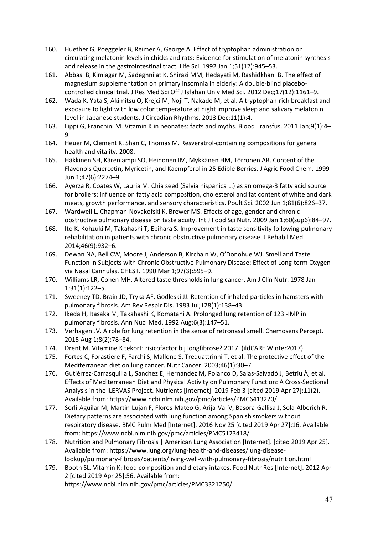- 160. Huether G, Poeggeler B, Reimer A, George A. Effect of tryptophan administration on circulating melatonin levels in chicks and rats: Evidence for stimulation of melatonin synthesis and release in the gastrointestinal tract. Life Sci. 1992 Jan 1;51(12):945–53.
- 161. Abbasi B, Kimiagar M, Sadeghniiat K, Shirazi MM, Hedayati M, Rashidkhani B. The effect of magnesium supplementation on primary insomnia in elderly: A double-blind placebocontrolled clinical trial. J Res Med Sci Off J Isfahan Univ Med Sci. 2012 Dec;17(12):1161–9.
- 162. Wada K, Yata S, Akimitsu O, Krejci M, Noji T, Nakade M, et al. A tryptophan-rich breakfast and exposure to light with low color temperature at night improve sleep and salivary melatonin level in Japanese students. J Circadian Rhythms. 2013 Dec;11(1):4.
- 163. Lippi G, Franchini M. Vitamin K in neonates: facts and myths. Blood Transfus. 2011 Jan;9(1):4– 9.
- 164. Heuer M, Clement K, Shan C, Thomas M. Resveratrol-containing compositions for general health and vitality. 2008.
- 165. Häkkinen SH, Kärenlampi SO, Heinonen IM, Mykkänen HM, Törrönen AR. Content of the Flavonols Quercetin, Myricetin, and Kaempferol in 25 Edible Berries. J Agric Food Chem. 1999 Jun 1;47(6):2274–9.
- 166. Ayerza R, Coates W, Lauria M. Chia seed (Salvia hispanica L.) as an omega-3 fatty acid source for broilers: influence on fatty acid composition, cholesterol and fat content of white and dark meats, growth performance, and sensory characteristics. Poult Sci. 2002 Jun 1;81(6):826–37.
- 167. Wardwell L, Chapman-Novakofski K, Brewer MS. Effects of age, gender and chronic obstructive pulmonary disease on taste acuity. Int J Food Sci Nutr. 2009 Jan 1;60(sup6):84–97.
- 168. Ito K, Kohzuki M, Takahashi T, Ebihara S. Improvement in taste sensitivity following pulmonary rehabilitation in patients with chronic obstructive pulmonary disease. J Rehabil Med. 2014;46(9):932–6.
- 169. Dewan NA, Bell CW, Moore J, Anderson B, Kirchain W, O'Donohue WJ. Smell and Taste Function in Subjects with Chronic Obstructive Pulmonary Disease: Effect of Long-term Oxygen via Nasal Cannulas. CHEST. 1990 Mar 1;97(3):595–9.
- 170. Williams LR, Cohen MH. Altered taste thresholds in lung cancer. Am J Clin Nutr. 1978 Jan 1;31(1):122–5.
- 171. Sweeney TD, Brain JD, Tryka AF, Godleski JJ. Retention of inhaled particles in hamsters with pulmonary fibrosis. Am Rev Respir Dis. 1983 Jul;128(1):138–43.
- 172. Ikeda H, Itasaka M, Takahashi K, Komatani A. Prolonged lung retention of 123I-IMP in pulmonary fibrosis. Ann Nucl Med. 1992 Aug;6(3):147–51.
- 173. Verhagen JV. A role for lung retention in the sense of retronasal smell. Chemosens Percept. 2015 Aug 1;8(2):78–84.
- 174. Drent M. Vitamine K tekort: risicofactor bij longfibrose? 2017. (ildCARE Winter2017).
- 175. Fortes C, Forastiere F, Farchi S, Mallone S, Trequattrinni T, et al. The protective effect of the Mediterranean diet on lung cancer. Nutr Cancer. 2003;46(1):30–7.
- 176. Gutiérrez-Carrasquilla L, Sánchez E, Hernández M, Polanco D, Salas-Salvadó J, Betriu À, et al. Effects of Mediterranean Diet and Physical Activity on Pulmonary Function: A Cross-Sectional Analysis in the ILERVAS Project. Nutrients [Internet]. 2019 Feb 3 [cited 2019 Apr 27];11(2). Available from: https://www.ncbi.nlm.nih.gov/pmc/articles/PMC6413220/
- 177. Sorli-Aguilar M, Martin-Lujan F, Flores-Mateo G, Arija-Val V, Basora-Gallisa J, Sola-Alberich R. Dietary patterns are associated with lung function among Spanish smokers without respiratory disease. BMC Pulm Med [Internet]. 2016 Nov 25 [cited 2019 Apr 27];16. Available from: https://www.ncbi.nlm.nih.gov/pmc/articles/PMC5123418/
- 178. Nutrition and Pulmonary Fibrosis | American Lung Association [Internet]. [cited 2019 Apr 25]. Available from: https://www.lung.org/lung-health-and-diseases/lung-diseaselookup/pulmonary-fibrosis/patients/living-well-with-pulmonary-fibrosis/nutrition.html
- 179. Booth SL. Vitamin K: food composition and dietary intakes. Food Nutr Res [Internet]. 2012 Apr 2 [cited 2019 Apr 25];56. Available from:

https://www.ncbi.nlm.nih.gov/pmc/articles/PMC3321250/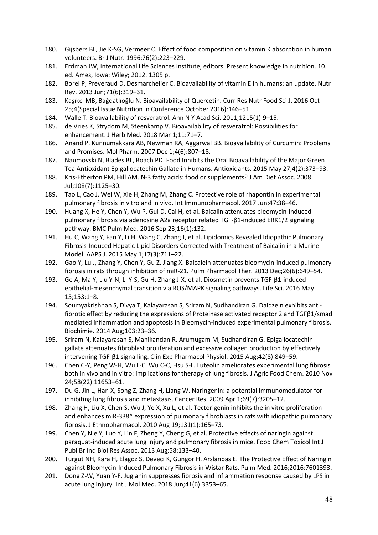- 180. Gijsbers BL, Jie K-SG, Vermeer C. Effect of food composition on vitamin K absorption in human volunteers. Br J Nutr. 1996;76(2):223–229.
- 181. Erdman JW, International Life Sciences Institute, editors. Present knowledge in nutrition. 10. ed. Ames, Iowa: Wiley; 2012. 1305 p.
- 182. Borel P, Preveraud D, Desmarchelier C. Bioavailability of vitamin E in humans: an update. Nutr Rev. 2013 Jun;71(6):319–31.
- 183. Kaşıkcı MB, Bağdatlıoğlu N. Bioavailability of Quercetin. Curr Res Nutr Food Sci J. 2016 Oct 25;4(Special Issue Nutrition in Conference October 2016):146–51.
- 184. Walle T. Bioavailability of resveratrol. Ann N Y Acad Sci. 2011;1215(1):9–15.
- 185. de Vries K, Strydom M, Steenkamp V. Bioavailability of resveratrol: Possibilities for enhancement. J Herb Med. 2018 Mar 1;11:71–7.
- 186. Anand P, Kunnumakkara AB, Newman RA, Aggarwal BB. Bioavailability of Curcumin: Problems and Promises. Mol Pharm. 2007 Dec 1;4(6):807–18.
- 187. Naumovski N, Blades BL, Roach PD. Food Inhibits the Oral Bioavailability of the Major Green Tea Antioxidant Epigallocatechin Gallate in Humans. Antioxidants. 2015 May 27;4(2):373–93.
- 188. Kris-Etherton PM, Hill AM. N-3 fatty acids: food or supplements? J Am Diet Assoc. 2008 Jul;108(7):1125–30.
- 189. Tao L, Cao J, Wei W, Xie H, Zhang M, Zhang C. Protective role of rhapontin in experimental pulmonary fibrosis in vitro and in vivo. Int Immunopharmacol. 2017 Jun;47:38–46.
- 190. Huang X, He Y, Chen Y, Wu P, Gui D, Cai H, et al. Baicalin attenuates bleomycin-induced pulmonary fibrosis via adenosine A2a receptor related TGF-β1-induced ERK1/2 signaling pathway. BMC Pulm Med. 2016 Sep 23;16(1):132.
- 191. Hu C, Wang Y, Fan Y, Li H, Wang C, Zhang J, et al. Lipidomics Revealed Idiopathic Pulmonary Fibrosis-Induced Hepatic Lipid Disorders Corrected with Treatment of Baicalin in a Murine Model. AAPS J. 2015 May 1;17(3):711–22.
- 192. Gao Y, Lu J, Zhang Y, Chen Y, Gu Z, Jiang X. Baicalein attenuates bleomycin-induced pulmonary fibrosis in rats through inhibition of miR-21. Pulm Pharmacol Ther. 2013 Dec;26(6):649–54.
- 193. Ge A, Ma Y, Liu Y-N, Li Y-S, Gu H, Zhang J-X, et al. Diosmetin prevents TGF-β1-induced epithelial-mesenchymal transition via ROS/MAPK signaling pathways. Life Sci. 2016 May 15;153:1–8.
- 194. Soumyakrishnan S, Divya T, Kalayarasan S, Sriram N, Sudhandiran G. Daidzein exhibits antifibrotic effect by reducing the expressions of Proteinase activated receptor 2 and TGFβ1/smad mediated inflammation and apoptosis in Bleomycin-induced experimental pulmonary fibrosis. Biochimie. 2014 Aug;103:23–36.
- 195. Sriram N, Kalayarasan S, Manikandan R, Arumugam M, Sudhandiran G. Epigallocatechin gallate attenuates fibroblast proliferation and excessive collagen production by effectively intervening TGF-β1 signalling. Clin Exp Pharmacol Physiol. 2015 Aug;42(8):849–59.
- 196. Chen C-Y, Peng W-H, Wu L-C, Wu C-C, Hsu S-L. Luteolin ameliorates experimental lung fibrosis both in vivo and in vitro: implications for therapy of lung fibrosis. J Agric Food Chem. 2010 Nov 24;58(22):11653–61.
- 197. Du G, Jin L, Han X, Song Z, Zhang H, Liang W. Naringenin: a potential immunomodulator for inhibiting lung fibrosis and metastasis. Cancer Res. 2009 Apr 1;69(7):3205–12.
- 198. Zhang H, Liu X, Chen S, Wu J, Ye X, Xu L, et al. Tectorigenin inhibits the in vitro proliferation and enhances miR-338\* expression of pulmonary fibroblasts in rats with idiopathic pulmonary fibrosis. J Ethnopharmacol. 2010 Aug 19;131(1):165–73.
- 199. Chen Y, Nie Y, Luo Y, Lin F, Zheng Y, Cheng G, et al. Protective effects of naringin against paraquat-induced acute lung injury and pulmonary fibrosis in mice. Food Chem Toxicol Int J Publ Br Ind Biol Res Assoc. 2013 Aug;58:133–40.
- 200. Turgut NH, Kara H, Elagoz S, Deveci K, Gungor H, Arslanbas E. The Protective Effect of Naringin against Bleomycin-Induced Pulmonary Fibrosis in Wistar Rats. Pulm Med. 2016;2016:7601393.
- 201. Dong Z-W, Yuan Y-F. Juglanin suppresses fibrosis and inflammation response caused by LPS in acute lung injury. Int J Mol Med. 2018 Jun;41(6):3353–65.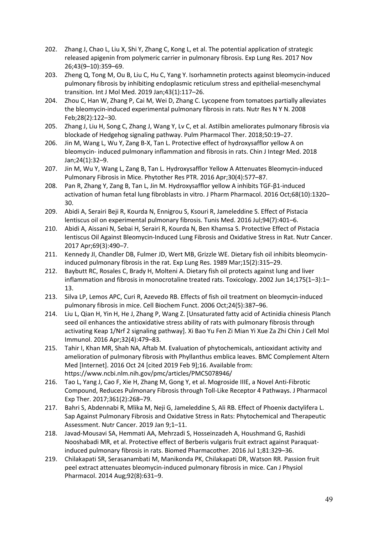- 202. Zhang J, Chao L, Liu X, Shi Y, Zhang C, Kong L, et al. The potential application of strategic released apigenin from polymeric carrier in pulmonary fibrosis. Exp Lung Res. 2017 Nov 26;43(9–10):359–69.
- 203. Zheng Q, Tong M, Ou B, Liu C, Hu C, Yang Y. Isorhamnetin protects against bleomycin-induced pulmonary fibrosis by inhibiting endoplasmic reticulum stress and epithelial-mesenchymal transition. Int J Mol Med. 2019 Jan;43(1):117–26.
- 204. Zhou C, Han W, Zhang P, Cai M, Wei D, Zhang C. Lycopene from tomatoes partially alleviates the bleomycin-induced experimental pulmonary fibrosis in rats. Nutr Res N Y N. 2008 Feb;28(2):122–30.
- 205. Zhang J, Liu H, Song C, Zhang J, Wang Y, Lv C, et al. Astilbin ameliorates pulmonary fibrosis via blockade of Hedgehog signaling pathway. Pulm Pharmacol Ther. 2018;50:19–27.
- 206. Jin M, Wang L, Wu Y, Zang B-X, Tan L. Protective effect of hydroxysafflor yellow A on bleomycin- induced pulmonary inflammation and fibrosis in rats. Chin J Integr Med. 2018 Jan;24(1):32–9.
- 207. Jin M, Wu Y, Wang L, Zang B, Tan L. Hydroxysafflor Yellow A Attenuates Bleomycin-induced Pulmonary Fibrosis in Mice. Phytother Res PTR. 2016 Apr;30(4):577–87.
- 208. Pan R, Zhang Y, Zang B, Tan L, Jin M. Hydroxysafflor yellow A inhibits TGF-β1-induced activation of human fetal lung fibroblasts in vitro. J Pharm Pharmacol. 2016 Oct;68(10):1320– 30.
- 209. Abidi A, Serairi Beji R, Kourda N, Ennigrou S, Ksouri R, Jameleddine S. Effect of Pistacia lentiscus oil on experimental pulmonary fibrosis. Tunis Med. 2016 Jul;94(7):401–6.
- 210. Abidi A, Aissani N, Sebai H, Serairi R, Kourda N, Ben Khamsa S. Protective Effect of Pistacia lentiscus Oil Against Bleomycin-Induced Lung Fibrosis and Oxidative Stress in Rat. Nutr Cancer. 2017 Apr;69(3):490–7.
- 211. Kennedy JI, Chandler DB, Fulmer JD, Wert MB, Grizzle WE. Dietary fish oil inhibits bleomycininduced pulmonary fibrosis in the rat. Exp Lung Res. 1989 Mar;15(2):315–29.
- 212. Baybutt RC, Rosales C, Brady H, Molteni A. Dietary fish oil protects against lung and liver inflammation and fibrosis in monocrotaline treated rats. Toxicology. 2002 Jun 14;175(1–3):1– 13.
- 213. Silva LP, Lemos APC, Curi R, Azevedo RB. Effects of fish oil treatment on bleomycin-induced pulmonary fibrosis in mice. Cell Biochem Funct. 2006 Oct;24(5):387–96.
- 214. Liu L, Qian H, Yin H, He J, Zhang P, Wang Z. [Unsaturated fatty acid of Actinidia chinesis Planch seed oil enhances the antioxidative stress ability of rats with pulmonary fibrosis through activating Keap 1/Nrf 2 signaling pathway]. Xi Bao Yu Fen Zi Mian Yi Xue Za Zhi Chin J Cell Mol Immunol. 2016 Apr;32(4):479–83.
- 215. Tahir I, Khan MR, Shah NA, Aftab M. Evaluation of phytochemicals, antioxidant activity and amelioration of pulmonary fibrosis with Phyllanthus emblica leaves. BMC Complement Altern Med [Internet]. 2016 Oct 24 [cited 2019 Feb 9];16. Available from: https://www.ncbi.nlm.nih.gov/pmc/articles/PMC5078946/
- 216. Tao L, Yang J, Cao F, Xie H, Zhang M, Gong Y, et al. Mogroside IIIE, a Novel Anti-Fibrotic Compound, Reduces Pulmonary Fibrosis through Toll-Like Receptor 4 Pathways. J Pharmacol Exp Ther. 2017;361(2):268–79.
- 217. Bahri S, Abdennabi R, Mlika M, Neji G, Jameleddine S, Ali RB. Effect of Phoenix dactylifera L. Sap Against Pulmonary Fibrosis and Oxidative Stress in Rats: Phytochemical and Therapeutic Assessment. Nutr Cancer. 2019 Jan 9;1–11.
- 218. Javad-Mousavi SA, Hemmati AA, Mehrzadi S, Hosseinzadeh A, Houshmand G, Rashidi Nooshabadi MR, et al. Protective effect of Berberis vulgaris fruit extract against Paraquatinduced pulmonary fibrosis in rats. Biomed Pharmacother. 2016 Jul 1;81:329–36.
- 219. Chilakapati SR, Serasanambati M, Manikonda PK, Chilakapati DR, Watson RR. Passion fruit peel extract attenuates bleomycin-induced pulmonary fibrosis in mice. Can J Physiol Pharmacol. 2014 Aug;92(8):631–9.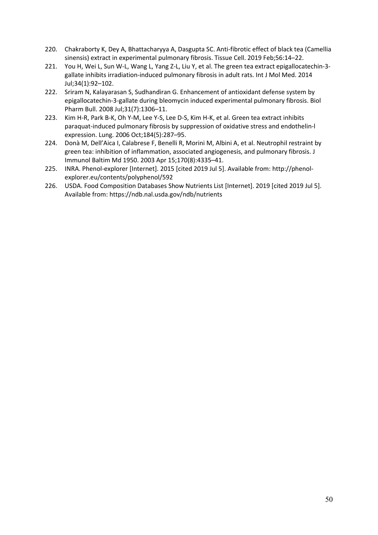- 220. Chakraborty K, Dey A, Bhattacharyya A, Dasgupta SC. Anti-fibrotic effect of black tea (Camellia sinensis) extract in experimental pulmonary fibrosis. Tissue Cell. 2019 Feb;56:14–22.
- 221. You H, Wei L, Sun W-L, Wang L, Yang Z-L, Liu Y, et al. The green tea extract epigallocatechin-3 gallate inhibits irradiation-induced pulmonary fibrosis in adult rats. Int J Mol Med. 2014 Jul;34(1):92–102.
- 222. Sriram N, Kalayarasan S, Sudhandiran G. Enhancement of antioxidant defense system by epigallocatechin-3-gallate during bleomycin induced experimental pulmonary fibrosis. Biol Pharm Bull. 2008 Jul;31(7):1306–11.
- 223. Kim H-R, Park B-K, Oh Y-M, Lee Y-S, Lee D-S, Kim H-K, et al. Green tea extract inhibits paraquat-induced pulmonary fibrosis by suppression of oxidative stress and endothelin-l expression. Lung. 2006 Oct;184(5):287–95.
- 224. Donà M, Dell'Aica I, Calabrese F, Benelli R, Morini M, Albini A, et al. Neutrophil restraint by green tea: inhibition of inflammation, associated angiogenesis, and pulmonary fibrosis. J Immunol Baltim Md 1950. 2003 Apr 15;170(8):4335–41.
- 225. INRA. Phenol-explorer [Internet]. 2015 [cited 2019 Jul 5]. Available from: http://phenolexplorer.eu/contents/polyphenol/592
- 226. USDA. Food Composition Databases Show Nutrients List [Internet]. 2019 [cited 2019 Jul 5]. Available from: https://ndb.nal.usda.gov/ndb/nutrients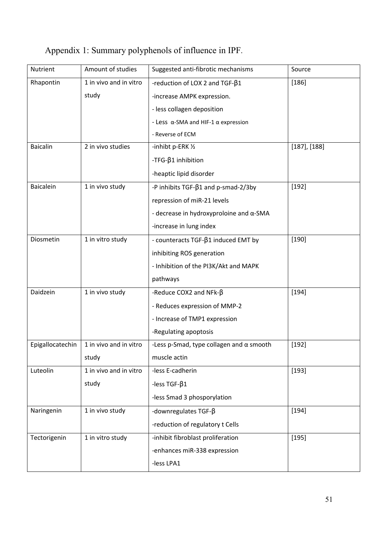| Nutrient         | Amount of studies      | Suggested anti-fibrotic mechanisms                 | Source            |
|------------------|------------------------|----------------------------------------------------|-------------------|
| Rhapontin        | 1 in vivo and in vitro | -reduction of LOX 2 and TGF- $\beta$ 1             | $[186]$           |
|                  | study                  | -increase AMPK expression.                         |                   |
|                  |                        | - less collagen deposition                         |                   |
|                  |                        | - Less $\alpha$ -SMA and HIF-1 $\alpha$ expression |                   |
|                  |                        | - Reverse of ECM                                   |                   |
| <b>Baicalin</b>  | 2 in vivo studies      | -inhibt p-ERK 1/2                                  | $[187]$ , $[188]$ |
|                  |                        | $-TFG-\beta1 inhibition$                           |                   |
|                  |                        | -heaptic lipid disorder                            |                   |
| <b>Baicalein</b> | 1 in vivo study        | -P inhibits TGF- $\beta$ 1 and p-smad-2/3by        | $[192]$           |
|                  |                        | repression of miR-21 levels                        |                   |
|                  |                        | - decrease in hydroxyproloine and $\alpha$ -SMA    |                   |
|                  |                        | -increase in lung index                            |                   |
| Diosmetin        | 1 in vitro study       | - counteracts TGF-β1 induced EMT by                | $[190]$           |
|                  |                        | inhibiting ROS generation                          |                   |
|                  |                        | - Inhibition of the PI3K/Akt and MAPK              |                   |
|                  |                        | pathways                                           |                   |
| Daidzein         | 1 in vivo study        | -Reduce COX2 and NFk- $\beta$                      | $[194]$           |
|                  |                        | - Reduces expression of MMP-2                      |                   |
|                  |                        | - Increase of TMP1 expression                      |                   |
|                  |                        | -Regulating apoptosis                              |                   |
| Epigallocatechin | 1 in vivo and in vitro | -Less p-Smad, type collagen and $\alpha$ smooth    | [192]             |
|                  | study                  | muscle actin                                       |                   |
| Luteolin         | 1 in vivo and in vitro | -less E-cadherin                                   | $[193]$           |
|                  | study                  | -less $TGF-\beta1$                                 |                   |
|                  |                        | -less Smad 3 phosporylation                        |                   |
| Naringenin       | 1 in vivo study        | -downregulates TGF- $\beta$                        | $[194]$           |
|                  |                        | -reduction of regulatory t Cells                   |                   |
| Tectorigenin     | 1 in vitro study       | -inhibit fibroblast proliferation                  | [195]             |
|                  |                        | -enhances miR-338 expression                       |                   |
|                  |                        | -less LPA1                                         |                   |
|                  |                        |                                                    |                   |

# Appendix 1: Summary polyphenols of influence in IPF.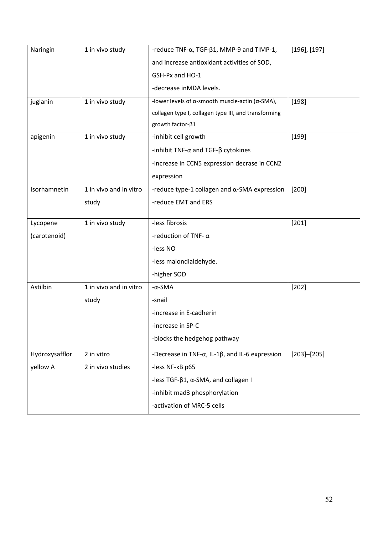| Naringin       | 1 in vivo study        | -reduce TNF- $\alpha$ , TGF- $\beta$ 1, MMP-9 and TIMP-1,        | $[196]$ , $[197]$ |
|----------------|------------------------|------------------------------------------------------------------|-------------------|
|                |                        | and increase antioxidant activities of SOD,                      |                   |
|                |                        | GSH-Px and HO-1                                                  |                   |
|                |                        | -decrease inMDA levels.                                          |                   |
| juglanin       | 1 in vivo study        | -lower levels of $\alpha$ -smooth muscle-actin ( $\alpha$ -SMA), | [198]             |
|                |                        | collagen type I, collagen type III, and transforming             |                   |
|                |                        | growth factor-β1                                                 |                   |
| apigenin       | 1 in vivo study        | -inhibit cell growth                                             | $[199]$           |
|                |                        | -inhibit TNF- $\alpha$ and TGF- $\beta$ cytokines                |                   |
|                |                        | -increase in CCN5 expression decrase in CCN2                     |                   |
|                |                        | expression                                                       |                   |
| Isorhamnetin   | 1 in vivo and in vitro | -reduce type-1 collagen and $\alpha$ -SMA expression             | $[200]$           |
|                | study                  | -reduce EMT and ERS                                              |                   |
|                |                        | -less fibrosis                                                   |                   |
| Lycopene       | 1 in vivo study        |                                                                  | [201]             |
| (carotenoid)   |                        | -reduction of TNF- $\alpha$                                      |                   |
|                |                        | -less NO                                                         |                   |
|                |                        | -less malondialdehyde.                                           |                   |
|                |                        | -higher SOD                                                      |                   |
| Astilbin       | 1 in vivo and in vitro | $-\alpha$ -SMA                                                   | $[202]$           |
|                | study                  | -snail                                                           |                   |
|                |                        | -increase in E-cadherin                                          |                   |
|                |                        | -increase in SP-C                                                |                   |
|                |                        | -blocks the hedgehog pathway                                     |                   |
| Hydroxysafflor | 2 in vitro             | -Decrease in TNF- $\alpha$ , IL-1 $\beta$ , and IL-6 expression  | $[203] - [205]$   |
| yellow A       | 2 in vivo studies      | -less NF-KB p65                                                  |                   |
|                |                        | -less TGF- $\beta$ 1, $\alpha$ -SMA, and collagen I              |                   |
|                |                        | -inhibit mad3 phosphorylation                                    |                   |
|                |                        | -activation of MRC-5 cells                                       |                   |
|                |                        |                                                                  |                   |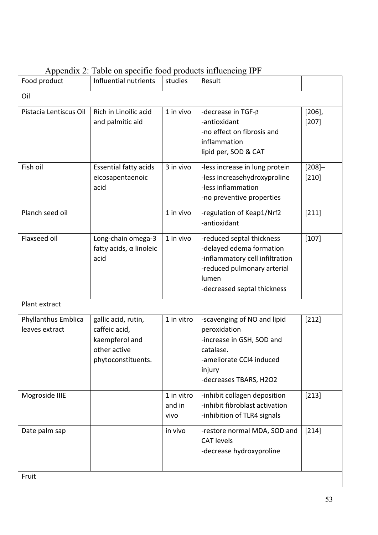| Food product                          | Influential nutrients                                                                        | studies                      | Result                                                                                                                                                          |                      |  |
|---------------------------------------|----------------------------------------------------------------------------------------------|------------------------------|-----------------------------------------------------------------------------------------------------------------------------------------------------------------|----------------------|--|
| Oil                                   |                                                                                              |                              |                                                                                                                                                                 |                      |  |
| Pistacia Lentiscus Oil                | Rich in Linoilic acid<br>and palmitic aid                                                    | 1 in vivo                    | -decrease in TGF- <sub>B</sub><br>-antioxidant<br>-no effect on fibrosis and<br>inflammation<br>lipid per, SOD & CAT                                            | $[206]$ ,<br>[207]   |  |
| Fish oil                              | <b>Essential fatty acids</b><br>eicosapentaenoic<br>acid                                     | 3 in vivo                    | -less increase in lung protein<br>-less increasehydroxyproline<br>-less inflammation<br>-no preventive properties                                               | $[208]$ -<br>$[210]$ |  |
| Planch seed oil                       |                                                                                              | 1 in vivo                    | -regulation of Keap1/Nrf2<br>-antioxidant                                                                                                                       | $[211]$              |  |
| Flaxseed oil                          | Long-chain omega-3<br>fatty acids, $\alpha$ linoleic<br>acid                                 | 1 in vivo                    | -reduced septal thickness<br>-delayed edema formation<br>-inflammatory cell infiltration<br>-reduced pulmonary arterial<br>lumen<br>-decreased septal thickness | $[107]$              |  |
| Plant extract                         |                                                                                              |                              |                                                                                                                                                                 |                      |  |
| Phyllanthus Emblica<br>leaves extract | gallic acid, rutin,<br>caffeic acid,<br>kaempferol and<br>other active<br>phytoconstituents. | 1 in vitro                   | -scavenging of NO and lipid<br>peroxidation<br>-increase in GSH, SOD and<br>catalase.<br>ameliorate CCI4 induced<br>injury<br>-decreases TBARS, H2O2            | $[212]$              |  |
| Mogroside IIIE                        |                                                                                              | 1 in vitro<br>and in<br>vivo | -inhibit collagen deposition<br>-inhibit fibroblast activation<br>-inhibition of TLR4 signals                                                                   | $[213]$              |  |
| Date palm sap                         |                                                                                              | in vivo                      | -restore normal MDA, SOD and<br><b>CAT levels</b><br>-decrease hydroxyproline                                                                                   | $[214]$              |  |
| Fruit                                 |                                                                                              |                              |                                                                                                                                                                 |                      |  |

# Appendix 2: Table on specific food products influencing IPF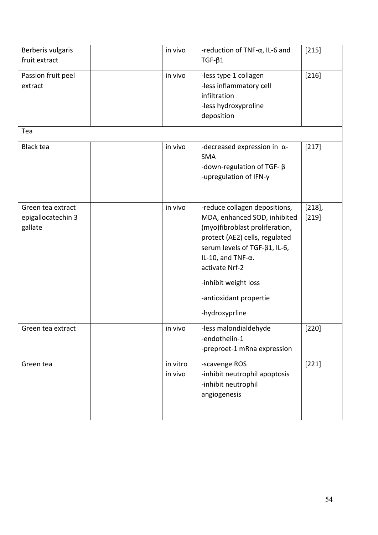| Berberis vulgaris<br>fruit extract                 | in vivo             | -reduction of TNF- $\alpha$ , IL-6 and<br>$TGF-\beta1$                                                                                                                                                                                                                                         | $[215]$            |
|----------------------------------------------------|---------------------|------------------------------------------------------------------------------------------------------------------------------------------------------------------------------------------------------------------------------------------------------------------------------------------------|--------------------|
| Passion fruit peel<br>extract                      | in vivo             | -less type 1 collagen<br>-less inflammatory cell<br>infiltration<br>-less hydroxyproline<br>deposition                                                                                                                                                                                         | [216]              |
| Tea                                                |                     |                                                                                                                                                                                                                                                                                                |                    |
| <b>Black tea</b>                                   | in vivo             | -decreased expression in $\alpha$ -<br><b>SMA</b><br>-down-regulation of TGF- $\beta$<br>-upregulation of IFN-y                                                                                                                                                                                | [217]              |
| Green tea extract<br>epigallocatechin 3<br>gallate | in vivo             | -reduce collagen depositions,<br>MDA, enhanced SOD, inhibited<br>(myo)fibroblast proliferation,<br>protect (AE2) cells, regulated<br>serum levels of TGF- $\beta$ 1, IL-6,<br>IL-10, and TNF- $\alpha$ .<br>activate Nrf-2<br>-inhibit weight loss<br>-antioxidant propertie<br>-hydroxyprline | $[218]$ ,<br>[219] |
| Green tea extract                                  | in vivo             | -less malondialdehyde<br>-endothelin-1<br>-preproet-1 mRna expression                                                                                                                                                                                                                          | [220]              |
| Green tea                                          | in vitro<br>in vivo | -scavenge ROS<br>-inhibit neutrophil apoptosis<br>-inhibit neutrophil<br>angiogenesis                                                                                                                                                                                                          | $[221]$            |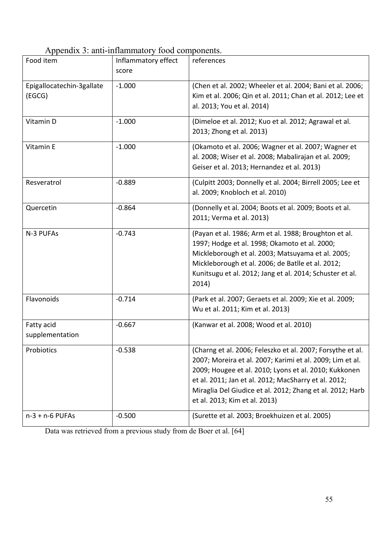# Appendix 3: anti-inflammatory food components.

| Food item                           | $\mu$ repondix $\sigma$ , and immainmatory rood components.<br>Inflammatory effect<br>score | references                                                                                                                                                                                                                                                                                                                             |
|-------------------------------------|---------------------------------------------------------------------------------------------|----------------------------------------------------------------------------------------------------------------------------------------------------------------------------------------------------------------------------------------------------------------------------------------------------------------------------------------|
| Epigallocatechin-3gallate<br>(EGCG) | $-1.000$                                                                                    | (Chen et al. 2002; Wheeler et al. 2004; Bani et al. 2006;<br>Kim et al. 2006; Qin et al. 2011; Chan et al. 2012; Lee et<br>al. 2013; You et al. 2014)                                                                                                                                                                                  |
| Vitamin D                           | $-1.000$                                                                                    | (Dimeloe et al. 2012; Kuo et al. 2012; Agrawal et al.<br>2013; Zhong et al. 2013)                                                                                                                                                                                                                                                      |
| Vitamin E                           | $-1.000$                                                                                    | (Okamoto et al. 2006; Wagner et al. 2007; Wagner et<br>al. 2008; Wiser et al. 2008; Mabalirajan et al. 2009;<br>Geiser et al. 2013; Hernandez et al. 2013)                                                                                                                                                                             |
| Resveratrol                         | $-0.889$                                                                                    | (Culpitt 2003; Donnelly et al. 2004; Birrell 2005; Lee et<br>al. 2009; Knobloch et al. 2010)                                                                                                                                                                                                                                           |
| Quercetin                           | $-0.864$                                                                                    | (Donnelly et al. 2004; Boots et al. 2009; Boots et al.<br>2011; Verma et al. 2013)                                                                                                                                                                                                                                                     |
| N-3 PUFAs                           | $-0.743$                                                                                    | (Payan et al. 1986; Arm et al. 1988; Broughton et al.<br>1997; Hodge et al. 1998; Okamoto et al. 2000;<br>Mickleborough et al. 2003; Matsuyama et al. 2005;<br>Mickleborough et al. 2006; de Batlle et al. 2012;<br>Kunitsugu et al. 2012; Jang et al. 2014; Schuster et al.<br>2014)                                                  |
| Flavonoids                          | $-0.714$                                                                                    | (Park et al. 2007; Geraets et al. 2009; Xie et al. 2009;<br>Wu et al. 2011; Kim et al. 2013)                                                                                                                                                                                                                                           |
| Fatty acid<br>supplementation       | $-0.667$                                                                                    | (Kanwar et al. 2008; Wood et al. 2010)                                                                                                                                                                                                                                                                                                 |
| Probiotics                          | $-0.538$                                                                                    | (Charng et al. 2006; Feleszko et al. 2007; Forsythe et al.<br>2007; Moreira et al. 2007; Karimi et al. 2009; Lim et al.<br>2009; Hougee et al. 2010; Lyons et al. 2010; Kukkonen<br>et al. 2011; Jan et al. 2012; MacSharry et al. 2012;<br>Miraglia Del Giudice et al. 2012; Zhang et al. 2012; Harb<br>et al. 2013; Kim et al. 2013) |
| $n-3 + n-6$ PUFAs                   | $-0.500$                                                                                    | (Surette et al. 2003; Broekhuizen et al. 2005)                                                                                                                                                                                                                                                                                         |

Data was retrieved from a previous study from de Boer et al. [64]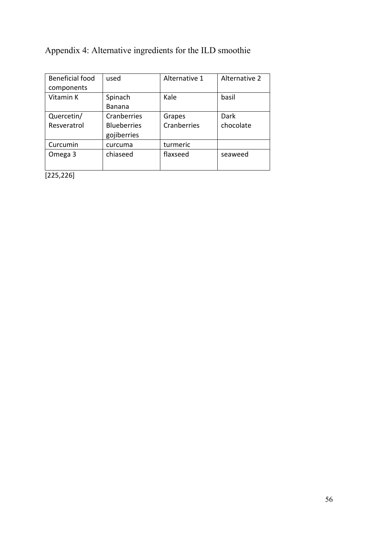# Appendix 4: Alternative ingredients for the ILD smoothie

| <b>Beneficial food</b> | used               | Alternative 1 | Alternative 2 |
|------------------------|--------------------|---------------|---------------|
| components             |                    |               |               |
| Vitamin K              | Spinach            | Kale          | basil         |
|                        | Banana             |               |               |
| Quercetin/             | Cranberries        | Grapes        | Dark          |
| Resveratrol            | <b>Blueberries</b> | Cranberries   | chocolate     |
|                        | gojiberries        |               |               |
| Curcumin               | curcuma            | turmeric      |               |
| Omega 3                | chiaseed           | flaxseed      | seaweed       |
|                        |                    |               |               |
| $5 - 1$                |                    |               |               |

[225,226]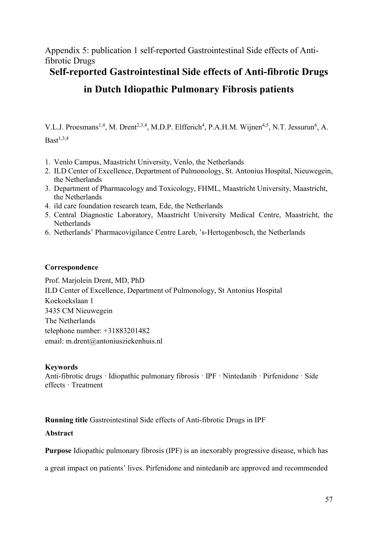Appendix 5: publication 1 self-reported Gastrointestinal Side effects of Antifibrotic Drugs

## Self-reported Gastrointestinal Side effects of Anti-fibrotic Drugs

# in Dutch Idiopathic Pulmonary Fibrosis patients

V.L.J. Proesmans<sup>1,4</sup>, M. Drent<sup>2,3,4</sup>, M.D.P. Elfferich<sup>4</sup>, P.A.H.M. Wijnen<sup>4,5</sup>, N.T. Jessurun<sup>6</sup>, A.  $Bast<sup>1,3,4</sup>$ 

- 1. Venlo Campus, Maastricht University, Venlo, the Netherlands
- 2. ILD Center of Excellence, Department of Pulmonology, St. Antonius Hospital, Nieuwegein, the Netherlands
- 3. Department of Pharmacology and Toxicology, FHML, Maastricht University, Maastricht, the Netherlands
- 4. ild care foundation research team, Ede, the Netherlands
- 5. Central Diagnostic Laboratory, Maastricht University Medical Centre, Maastricht, the Netherlands
- 6. Netherlands' Pharmacovigilance Centre Lareb, 's-Hertogenbosch, the Netherlands

### Correspondence

Prof. Marjolein Drent, MD, PhD ILD Center of Excellence, Department of Pulmonology, St Antonius Hospital Koekoekslaan 1 3435 CM Nieuwegein The Netherlands telephone number: +31883201482 email: [m.drent@antoniusziekenhuis.nl](mailto:m.drent@antoniusziekenhuis.nl)

## **Keywords**

Anti-fibrotic drugs · Idiopathic pulmonary fibrosis · IPF · Nintedanib · Pirfenidone · Side effects · Treatment

Running title Gastrointestinal Side effects of Anti-fibrotic Drugs in IPF

## Abstract

Purpose Idiopathic pulmonary fibrosis (IPF) is an inexorably progressive disease, which has

a great impact on patients' lives. Pirfenidone and nintedanib are approved and recommended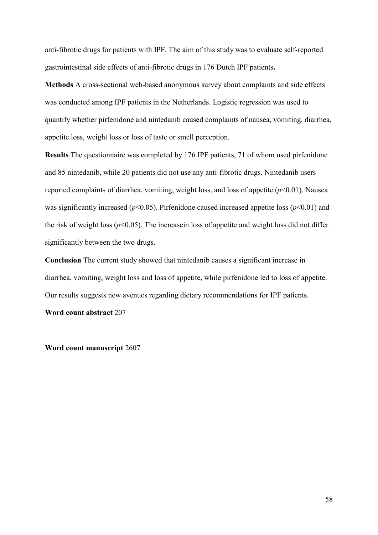anti-fibrotic drugs for patients with IPF. The aim of this study was to evaluate self-reported gastrointestinal side effects of anti-fibrotic drugs in 176 Dutch IPF patients.

Methods A cross-sectional web-based anonymous survey about complaints and side effects was conducted among IPF patients in the Netherlands. Logistic regression was used to quantify whether pirfenidone and nintedanib caused complaints of nausea, vomiting, diarrhea, appetite loss, weight loss or loss of taste or smell perception.

Results The questionnaire was completed by 176 IPF patients, 71 of whom used pirfenidone and 85 nintedanib, while 20 patients did not use any anti-fibrotic drugs. Nintedanib users reported complaints of diarrhea, vomiting, weight loss, and loss of appetite (*p*<0.01). Nausea was significantly increased ( $p$ <0.05). Pirfenidone caused increased appetite loss ( $p$ <0.01) and the risk of weight loss  $(p<0.05)$ . The increasein loss of appetite and weight loss did not differ significantly between the two drugs.

Conclusion The current study showed that nintedanib causes a significant increase in diarrhea, vomiting, weight loss and loss of appetite, while pirfenidone led to loss of appetite. Our results suggests new avenues regarding dietary recommendations for IPF patients.

Word count abstract 207

Word count manuscript 2607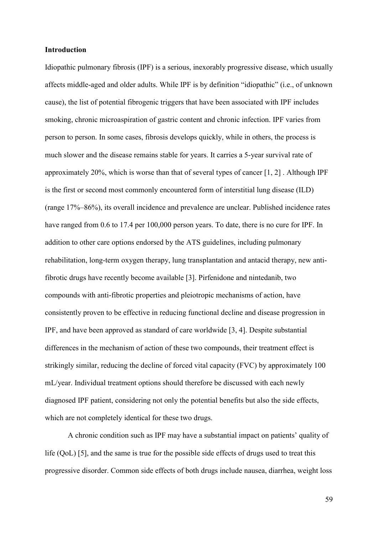### Introduction

Idiopathic pulmonary fibrosis (IPF) is a serious, inexorably progressive disease, which usually affects middle-aged and older adults. While IPF is by definition "idiopathic" (i.e., of unknown cause), the list of potential fibrogenic triggers that have been associated with IPF includes smoking, chronic microaspiration of gastric content and chronic infection. IPF varies from person to person. In some cases, fibrosis develops quickly, while in others, the process is much slower and the disease remains stable for years. It carries a 5-year survival rate of approximately 20%, which is worse than that of several types of cancer [\[1,](#page-81-0) [2\]](#page-81-1) . Although IPF is the first or second most commonly encountered form of interstitial lung disease (ILD) (range 17%–86%), its overall incidence and prevalence are unclear. Published incidence rates have ranged from 0.6 to 17.4 per 100,000 person years. To date, there is no cure for IPF. In addition to other care options endorsed by the ATS guidelines, including pulmonary rehabilitation, long-term oxygen therapy, lung transplantation and antacid therapy, new antifibrotic drugs have recently become available [\[3\]](#page-81-2). Pirfenidone and nintedanib, two compounds with anti-fibrotic properties and pleiotropic mechanisms of action, have consistently proven to be effective in reducing functional decline and disease progression in IPF, and have been approved as standard of care worldwide [\[3,](#page-81-2) [4\]](#page-81-3). Despite substantial differences in the mechanism of action of these two compounds, their treatment effect is strikingly similar, reducing the decline of forced vital capacity (FVC) by approximately 100 mL/year. Individual treatment options should therefore be discussed with each newly diagnosed IPF patient, considering not only the potential benefits but also the side effects, which are not completely identical for these two drugs.

A chronic condition such as IPF may have a substantial impact on patients' quality of life (QoL) [\[5\]](#page-81-4), and the same is true for the possible side effects of drugs used to treat this progressive disorder. Common side effects of both drugs include nausea, diarrhea, weight loss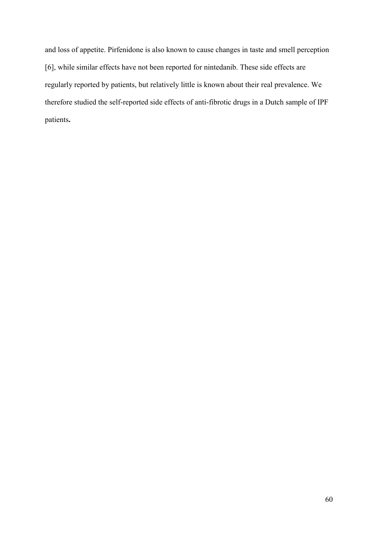and loss of appetite. Pirfenidone is also known to cause changes in taste and smell perception [[6\]](#page-81-5), while similar effects have not been reported for nintedanib. These side effects are regularly reported by patients, but relatively little is known about their real prevalence. We therefore studied the self-reported side effects of anti-fibrotic drugs in a Dutch sample of IPF patients.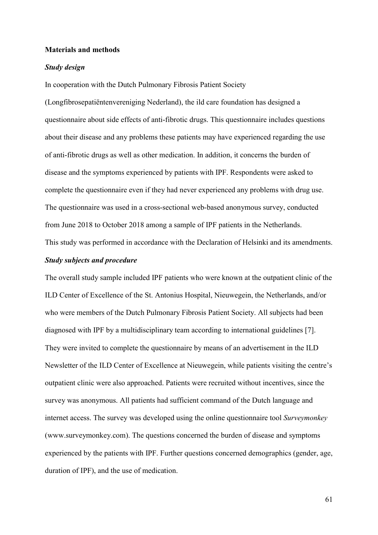### Materials and methods

### *Study design*

In cooperation with the Dutch Pulmonary Fibrosis Patient Society

(Longfibrosepatiëntenvereniging Nederland), the ild care foundation has designed a questionnaire about side effects of anti-fibrotic drugs. This questionnaire includes questions about their disease and any problems these patients may have experienced regarding the use of anti-fibrotic drugs as well as other medication. In addition, it concerns the burden of disease and the symptoms experienced by patients with IPF. Respondents were asked to complete the questionnaire even if they had never experienced any problems with drug use. The questionnaire was used in a cross-sectional web-based anonymous survey, conducted from June 2018 to October 2018 among a sample of IPF patients in the Netherlands.

This study was performed in accordance with the Declaration of Helsinki and its amendments.

### *Study subjects and procedure*

The overall study sample included IPF patients who were known at the outpatient clinic of the ILD Center of Excellence of the St. Antonius Hospital, Nieuwegein, the Netherlands, and/or who were members of the Dutch Pulmonary Fibrosis Patient Society. All subjects had been diagnosed with IPF by a multidisciplinary team according to international guidelines [\[7\]](#page-81-6). They were invited to complete the questionnaire by means of an advertisement in the ILD Newsletter of the ILD Center of Excellence at Nieuwegein, while patients visiting the centre's outpatient clinic were also approached. Patients were recruited without incentives, since the survey was anonymous. All patients had sufficient command of the Dutch language and internet access. The survey was developed using the online questionnaire tool *Surveymonkey* (www.surveymonkey.com). The questions concerned the burden of disease and symptoms experienced by the patients with IPF. Further questions concerned demographics (gender, age, duration of IPF), and the use of medication.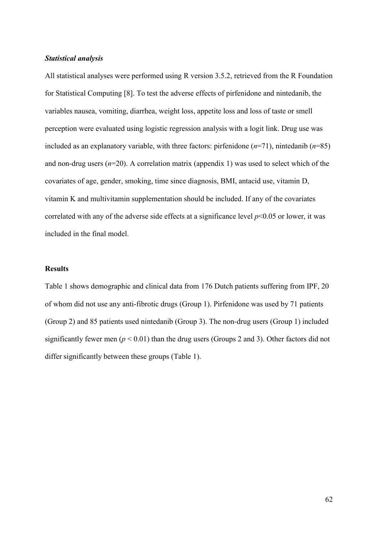### *Statistical analysis*

All statistical analyses were performed using R version 3.5.2, retrieved from the R Foundation for Statistical Computing [\[8\]](#page-81-7). To test the adverse effects of pirfenidone and nintedanib, the variables nausea, vomiting, diarrhea, weight loss, appetite loss and loss of taste or smell perception were evaluated using logistic regression analysis with a logit link. Drug use was included as an explanatory variable, with three factors: pirfenidone (*n*=71), nintedanib (*n*=85) and non-drug users  $(n=20)$ . A correlation matrix (appendix 1) was used to select which of the covariates of age, gender, smoking, time since diagnosis, BMI, antacid use, vitamin D, vitamin K and multivitamin supplementation should be included. If any of the covariates correlated with any of the adverse side effects at a significance level  $p<0.05$  or lower, it was included in the final model.

### **Results**

Table 1 shows demographic and clinical data from 176 Dutch patients suffering from IPF, 20 of whom did not use any anti-fibrotic drugs (Group 1). Pirfenidone was used by 71 patients (Group 2) and 85 patients used nintedanib (Group 3). The non-drug users (Group 1) included significantly fewer men ( $p < 0.01$ ) than the drug users (Groups 2 and 3). Other factors did not differ significantly between these groups (Table 1).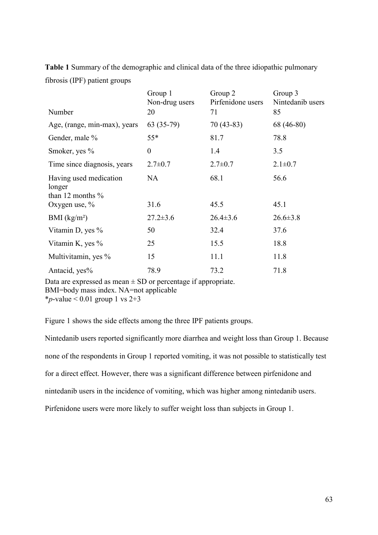|                                                         | Group 1<br>Non-drug users | Group 2<br>Pirfenidone users | Group 3<br>Nintedanib users |
|---------------------------------------------------------|---------------------------|------------------------------|-----------------------------|
| Number                                                  | 20                        | 71                           | 85                          |
| Age, (range, min-max), years                            | $63(35-79)$               | $70(43-83)$                  | 68 (46-80)                  |
| Gender, male %                                          | $55*$                     | 81.7                         | 78.8                        |
| Smoker, yes %                                           | $\theta$                  | 1.4                          | 3.5                         |
| Time since diagnosis, years                             | $2.7 \pm 0.7$             | $2.7 \pm 0.7$                | $2.1 \pm 0.7$               |
| Having used medication<br>longer<br>than 12 months $\%$ | NA                        | 68.1                         | 56.6                        |
| Oxygen use, $\%$                                        | 31.6                      | 45.5                         | 45.1                        |
| BMI $(kg/m2)$                                           | $27.2 \pm 3.6$            | $26.4 \pm 3.6$               | $26.6 \pm 3.8$              |
| Vitamin D, yes %                                        | 50                        | 32.4                         | 37.6                        |
| Vitamin K, yes $\%$                                     | 25                        | 15.5                         | 18.8                        |
| Multivitamin, yes %                                     | 15                        | 11.1                         | 11.8                        |
| Antacid, yes%                                           | 78.9                      | 73.2                         | 71.8                        |

Table 1 Summary of the demographic and clinical data of the three idiopathic pulmonary fibrosis (IPF) patient groups

Data are expressed as mean  $\pm$  SD or percentage if appropriate. BMI=body mass index. NA=not applicable

\**p*-value < 0.01 group 1 vs  $2+3$ 

Figure 1 shows the side effects among the three IPF patients groups.

Nintedanib users reported significantly more diarrhea and weight loss than Group 1. Because none of the respondents in Group 1 reported vomiting, it was not possible to statistically test for a direct effect. However, there was a significant difference between pirfenidone and nintedanib users in the incidence of vomiting, which was higher among nintedanib users. Pirfenidone users were more likely to suffer weight loss than subjects in Group 1.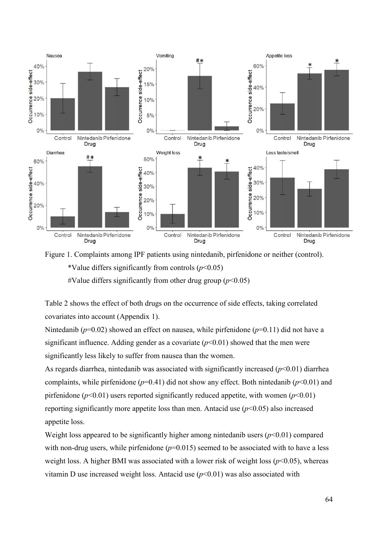



\*Value differs significantly from controls (*p*<0.05)

#Value differs significantly from other drug group  $(p<0.05)$ 

Table 2 shows the effect of both drugs on the occurrence of side effects, taking correlated covariates into account (Appendix 1).

Nintedanib ( $p=0.02$ ) showed an effect on nausea, while pirfenidone ( $p=0.11$ ) did not have a significant influence. Adding gender as a covariate  $(p<0.01)$  showed that the men were significantly less likely to suffer from nausea than the women.

As regards diarrhea, nintedanib was associated with significantly increased (*p*<0.01) diarrhea complaints, while pirfenidone ( $p=0.41$ ) did not show any effect. Both nintedanib ( $p<0.01$ ) and pirfenidone ( $p$ <0.01) users reported significantly reduced appetite, with women ( $p$ <0.01) reporting significantly more appetite loss than men. Antacid use  $(p<0.05)$  also increased appetite loss.

Weight loss appeared to be significantly higher among nintedanib users  $(p<0.01)$  compared with non-drug users, while pirfenidone  $(p=0.015)$  seemed to be associated with to have a less weight loss. A higher BMI was associated with a lower risk of weight loss  $(p<0.05)$ , whereas vitamin D use increased weight loss. Antacid use  $(p<0.01)$  was also associated with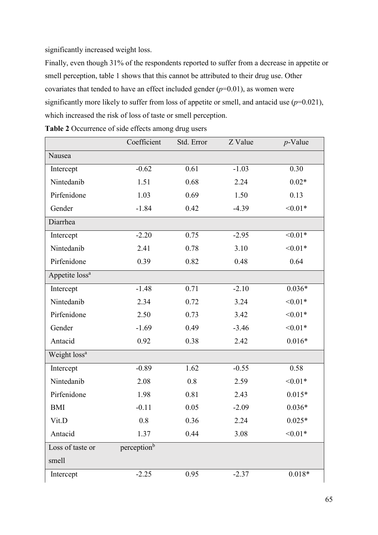significantly increased weight loss.

Finally, even though 31% of the respondents reported to suffer from a decrease in appetite or smell perception, table 1 shows that this cannot be attributed to their drug use. Other covariates that tended to have an effect included gender  $(p=0.01)$ , as women were significantly more likely to suffer from loss of appetite or smell, and antacid use  $(p=0.021)$ , which increased the risk of loss of taste or smell perception.

|                            | Coefficient             | Std. Error | Z Value | $p$ -Value |
|----------------------------|-------------------------|------------|---------|------------|
| Nausea                     |                         |            |         |            |
| Intercept                  | $-0.62$                 | 0.61       | $-1.03$ | 0.30       |
| Nintedanib                 | 1.51                    | 0.68       | 2.24    | $0.02*$    |
| Pirfenidone                | 1.03                    | 0.69       | 1.50    | 0.13       |
| Gender                     | $-1.84$                 | 0.42       | $-4.39$ | $< 0.01*$  |
| Diarrhea                   |                         |            |         |            |
| Intercept                  | $-2.20$                 | 0.75       | $-2.95$ | $< 0.01*$  |
| Nintedanib                 | 2.41                    | 0.78       | 3.10    | $< 0.01*$  |
| Pirfenidone                | 0.39                    | 0.82       | 0.48    | 0.64       |
| Appetite loss <sup>a</sup> |                         |            |         |            |
| Intercept                  | $-1.48$                 | 0.71       | $-2.10$ | $0.036*$   |
| Nintedanib                 | 2.34                    | 0.72       | 3.24    | $< 0.01*$  |
| Pirfenidone                | 2.50                    | 0.73       | 3.42    | $< 0.01*$  |
| Gender                     | $-1.69$                 | 0.49       | $-3.46$ | $< 0.01*$  |
| Antacid                    | 0.92                    | 0.38       | 2.42    | $0.016*$   |
| Weight loss <sup>a</sup>   |                         |            |         |            |
| Intercept                  | $-0.89$                 | 1.62       | $-0.55$ | 0.58       |
| Nintedanib                 | 2.08                    | 0.8        | 2.59    | $< 0.01*$  |
| Pirfenidone                | 1.98                    | 0.81       | 2.43    | $0.015*$   |
| <b>BMI</b>                 | $-0.11$                 | 0.05       | $-2.09$ | $0.036*$   |
| Vit.D                      | 0.8                     | 0.36       | 2.24    | $0.025*$   |
| Antacid                    | 1.37                    | 0.44       | 3.08    | $< 0.01*$  |
| Loss of taste or           | perception <sup>b</sup> |            |         |            |
| smell                      |                         |            |         |            |
| Intercept                  | $-2.25$                 | 0.95       | $-2.37$ | $0.018*$   |
|                            |                         |            |         |            |

Table 2 Occurrence of side effects among drug users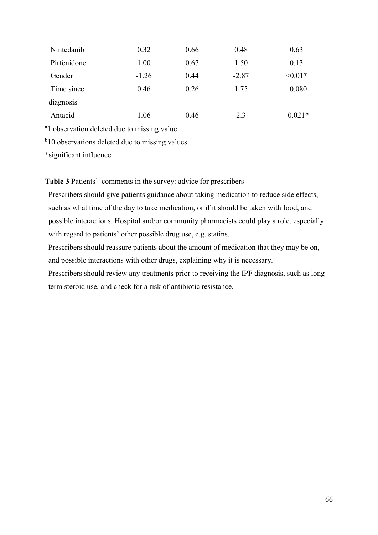| Nintedanib  | 0.32    | 0.66 | 0.48    | 0.63      |
|-------------|---------|------|---------|-----------|
| Pirfenidone | 1.00    | 0.67 | 1.50    | 0.13      |
| Gender      | $-1.26$ | 0.44 | $-2.87$ | $< 0.01*$ |
| Time since  | 0.46    | 0.26 | 1.75    | 0.080     |
| diagnosis   |         |      |         |           |
| Antacid     | 1.06    | 0.46 | 2.3     | $0.021*$  |

<sup>a</sup>l observation deleted due to missing value

<sup>b</sup>10 observations deleted due to missing values

\*significant influence

Table 3 Patients' comments in the survey: advice for prescribers

Prescribers should give patients guidance about taking medication to reduce side effects, such as what time of the day to take medication, or if it should be taken with food, and possible interactions. Hospital and/or community pharmacists could play a role, especially with regard to patients' other possible drug use, e.g. statins.

Prescribers should reassure patients about the amount of medication that they may be on, and possible interactions with other drugs, explaining why it is necessary.

Prescribers should review any treatments prior to receiving the IPF diagnosis, such as longterm steroid use, and check for a risk of antibiotic resistance.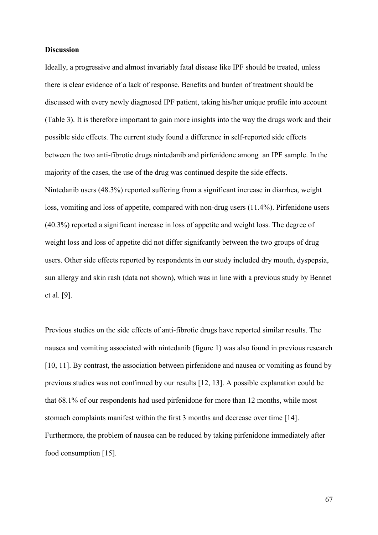#### **Discussion**

Ideally, a progressive and almost invariably fatal disease like IPF should be treated, unless there is clear evidence of a lack of response. Benefits and burden of treatment should be discussed with every newly diagnosed IPF patient, taking his/her unique profile into account (Table 3). It is therefore important to gain more insights into the way the drugs work and their possible side effects. The current study found a difference in self-reported side effects between the two anti-fibrotic drugs nintedanib and pirfenidone among an IPF sample. In the majority of the cases, the use of the drug was continued despite the side effects. Nintedanib users (48.3%) reported suffering from a significant increase in diarrhea, weight loss, vomiting and loss of appetite, compared with non-drug users (11.4%). Pirfenidone users (40.3%) reported a significant increase in loss of appetite and weight loss. The degree of weight loss and loss of appetite did not differ signifcantly between the two groups of drug users. Other side effects reported by respondents in our study included dry mouth, dyspepsia, sun allergy and skin rash (data not shown), which was in line with a previous study by Bennet et al. [\[9\]](#page-81-0).

Previous studies on the side effects of anti-fibrotic drugs have reported similar results. The nausea and vomiting associated with nintedanib (figure 1) was also found in previous research [[10,](#page-81-1) [11\]](#page-82-0). By contrast, the association between pirfenidone and nausea or vomiting as found by previous studies was not confirmed by our results [\[12,](#page-82-1) [13\]](#page-82-2). A possible explanation could be that 68.1% of our respondents had used pirfenidone for more than 12 months, while most stomach complaints manifest within the first 3 months and decrease over time [\[14\]](#page-82-3). Furthermore, the problem of nausea can be reduced by taking pirfenidone immediately after food consumption [[15\]](#page-82-4).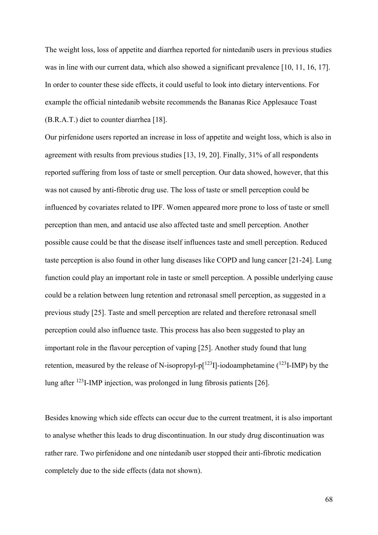The weight loss, loss of appetite and diarrhea reported for nintedanib users in previous studies was in line with our current data, which also showed a significant prevalence [\[10,](#page-81-1) [11,](#page-82-0) [16,](#page-82-5) [17\]](#page-82-6). In order to counter these side effects, it could useful to look into dietary interventions. For example the official nintedanib website recommends the Bananas Rice Applesauce Toast (B.R.A.T.) diet to counter diarrhea [\[18\]](#page-82-7).

Our pirfenidone users reported an increase in loss of appetite and weight loss, which is also in agreement with results from previous studies [\[13,](#page-82-2) [19,](#page-82-8) [20\]](#page-83-0). Finally, 31% of all respondents reported suffering from loss of taste or smell perception. Our data showed, however, that this was not caused by anti-fibrotic drug use. The loss of taste or smell perception could be influenced by covariates related to IPF. Women appeared more prone to loss of taste or smell perception than men, and antacid use also affected taste and smell perception. Another possible cause could be that the disease itself influences taste and smell perception. Reduced taste perception is also found in other lung diseases like COPD and lung cancer [\[21-24\].](#page-83-1) Lung function could play an important role in taste or smell perception. A possible underlying cause could be a relation between lung retention and retronasal smell perception, as suggested in a previous study [[25\]](#page-83-2). Taste and smell perception are related and therefore retronasal smell perception could also influence taste. This process has also been suggested to play an important role in the flavour perception of vaping [\[25\]](#page-83-2). Another study found that lung retention, measured by the release of N-isopropyl-p[ $123$ ]]-iodoamphetamine ( $123$ ]-IMP) by the lung after  $^{123}$ I-IMP injection, was prolonged in lung fibrosis patients [\[26\]](#page-83-3).

Besides knowing which side effects can occur due to the current treatment, it is also important to analyse whether this leads to drug discontinuation. In our study drug discontinuation was rather rare. Two pirfenidone and one nintedanib user stopped their anti-fibrotic medication completely due to the side effects (data not shown).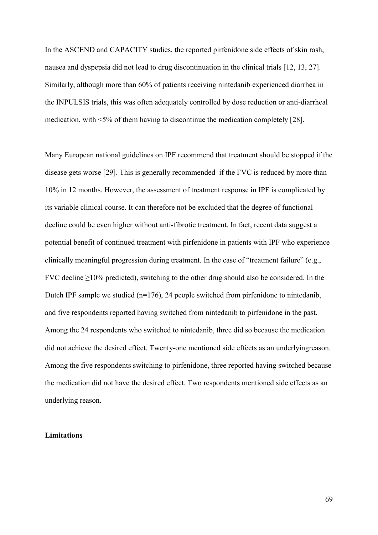In the ASCEND and CAPACITY studies, the reported pirfenidone side effects of skin rash, nausea and dyspepsia did not lead to drug discontinuation in the clinical trials [\[12,](#page-82-1) [13,](#page-82-2) [27\]](#page-83-4). Similarly, although more than 60% of patients receiving nintedanib experienced diarrhea in the INPULSIS trials, this was often adequately controlled by dose reduction or anti-diarrheal medication, with <5% of them having to discontinue the medication completely [\[28\]](#page-83-5).

Many European national guidelines on IPF recommend that treatment should be stopped if the disease gets worse [\[29\]](#page-84-0). This is generally recommended if the FVC is reduced by more than 10% in 12 months. However, the assessment of treatment response in IPF is complicated by its variable clinical course. It can therefore not be excluded that the degree of functional decline could be even higher without anti-fibrotic treatment. In fact, recent data suggest a potential benefit of continued treatment with pirfenidone in patients with IPF who experience clinically meaningful progression during treatment. In the case of "treatment failure" (e.g., FVC decline  $\geq$ 10% predicted), switching to the other drug should also be considered. In the Dutch IPF sample we studied (n=176), 24 people switched from pirfenidone to nintedanib, and five respondents reported having switched from nintedanib to pirfenidone in the past. Among the 24 respondents who switched to nintedanib, three did so because the medication did not achieve the desired effect. Twenty-one mentioned side effects as an underlyingreason. Among the five respondents switching to pirfenidone, three reported having switched because the medication did not have the desired effect. Two respondents mentioned side effects as an underlying reason.

#### **Limitations**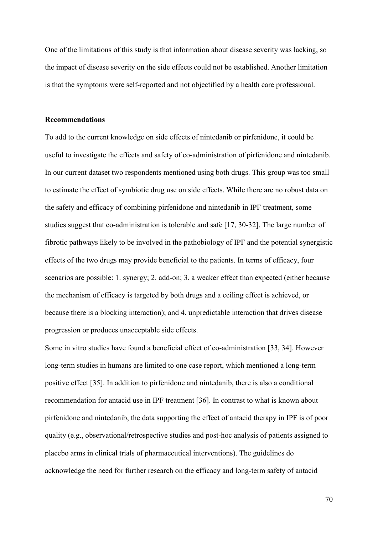One of the limitations of this study is that information about disease severity was lacking, so the impact of disease severity on the side effects could not be established. Another limitation is that the symptoms were self-reported and not objectified by a health care professional.

#### Recommendations

To add to the current knowledge on side effects of nintedanib or pirfenidone, it could be useful to investigate the effects and safety of co-administration of pirfenidone and nintedanib. In our current dataset two respondents mentioned using both drugs. This group was too small to estimate the effect of symbiotic drug use on side effects. While there are no robust data on the safety and efficacy of combining pirfenidone and nintedanib in IPF treatment, some studies suggest that co-administration is tolerable and safe [\[17,](#page-82-6) [30-32\].](#page-84-1) The large number of fibrotic pathways likely to be involved in the pathobiology of IPF and the potential synergistic effects of the two drugs may provide beneficial to the patients. In terms of efficacy, four scenarios are possible: 1. synergy; 2. add-on; 3. a weaker effect than expected (either because the mechanism of efficacy is targeted by both drugs and a ceiling effect is achieved, or because there is a blocking interaction); and 4. unpredictable interaction that drives disease progression or produces unacceptable side effects.

Some in vitro studies have found a beneficial effect of co-administration [\[33,](#page-84-2) [34\]](#page-84-3). However long-term studies in humans are limited to one case report, which mentioned a long-term positive effect [\[35\]](#page-84-4). In addition to pirfenidone and nintedanib, there is also a conditional recommendation for antacid use in IPF treatment [[36\]](#page-84-5). In contrast to what is known about pirfenidone and nintedanib, the data supporting the effect of antacid therapy in IPF is of poor quality (e.g., observational/retrospective studies and post-hoc analysis of patients assigned to placebo arms in clinical trials of pharmaceutical interventions). The guidelines do acknowledge the need for further research on the efficacy and long-term safety of antacid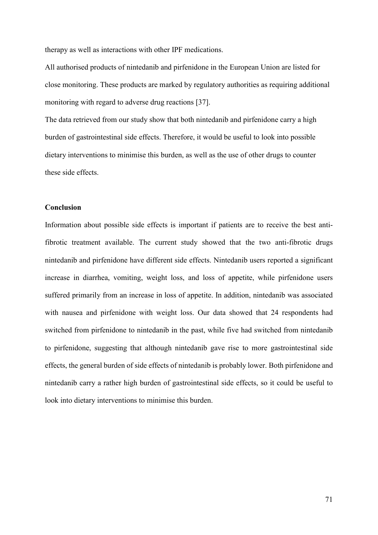therapy as well as interactions with other IPF medications.

All authorised products of nintedanib and pirfenidone in the European Union are listed for close monitoring. These products are marked by regulatory authorities as requiring additional monitoring with regard to adverse drug reactions [\[37\]](#page-84-6).

The data retrieved from our study show that both nintedanib and pirfenidone carry a high burden of gastrointestinal side effects. Therefore, it would be useful to look into possible dietary interventions to minimise this burden, as well as the use of other drugs to counter these side effects.

#### Conclusion

Information about possible side effects is important if patients are to receive the best antifibrotic treatment available. The current study showed that the two anti-fibrotic drugs nintedanib and pirfenidone have different side effects. Nintedanib users reported a significant increase in diarrhea, vomiting, weight loss, and loss of appetite, while pirfenidone users suffered primarily from an increase in loss of appetite. In addition, nintedanib was associated with nausea and pirfenidone with weight loss. Our data showed that 24 respondents had switched from pirfenidone to nintedanib in the past, while five had switched from nintedanib to pirfenidone, suggesting that although nintedanib gave rise to more gastrointestinal side effects, the general burden of side effects of nintedanib is probably lower. Both pirfenidone and nintedanib carry a rather high burden of gastrointestinal side effects, so it could be useful to look into dietary interventions to minimise this burden.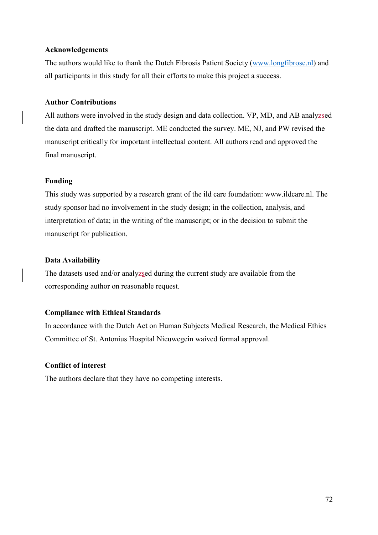## Acknowledgements

The authors would like to thank the Dutch Fibrosis Patient Society [\(www.longfibrose.nl\) and](http://www.longfibrose.nl/) all participants in this study for all their efforts to make this project a success.

## Author Contributions

All authors were involved in the study design and data collection. VP, MD, and AB analyzsed the data and drafted the manuscript. ME conducted the survey. ME, NJ, and PW revised the manuscript critically for important intellectual content. All authors read and approved the final manuscript.

## Funding

This study was supported by a research grant of the ild care foundation: www.ildcare.nl. The study sponsor had no involvement in the study design; in the collection, analysis, and interpretation of data; in the writing of the manuscript; or in the decision to submit the manuscript for publication.

## Data Availability

The datasets used and/or analyzsed during the current study are available from the corresponding author on reasonable request.

# Compliance with Ethical Standards

In accordance with the Dutch Act on Human Subjects Medical Research, the Medical Ethics Committee of St. Antonius Hospital Nieuwegein waived formal approval.

# Conflict of interest

The authors declare that they have no competing interests.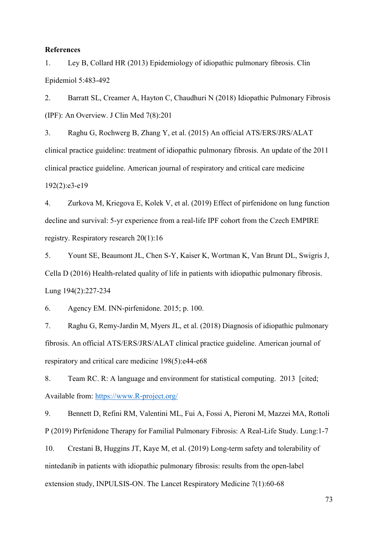#### **References**

1. Ley B, Collard HR (2013) Epidemiology of idiopathic pulmonary fibrosis. Clin Epidemiol 5:483-492

2. Barratt SL, Creamer A, Hayton C, Chaudhuri N (2018) Idiopathic Pulmonary Fibrosis (IPF): An Overview. J Clin Med 7(8):201

3. Raghu G, Rochwerg B, Zhang Y, et al. (2015) An official ATS/ERS/JRS/ALAT clinical practice guideline: treatment of idiopathic pulmonary fibrosis. An update of the 2011 clinical practice guideline. American journal of respiratory and critical care medicine 192(2):e3-e19

4. Zurkova M, Kriegova E, Kolek V, et al. (2019) Effect of pirfenidone on lung function decline and survival: 5-yr experience from a real-life IPF cohort from the Czech EMPIRE registry. Respiratory research 20(1):16

5. Yount SE, Beaumont JL, Chen S-Y, Kaiser K, Wortman K, Van Brunt DL, Swigris J, Cella D (2016) Health-related quality of life in patients with idiopathic pulmonary fibrosis. Lung 194(2):227-234

6. Agency EM. INN-pirfenidone. 2015; p. 100.

7. Raghu G, Remy-Jardin M, Myers JL, et al. (2018) Diagnosis of idiopathic pulmonary fibrosis. An official ATS/ERS/JRS/ALAT clinical practice guideline. American journal of respiratory and critical care medicine 198(5):e44-e68

8. Team RC. R: A language and environment for statistical computing. 2013 [cited; Available from: https://www.R-project.org/

<span id="page-81-0"></span>9. Bennett D, Refini RM, Valentini ML, Fui A, Fossi A, Pieroni M, Mazzei MA, Rottoli P (2019) Pirfenidone Therapy for Familial Pulmonary Fibrosis: A Real-Life Study. Lung:1-7

<span id="page-81-1"></span>10. Crestani B, Huggins JT, Kaye M, et al. (2019) Long-term safety and tolerability of nintedanib in patients with idiopathic pulmonary fibrosis: results from the open-label extension study, INPULSIS-ON. The Lancet Respiratory Medicine 7(1):60-68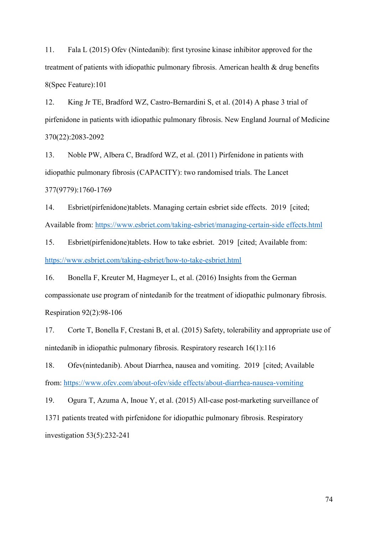<span id="page-82-0"></span>11. Fala L (2015) Ofev (Nintedanib): first tyrosine kinase inhibitor approved for the treatment of patients with idiopathic pulmonary fibrosis. American health & drug benefits 8(Spec Feature):101

<span id="page-82-1"></span>12. King Jr TE, Bradford WZ, Castro-Bernardini S, et al. (2014) A phase 3 trial of pirfenidone in patients with idiopathic pulmonary fibrosis. New England Journal of Medicine 370(22):2083-2092

<span id="page-82-2"></span>13. Noble PW, Albera C, Bradford WZ, et al. (2011) Pirfenidone in patients with idiopathic pulmonary fibrosis (CAPACITY): two randomised trials. The Lancet 377(9779):1760-1769

<span id="page-82-3"></span>14. Esbriet(pirfenidone)tablets. Managing certain esbriet side effects. 2019 [cited; Available from: https://www.esbriet.com/taking-esbriet/managing-certain-side effects.html

<span id="page-82-4"></span>15. Esbriet(pirfenidone)tablets. How to take esbriet. 2019 [cited; Available from: https://www.esbriet.com/taking-esbriet/how-to-take-esbriet.html

<span id="page-82-5"></span>16. Bonella F, Kreuter M, Hagmeyer L, et al. (2016) Insights from the German compassionate use program of nintedanib for the treatment of idiopathic pulmonary fibrosis. Respiration 92(2):98-106

<span id="page-82-6"></span>17. Corte T, Bonella F, Crestani B, et al. (2015) Safety, tolerability and appropriate use of nintedanib in idiopathic pulmonary fibrosis. Respiratory research 16(1):116

<span id="page-82-7"></span>18. Ofev(nintedanib). About Diarrhea, nausea and vomiting. 2019 [cited; Available from: https://www.ofev.com/about-ofev/side effects/about-diarrhea-nausea-vomiting

<span id="page-82-8"></span>19. Ogura T, Azuma A, Inoue Y, et al. (2015) All-case post-marketing surveillance of 1371 patients treated with pirfenidone for idiopathic pulmonary fibrosis. Respiratory investigation 53(5):232-241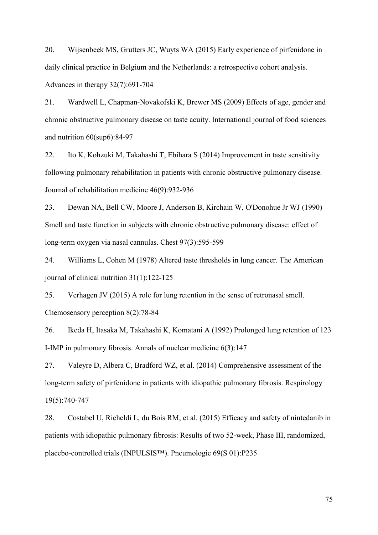<span id="page-83-0"></span>20. Wijsenbeek MS, Grutters JC, Wuyts WA (2015) Early experience of pirfenidone in daily clinical practice in Belgium and the Netherlands: a retrospective cohort analysis. Advances in therapy 32(7):691-704

<span id="page-83-1"></span>21. Wardwell L, Chapman-Novakofski K, Brewer MS (2009) Effects of age, gender and chronic obstructive pulmonary disease on taste acuity. International journal of food sciences and nutrition 60(sup6):84-97

22. Ito K, Kohzuki M, Takahashi T, Ebihara S (2014) Improvement in taste sensitivity following pulmonary rehabilitation in patients with chronic obstructive pulmonary disease. Journal of rehabilitation medicine 46(9):932-936

23. Dewan NA, Bell CW, Moore J, Anderson B, Kirchain W, O'Donohue Jr WJ (1990) Smell and taste function in subjects with chronic obstructive pulmonary disease: effect of long-term oxygen via nasal cannulas. Chest 97(3):595-599

24. Williams L, Cohen M (1978) Altered taste thresholds in lung cancer. The American journal of clinical nutrition 31(1):122-125

<span id="page-83-2"></span>25. Verhagen JV (2015) A role for lung retention in the sense of retronasal smell. Chemosensory perception 8(2):78-84

<span id="page-83-3"></span>26. Ikeda H, Itasaka M, Takahashi K, Komatani A (1992) Prolonged lung retention of 123 I-IMP in pulmonary fibrosis. Annals of nuclear medicine 6(3):147

<span id="page-83-4"></span>27. Valeyre D, Albera C, Bradford WZ, et al. (2014) Comprehensive assessment of the long-term safety of pirfenidone in patients with idiopathic pulmonary fibrosis. Respirology 19(5):740-747

<span id="page-83-5"></span>28. Costabel U, Richeldi L, du Bois RM, et al. (2015) Efficacy and safety of nintedanib in patients with idiopathic pulmonary fibrosis: Results of two 52-week, Phase III, randomized, placebo-controlled trials (INPULSIS™). Pneumologie 69(S 01):P235